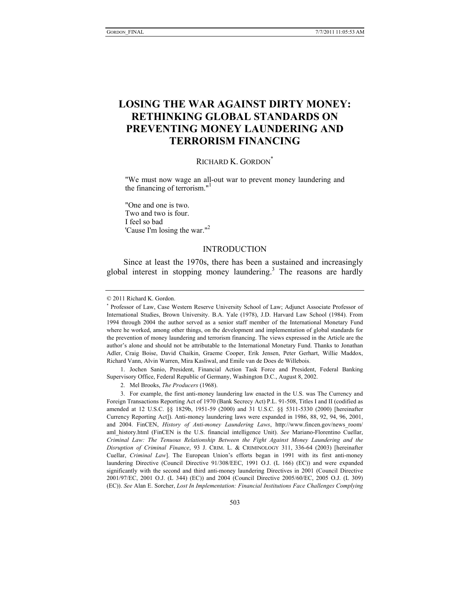# **LOSING THE WAR AGAINST DIRTY MONEY: RETHINKING GLOBAL STANDARDS ON PREVENTING MONEY LAUNDERING AND TERRORISM FINANCING**

# RICHARD K. GORDON<sup>\*</sup>

"We must now wage an all-out war to prevent money laundering and the financing of terrorism." $<sup>1</sup>$ </sup>

"One and one is two. Two and two is four. I feel so bad 'Cause I'm losing the war."2

# INTRODUCTION

Since at least the 1970s, there has been a sustained and increasingly global interest in stopping money laundering.<sup>3</sup> The reasons are hardly

 1. Jochen Sanio, President, Financial Action Task Force and President, Federal Banking Supervisory Office, Federal Republic of Germany, Washington D.C., August 8, 2002.

2. Mel Brooks, *The Producers* (1968).

 3. For example, the first anti-money laundering law enacted in the U.S. was The Currency and Foreign Transactions Reporting Act of 1970 (Bank Secrecy Act) P.L. 91-508, Titles I and II (codified as amended at 12 U.S.C. §§ 1829b, 1951-59 (2000) and 31 U.S.C. §§ 5311-5330 (2000) [hereinafter Currency Reporting Act]). Anti-money laundering laws were expanded in 1986, 88, 92, 94, 96, 2001, and 2004. FinCEN, *History of Anti-money Laundering Laws*, http://www.fincen.gov/news\_room/ aml\_history.html (FinCEN is the U.S. financial intelligence Unit). *See* Mariano-Florentino Cuellar, *Criminal Law: The Tenuous Relationship Between the Fight Against Money Laundering and the Disruption of Criminal Finance*, 93 J. CRIM. L. & CRIMINOLOGY 311, 336-64 (2003) [hereinafter Cuellar, *Criminal Law*]. The European Union's efforts began in 1991 with its first anti-money laundering Directive (Council Directive 91/308/EEC, 1991 O.J. (L 166) (EC)) and were expanded significantly with the second and third anti-money laundering Directives in 2001 (Council Directive 2001/97/EC, 2001 O.J. (L 344) (EC)) and 2004 (Council Directive 2005/60/EC, 2005 O.J. (L 309) (EC)). *See* Alan E. Sorcher, *Lost In Implementation: Financial Institutions Face Challenges Complying* 

<sup>© 2011</sup> Richard K. Gordon.

<sup>\*</sup> Professor of Law, Case Western Reserve University School of Law; Adjunct Associate Professor of International Studies, Brown University. B.A. Yale (1978), J.D. Harvard Law School (1984). From 1994 through 2004 the author served as a senior staff member of the International Monetary Fund where he worked, among other things, on the development and implementation of global standards for the prevention of money laundering and terrorism financing. The views expressed in the Article are the author's alone and should not be attributable to the International Monetary Fund. Thanks to Jonathan Adler, Craig Boise, David Chaikin, Graeme Cooper, Erik Jensen, Peter Gerhart, Willie Maddox, Richard Vann, Alvin Warren, Mira Kasliwal, and Emile van de Does de Willebois.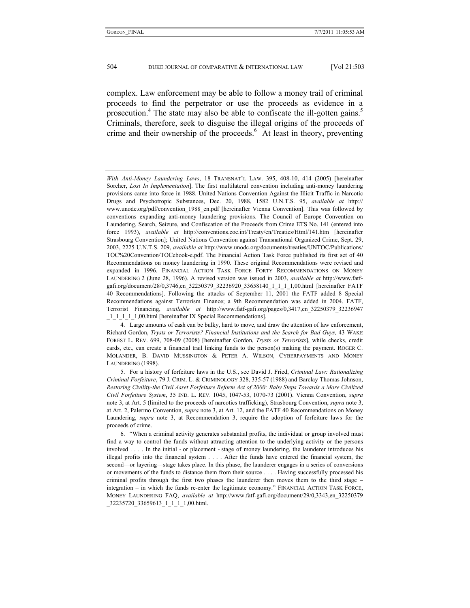complex. Law enforcement may be able to follow a money trail of criminal proceeds to find the perpetrator or use the proceeds as evidence in a prosecution.<sup>4</sup> The state may also be able to confiscate the ill-gotten gains.<sup>5</sup> Criminals, therefore, seek to disguise the illegal origins of the proceeds of crime and their ownership of the proceeds.<sup>6</sup> At least in theory, preventing

*With Anti-Money Laundering Laws*, 18 TRANSNAT'L LAW. 395, 408-10, 414 (2005) [hereinafter Sorcher, *Lost In Implementation*]. The first multilateral convention including anti-money laundering provisions came into force in 1988. United Nations Convention Against the Illicit Traffic in Narcotic Drugs and Psychotropic Substances, Dec. 20, 1988, 1582 U.N.T.S. 95, *available at* http:// www.unodc.org/pdf/convention 1988 en.pdf [hereinafter Vienna Convention]. This was followed by conventions expanding anti-money laundering provisions. The Council of Europe Convention on Laundering, Search, Seizure, and Confiscation of the Proceeds from Crime ETS No. 141 (entered into force 1993), *available at* http://conventions.coe.int/Treaty/en/Treaties/Html/141.htm [hereinafter Strasbourg Convention]; United Nations Convention against Transnational Organized Crime, Sept. 29, 2003, 2225 U.N.T.S. 209, *available at* http://www.unodc.org/documents/treaties/UNTOC/Publications/ TOC%20Convention/TOCebook-e.pdf. The Financial Action Task Force published its first set of 40 Recommendations on money laundering in 1990. These original Recommendations were revised and expanded in 1996. FINANCIAL ACTION TASK FORCE FORTY RECOMMENDATIONS ON MONEY LAUNDERING 2 (June 28, 1996). A revised version was issued in 2003, *available at* http://www.fatfgafi.org/document/28/0,3746,en\_32250379\_32236920\_33658140\_1\_1\_1\_1,00.html [hereinafter FATF 40 Recommendations]. Following the attacks of September 11, 2001 the FATF added 8 Special Recommendations against Terrorism Finance; a 9th Recommendation was added in 2004. FATF, Terrorist Financing, *available at* http://www.fatf-gafi.org/pages/0,3417,en\_32250379\_32236947 \_1\_1\_1\_1\_1,00.html [hereinafter IX Special Recommendations].

 <sup>4.</sup> Large amounts of cash can be bulky, hard to move, and draw the attention of law enforcement, Richard Gordon, *Trysts or Terrorists? Financial Institutions and the Search for Bad Guys,* 43 WAKE FOREST L. REV. 699, 708-09 (2008) [hereinafter Gordon, *Trysts or Terrorists*], while checks, credit cards, etc., can create a financial trail linking funds to the person(s) making the payment. ROGER C. MOLANDER, B. DAVID MUSSINGTON & PETER A. WILSON, CYBERPAYMENTS AND MONEY LAUNDERING (1998).

 <sup>5.</sup> For a history of forfeiture laws in the U.S., see David J. Fried, *Criminal Law: Rationalizing Criminal Forfeiture*, 79 J. CRIM. L. & CRIMINOLOGY 328, 335-57 (1988) and Barclay Thomas Johnson, *Restoring Civility-the Civil Asset Forfeiture Reform Act of 2000: Baby Steps Towards a More Civilized Civil Forfeiture System*, 35 IND. L. REV. 1045, 1047-53, 1070-73 (2001). Vienna Convention, *supra* note 3, at Art. 5 (limited to the proceeds of narcotics trafficking), Strasbourg Convention, *supra* note 3, at Art. 2, Palermo Convention, *supra* note 3, at Art. 12, and the FATF 40 Recommendations on Money Laundering, *supra* note 3, at Recommendation 3, require the adoption of forfeiture laws for the proceeds of crime.

 <sup>6. &</sup>quot;When a criminal activity generates substantial profits, the individual or group involved must find a way to control the funds without attracting attention to the underlying activity or the persons involved . . . . In the initial - or placement - stage of money laundering, the launderer introduces his illegal profits into the financial system . . . . After the funds have entered the financial system, the second—or layering—stage takes place. In this phase, the launderer engages in a series of conversions or movements of the funds to distance them from their source . . . . Having successfully processed his criminal profits through the first two phases the launderer then moves them to the third stage – integration – in which the funds re-enter the legitimate economy." FINANCIAL ACTION TASK FORCE, MONEY LAUNDERING FAQ, *available at* http://www.fatf-gafi.org/document/29/0,3343,en\_32250379 \_32235720\_33659613\_1\_1\_1\_1,00.html.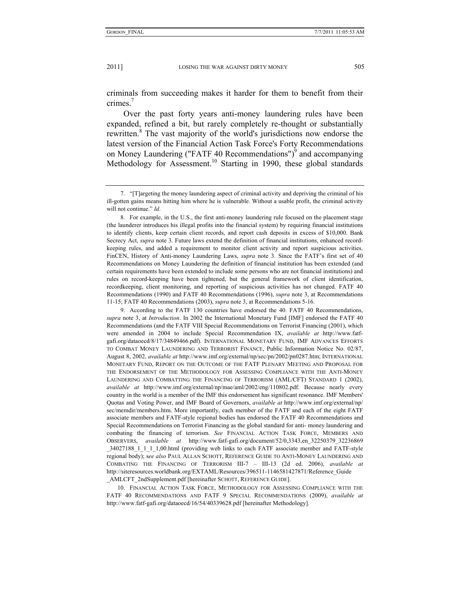criminals from succeeding makes it harder for them to benefit from their crimes<sup>7</sup>

Over the past forty years anti-money laundering rules have been expanded, refined a bit, but rarely completely re-thought or substantially rewritten.<sup>8</sup> The vast majority of the world's jurisdictions now endorse the latest version of the Financial Action Task Force's Forty Recommendations on Money Laundering ("FATF 40 Recommendations") $\delta$  and accompanying Methodology for Assessment.<sup>10</sup> Starting in 1990, these global standards

 9. According to the FATF 130 countries have endorsed the 40. FATF 40 Recommendations, *supra* note 3, at *Introduction*. In 2002 the International Monetary Fund [IMF] endorsed the FATF 40 Recommendations (and the FATF VIII Special Recommendations on Terrorist Financing (2001), which were amended in 2004 to include Special Recommendation IX, *available at* http://www.fatfgafi.org/dataoecd/8/17/34849466.pdf). INTERNATIONAL MONETARY FUND, IMF ADVANCES EFFORTS TO COMBAT MONEY LAUNDERING AND TERRORIST FINANCE, Public Information Notice No. 02/87, August 8, 2002, *available at* http://www.imf.org/external/np/sec/pn/2002/pn0287.htm; INTERNATIONAL MONETARY FUND, REPORT ON THE OUTCOME OF THE FATF PLENARY MEETING AND PROPOSAL FOR THE ENDORSEMENT OF THE METHODOLOGY FOR ASSESSING COMPLIANCE WITH THE ANTI-MONEY LAUNDERING AND COMBATTING THE FINANCING OF TERRORISM (AML/CFT) STANDARD 1 (2002), *available at* http://www.imf.org/external/np/mae/aml/2002/eng/110802.pdf. Because nearly every country in the world is a member of the IMF this endorsement has significant resonance. IMF Members' Quotas and Voting Power, and IMF Board of Governors, *available at* http://www.imf.org/external/np/ sec/memdir/members.htm. More importantly, each member of the FATF and each of the eight FATF associate members and FATF-style regional bodies has endorsed the FATF 40 Recommendations and Special Recommendations on Terrorist Financing as the global standard for anti- money laundering and combating the financing of terrorism. *See* FINANCIAL ACTION TASK FORCE, MEMBERS AND OBSERVERS, *available at* http://www.fatf-gafi.org/document/52/0,3343,en\_32250379\_32236869 \_34027188\_1\_1\_1\_1,00.html (providing web links to each FATF associate member and FATF-style regional body); s*ee also* PAUL ALLAN SCHOTT, REFERENCE GUIDE TO ANTI-MONEY LAUNDERING AND COMBATING THE FINANCING OF TERRORISM III-7 – III-13 (2d ed. 2006), *available at*  http://siteresources.worldbank.org/EXTAML/Resources/396511-1146581427871/Reference\_Guide \_AMLCFT\_2ndSupplement.pdf [hereinafter SCHOTT, REFERENCE GUIDE].

 10. FINANCIAL ACTION TASK FORCE, METHODOLOGY FOR ASSESSING COMPLIANCE WITH THE FATF 40 RECOMMENDATIONS AND FATF 9 SPECIAL RECOMMENDATIONS (2009), *available at*  http://www.fatf-gafi.org/dataoecd/16/54/40339628.pdf [hereinafter Methodology].

 <sup>7. &</sup>quot;[T]argeting the money laundering aspect of criminal activity and depriving the criminal of his ill-gotten gains means hitting him where he is vulnerable. Without a usable profit, the criminal activity will not continue." *Id*.

 <sup>8.</sup> For example, in the U.S., the first anti-money laundering rule focused on the placement stage (the launderer introduces his illegal profits into the financial system) by requiring financial institutions to identify clients, keep certain client records, and report cash deposits in excess of \$10,000. Bank Secrecy Act, *supra* note 3. Future laws extend the definition of financial institutions, enhanced recordkeeping rules, and added a requirement to monitor client activity and report suspicious activities. FinCEN, History of Anti-money Laundering Laws, *supra* note 3. Since the FATF's first set of 40 Recommendations on Money Laundering the definition of financial institution has been extended (and certain requirements have been extended to include some persons who are not financial institutions) and rules on record-keeping have been tightened, but the general framework of client identification, recordkeeping, client monitoring, and reporting of suspicious activities has not changed. FATF 40 Recommendations (1990) and FATF 40 Recommendations (1996), *supra* note 3, at Recommendations 11-15; FATF 40 Recommendations (2003), *supra* note 3, at Recommendations 5-16.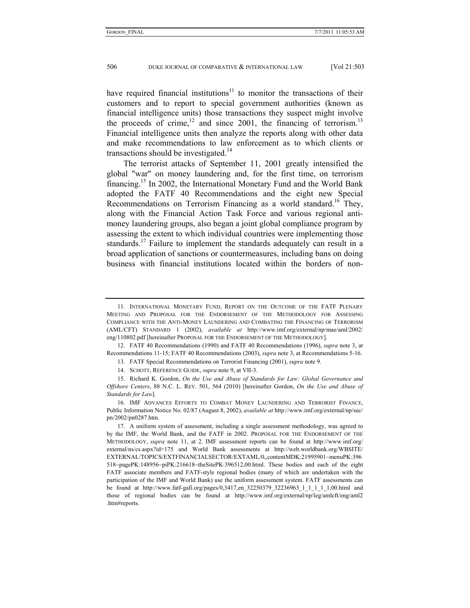have required financial institutions $11$  to monitor the transactions of their customers and to report to special government authorities (known as financial intelligence units) those transactions they suspect might involve the proceeds of crime,<sup>12</sup> and since 2001, the financing of terrorism.<sup>13</sup> Financial intelligence units then analyze the reports along with other data and make recommendations to law enforcement as to which clients or transactions should be investigated.<sup>14</sup>

The terrorist attacks of September 11, 2001 greatly intensified the global "war" on money laundering and, for the first time, on terrorism financing.15 In 2002, the International Monetary Fund and the World Bank adopted the FATF 40 Recommendations and the eight new Special Recommendations on Terrorism Financing as a world standard.<sup>16</sup> They, along with the Financial Action Task Force and various regional antimoney laundering groups, also began a joint global compliance program by assessing the extent to which individual countries were implementing those standards.<sup>17</sup> Failure to implement the standards adequately can result in a broad application of sanctions or countermeasures, including bans on doing business with financial institutions located within the borders of non-

 <sup>11.</sup> INTERNATIONAL MONETARY FUND, REPORT ON THE OUTCOME OF THE FATF PLENARY MEETING AND PROPOSAL FOR THE ENDORSEMENT OF THE METHODOLOGY FOR ASSESSING COMPLIANCE WITH THE ANTI-MONEY LAUNDERING AND COMBATING THE FINANCING OF TERRORISM (AML/CFT) STANDARD 1 (2002), *available at* http://www.imf.org/external/np/mae/aml/2002/ eng/110802.pdf [hereinafter PROPOSAL FOR THE ENDORSEMENT OF THE METHODOLOGY].

 <sup>12.</sup> FATF 40 Recommendations (1990) and FATF 40 Recommendations (1996), *supra* note 3, at Recommendations 11-15; FATF 40 Recommendations (2003), *supra* note 3, at Recommendations 5-16.

 <sup>13.</sup> FATF Special Recommendations on Terrorist Financing (2001), *supra* note 9.

 <sup>14.</sup> SCHOTT, REFERENCE GUIDE, *supra* note 9, at VII-3.

 <sup>15.</sup> Richard K. Gordon, *On the Use and Abuse of Standards for Law: Global Governance and Offshore Centers*, 88 N.C. L. REV. 501, 564 (2010) [hereinafter Gordon, *On the Use and Abuse of Standards for Law*].

 <sup>16.</sup> IMF ADVANCES EFFORTS TO COMBAT MONEY LAUNDERING AND TERRORIST FINANCE, Public Information Notice No. 02/87 (August 8, 2002), *available at* http://www.imf.org/external/np/sec/ pn/2002/pn0287.htm.

 <sup>17.</sup> A uniform system of assessment, including a single assessment methodology, was agreed to by the IMF, the World Bank, and the FATF in 2002. PROPOSAL FOR THE ENDORSEMENT OF THE METHODOLOGY, *supra* note 11, at 2. IMF assessment reports can be found at http://www.imf.org/ external/ns/cs.aspx?id=175 and World Bank assessments at http://web.worldbank.org/WBSITE/ EXTERNAL/TOPICS/EXTFINANCIALSECTOR/EXTAML/0,,contentMDK:21995901~menuPK:396 518~pagePK:148956~piPK:216618~theSitePK:396512,00.html. These bodies and each of the eight FATF associate members and FATF-style regional bodies (many of which are undertaken with the participation of the IMF and World Bank) use the uniform assessment system. FATF assessments can be found at http://www.fatf-gafi.org/pages/0,3417,en 32250379 32236963 1 1 1 1 1,00.html and those of regional bodies can be found at http://www.imf.org/external/np/leg/amlcft/eng/aml2 .htm#reports.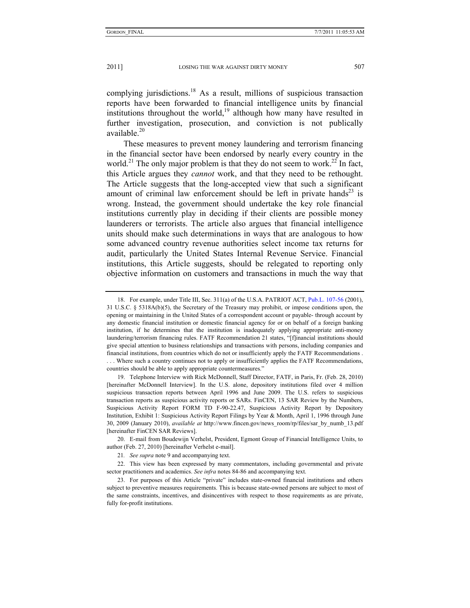complying jurisdictions.<sup>18</sup> As a result, millions of suspicious transaction reports have been forwarded to financial intelligence units by financial institutions throughout the world,<sup>19</sup> although how many have resulted in further investigation, prosecution, and conviction is not publically available. $20$ 

These measures to prevent money laundering and terrorism financing in the financial sector have been endorsed by nearly every country in the world.<sup>21</sup> The only major problem is that they do not seem to work.<sup>22</sup> In fact, this Article argues they *cannot* work, and that they need to be rethought. The Article suggests that the long-accepted view that such a significant amount of criminal law enforcement should be left in private hands<sup>23</sup> is wrong. Instead, the government should undertake the key role financial institutions currently play in deciding if their clients are possible money launderers or terrorists. The article also argues that financial intelligence units should make such determinations in ways that are analogous to how some advanced country revenue authorities select income tax returns for audit, particularly the United States Internal Revenue Service. Financial institutions, this Article suggests, should be relegated to reporting only objective information on customers and transactions in much the way that

 20. E-mail from Boudewijn Verhelst, President, Egmont Group of Financial Intelligence Units, to author (Feb. 27, 2010) [hereinafter Verhelst e-mail].

 <sup>18.</sup> For example, under Title III, Sec. 311(a) of the U.S.A. PATRIOT ACT, Pub.L. 107-56 (2001), 31 U.S.C. § 5318A(b)(5), the Secretary of the Treasury may prohibit, or impose conditions upon, the opening or maintaining in the United States of a correspondent account or payable- through account by any domestic financial institution or domestic financial agency for or on behalf of a foreign banking institution, if he determines that the institution is inadequately applying appropriate anti-money laundering/terrorism financing rules. FATF Recommendation 21 states, "[f]inancial institutions should give special attention to business relationships and transactions with persons, including companies and financial institutions, from countries which do not or insufficiently apply the FATF Recommendations . . . . Where such a country continues not to apply or insufficiently applies the FATF Recommendations, countries should be able to apply appropriate countermeasures."

 <sup>19.</sup> Telephone Interview with Rick McDonnell, Staff Director, FATF, in Paris, Fr. (Feb. 28, 2010) [hereinafter McDonnell Interview]. In the U.S. alone, depository institutions filed over 4 million suspicious transaction reports between April 1996 and June 2009. The U.S. refers to suspicious transaction reports as suspicious activity reports or SARs. FinCEN, 13 SAR Review by the Numbers, Suspicious Activity Report FORM TD F-90-22.47, Suspicious Activity Report by Depository Institution, Exhibit 1: Suspicious Activity Report Filings by Year & Month, April 1, 1996 through June 30, 2009 (January 2010), *available at* http://www.fincen.gov/news\_room/rp/files/sar\_by\_numb\_13.pdf [hereinafter FinCEN SAR Reviews].

<sup>21</sup>*. See supra* note 9 and accompanying text.

 <sup>22.</sup> This view has been expressed by many commentators, including governmental and private sector practitioners and academics. *See infra* notes 84-86 and accompanying text.

 <sup>23.</sup> For purposes of this Article "private" includes state-owned financial institutions and others subject to preventive measures requirements. This is because state-owned persons are subject to most of the same constraints, incentives, and disincentives with respect to those requirements as are private, fully for-profit institutions.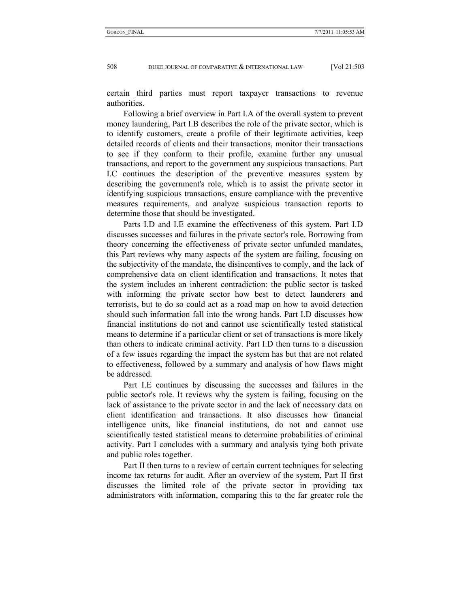certain third parties must report taxpayer transactions to revenue authorities.

Following a brief overview in Part I.A of the overall system to prevent money laundering, Part I.B describes the role of the private sector, which is to identify customers, create a profile of their legitimate activities, keep detailed records of clients and their transactions, monitor their transactions to see if they conform to their profile, examine further any unusual transactions, and report to the government any suspicious transactions. Part I.C continues the description of the preventive measures system by describing the government's role, which is to assist the private sector in identifying suspicious transactions, ensure compliance with the preventive measures requirements, and analyze suspicious transaction reports to determine those that should be investigated.

Parts I.D and I.E examine the effectiveness of this system. Part I.D discusses successes and failures in the private sector's role. Borrowing from theory concerning the effectiveness of private sector unfunded mandates, this Part reviews why many aspects of the system are failing, focusing on the subjectivity of the mandate, the disincentives to comply, and the lack of comprehensive data on client identification and transactions. It notes that the system includes an inherent contradiction: the public sector is tasked with informing the private sector how best to detect launderers and terrorists, but to do so could act as a road map on how to avoid detection should such information fall into the wrong hands. Part I.D discusses how financial institutions do not and cannot use scientifically tested statistical means to determine if a particular client or set of transactions is more likely than others to indicate criminal activity. Part I.D then turns to a discussion of a few issues regarding the impact the system has but that are not related to effectiveness, followed by a summary and analysis of how flaws might be addressed.

Part I.E continues by discussing the successes and failures in the public sector's role. It reviews why the system is failing, focusing on the lack of assistance to the private sector in and the lack of necessary data on client identification and transactions. It also discusses how financial intelligence units, like financial institutions, do not and cannot use scientifically tested statistical means to determine probabilities of criminal activity. Part I concludes with a summary and analysis tying both private and public roles together.

Part II then turns to a review of certain current techniques for selecting income tax returns for audit. After an overview of the system, Part II first discusses the limited role of the private sector in providing tax administrators with information, comparing this to the far greater role the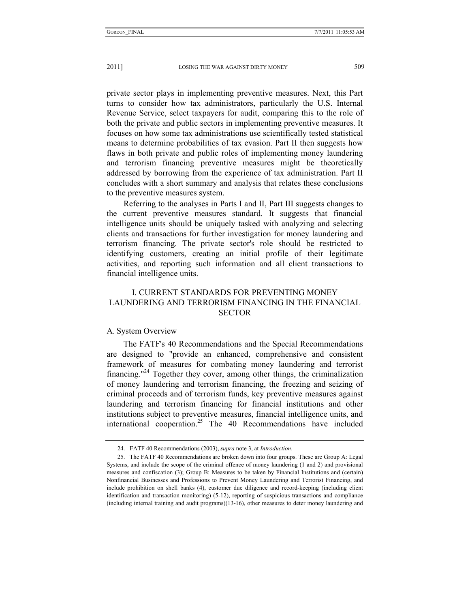private sector plays in implementing preventive measures. Next, this Part turns to consider how tax administrators, particularly the U.S. Internal Revenue Service, select taxpayers for audit, comparing this to the role of both the private and public sectors in implementing preventive measures. It focuses on how some tax administrations use scientifically tested statistical means to determine probabilities of tax evasion. Part II then suggests how flaws in both private and public roles of implementing money laundering and terrorism financing preventive measures might be theoretically addressed by borrowing from the experience of tax administration. Part II concludes with a short summary and analysis that relates these conclusions to the preventive measures system.

Referring to the analyses in Parts I and II, Part III suggests changes to the current preventive measures standard. It suggests that financial intelligence units should be uniquely tasked with analyzing and selecting clients and transactions for further investigation for money laundering and terrorism financing. The private sector's role should be restricted to identifying customers, creating an initial profile of their legitimate activities, and reporting such information and all client transactions to financial intelligence units.

# I. CURRENT STANDARDS FOR PREVENTING MONEY LAUNDERING AND TERRORISM FINANCING IN THE FINANCIAL **SECTOR**

# A. System Overview

The FATF's 40 Recommendations and the Special Recommendations are designed to "provide an enhanced, comprehensive and consistent framework of measures for combating money laundering and terrorist financing."<sup>24</sup> Together they cover, among other things, the criminalization of money laundering and terrorism financing, the freezing and seizing of criminal proceeds and of terrorism funds, key preventive measures against laundering and terrorism financing for financial institutions and other institutions subject to preventive measures, financial intelligence units, and international cooperation.25 The 40 Recommendations have included

 <sup>24.</sup> FATF 40 Recommendations (2003), *supra* note 3, at *Introduction*.

 <sup>25.</sup> The FATF 40 Recommendations are broken down into four groups. These are Group A: Legal Systems, and include the scope of the criminal offence of money laundering (1 and 2) and provisional measures and confiscation (3); Group B: Measures to be taken by Financial Institutions and (certain) Nonfinancial Businesses and Professions to Prevent Money Laundering and Terrorist Financing, and include prohibition on shell banks (4), customer due diligence and record-keeping (including client identification and transaction monitoring) (5-12), reporting of suspicious transactions and compliance (including internal training and audit programs)(13-16), other measures to deter money laundering and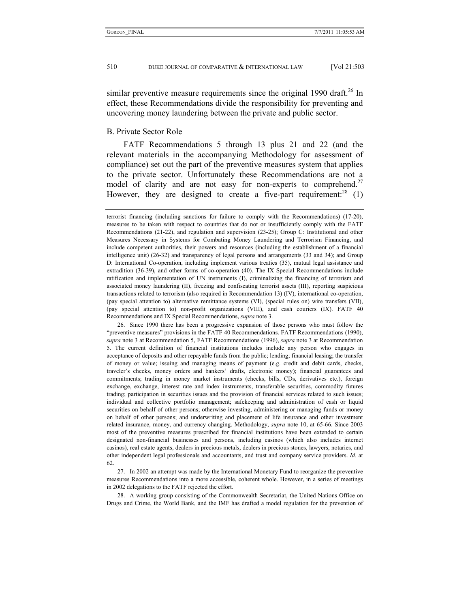similar preventive measure requirements since the original  $1990$  draft.<sup>26</sup> In effect, these Recommendations divide the responsibility for preventing and uncovering money laundering between the private and public sector.

# B. Private Sector Role

FATF Recommendations 5 through 13 plus 21 and 22 (and the relevant materials in the accompanying Methodology for assessment of compliance) set out the part of the preventive measures system that applies to the private sector. Unfortunately these Recommendations are not a model of clarity and are not easy for non-experts to comprehend.<sup>27</sup> However, they are designed to create a five-part requirement:<sup>28</sup>  $(1)$ 

 26. Since 1990 there has been a progressive expansion of those persons who must follow the "preventive measures" provisions in the FATF 40 Recommendations. FATF Recommendations (1990), *supra* note 3 at Recommendation 5, FATF Recommendations (1996), *supra* note 3 at Recommendation 5. The current definition of financial institutions includes include any person who engages in acceptance of deposits and other repayable funds from the public; lending; financial leasing; the transfer of money or value; issuing and managing means of payment (e.g. credit and debit cards, checks, traveler's checks, money orders and bankers' drafts, electronic money); financial guarantees and commitments; trading in money market instruments (checks, bills, CDs, derivatives etc.), foreign exchange, exchange, interest rate and index instruments, transferable securities, commodity futures trading; participation in securities issues and the provision of financial services related to such issues; individual and collective portfolio management; safekeeping and administration of cash or liquid securities on behalf of other persons; otherwise investing, administering or managing funds or money on behalf of other persons; and underwriting and placement of life insurance and other investment related insurance, money, and currency changing. Methodology, *supra* note 10, at 65-66. Since 2003 most of the preventive measures prescribed for financial institutions have been extended to certain designated non-financial businesses and persons, including casinos (which also includes internet casinos), real estate agents, dealers in precious metals, dealers in precious stones, lawyers, notaries, and other independent legal professionals and accountants, and trust and company service providers. *Id.* at 62.

 27. In 2002 an attempt was made by the International Monetary Fund to reorganize the preventive measures Recommendations into a more accessible, coherent whole. However, in a series of meetings in 2002 delegations to the FATF rejected the effort.

 28. A working group consisting of the Commonwealth Secretariat, the United Nations Office on Drugs and Crime, the World Bank, and the IMF has drafted a model regulation for the prevention of

terrorist financing (including sanctions for failure to comply with the Recommendations) (17-20), measures to be taken with respect to countries that do not or insufficiently comply with the FATF Recommendations (21-22), and regulation and supervision (23-25); Group C: Institutional and other Measures Necessary in Systems for Combating Money Laundering and Terrorism Financing, and include competent authorities, their powers and resources (including the establishment of a financial intelligence unit) (26-32) and transparency of legal persons and arrangements (33 and 34); and Group D: International Co-operation, including implement various treaties (35), mutual legal assistance and extradition (36-39), and other forms of co-operation (40). The IX Special Recommendations include ratification and implementation of UN instruments (I), criminalizing the financing of terrorism and associated money laundering (II), freezing and confiscating terrorist assets (III), reporting suspicious transactions related to terrorism (also required in Recommendation 13) (IV), international co-operation, (pay special attention to) alternative remittance systems (VI), (special rules on) wire transfers (VII), (pay special attention to) non-profit organizations (VIII), and cash couriers (IX). FATF 40 Recommendations and IX Special Recommendations, *supra* note 3.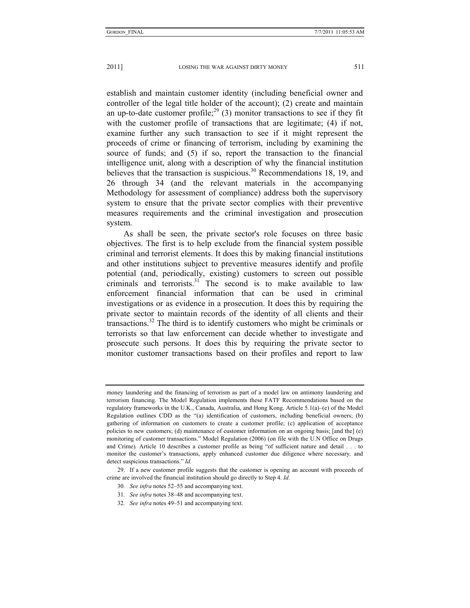establish and maintain customer identity (including beneficial owner and controller of the legal title holder of the account); (2) create and maintain an up-to-date customer profile;<sup>29</sup> (3) monitor transactions to see if they fit with the customer profile of transactions that are legitimate; (4) if not, examine further any such transaction to see if it might represent the proceeds of crime or financing of terrorism, including by examining the source of funds; and (5) if so, report the transaction to the financial intelligence unit, along with a description of why the financial institution believes that the transaction is suspicious.<sup>30</sup> Recommendations 18, 19, and 26 through 34 (and the relevant materials in the accompanying Methodology for assessment of compliance) address both the supervisory system to ensure that the private sector complies with their preventive measures requirements and the criminal investigation and prosecution system.

As shall be seen, the private sector's role focuses on three basic objectives. The first is to help exclude from the financial system possible criminal and terrorist elements. It does this by making financial institutions and other institutions subject to preventive measures identify and profile potential (and, periodically, existing) customers to screen out possible criminals and terrorists.<sup>31</sup> The second is to make available to law enforcement financial information that can be used in criminal investigations or as evidence in a prosecution. It does this by requiring the private sector to maintain records of the identity of all clients and their transactions.<sup>32</sup> The third is to identify customers who might be criminals or terrorists so that law enforcement can decide whether to investigate and prosecute such persons. It does this by requiring the private sector to monitor customer transactions based on their profiles and report to law

money laundering and the financing of terrorism as part of a model law on antimony laundering and terrorism financing. The Model Regulation implements these FATF Recommendations based on the regulatory frameworks in the U.K., Canada, Australia, and Hong Kong. Article 5.1(a)–(e) of the Model Regulation outlines CDD as the "(a) identification of customers, including beneficial owners; (b) gathering of information on customers to create a customer profile; (c) application of acceptance policies to new customers; (d) maintenance of customer information on an ongoing basis; [and the] (e) monitoring of customer transactions." Model Regulation (2006) (on file with the U.N Office on Drugs and Crime)*.* Article 10 describes a customer profile as being "of sufficient nature and detail . . . to monitor the customer's transactions, apply enhanced customer due diligence where necessary*,* and detect suspicious transactions." *Id.*

 <sup>29.</sup> If a new customer profile suggests that the customer is opening an account with proceeds of crime are involved the financial institution should go directly to Step 4. *Id.*

<sup>30</sup>*. See infra* notes 52–55 and accompanying text.

<sup>31</sup>*. See infra* notes 38–48 and accompanying text.

<sup>32</sup>*. See infra* notes 49–51 and accompanying text.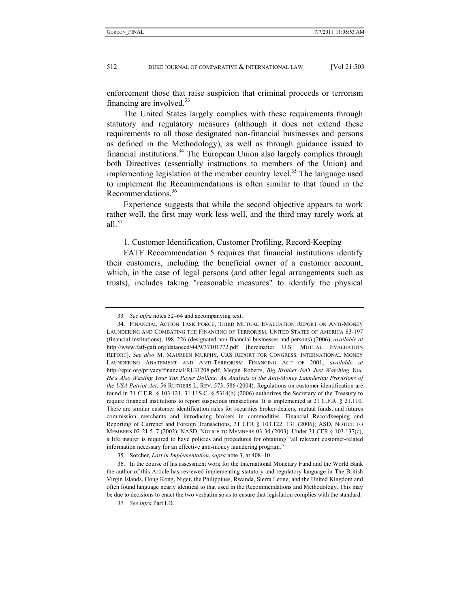enforcement those that raise suspicion that criminal proceeds or terrorism financing are involved. $33$ 

The United States largely complies with these requirements through statutory and regulatory measures (although it does not extend these requirements to all those designated non-financial businesses and persons as defined in the Methodology), as well as through guidance issued to financial institutions.<sup>34</sup> The European Union also largely complies through both Directives (essentially instructions to members of the Union) and implementing legislation at the member country level.<sup>35</sup> The language used to implement the Recommendations is often similar to that found in the Recommendations.<sup>36</sup>

Experience suggests that while the second objective appears to work rather well, the first may work less well, and the third may rarely work at all. $37$ 

1. Customer Identification, Customer Profiling, Record-Keeping

FATF Recommendation 5 requires that financial institutions identify their customers, including the beneficial owner of a customer account, which, in the case of legal persons (and other legal arrangements such as trusts), includes taking "reasonable measures" to identify the physical

<sup>33</sup>*. See infra* notes 52–64 and accompanying text.

 <sup>34.</sup> FINANCIAL ACTION TASK FORCE, THIRD MUTUAL EVALUATION REPORT ON ANTI-MONEY LAUNDERING AND COMBATING THE FINANCING OF TERRORISM, UNITED STATES OF AMERICA 83-197 (financial institutions), 198–226 (designated non-financial businesses and persons) (2006), *available at*  http://www.fatf-gafi.org/dataoecd/44/9/37101772.pdf [hereinafter U.S. MUTUAL EVALUATION REPORT]. *See also* M. MAUREEN MURPHY, CRS REPORT FOR CONGRESS: INTERNATIONAL MONEY LAUNDERING ABATEMENT AND ANTI-TERRORISM FINANCING ACT OF 2001, *available at*  http://epic.org/privacy/financial/RL31208.pdf; Megan Roberts, *Big Brother Isn't Just Watching You, He's Also Wasting Your Tax Payer Dollars: An Analysis of the Anti-Money Laundering Provisions of the USA Patriot Act,* 56 RUTGERS L. REV. 573, 586 (2004). Regulations on customer identification are found in 31 C.F.R. § 103.121. 31 U.S.C. § 5314(b) (2006) authorizes the Secretary of the Treasury to require financial institutions to report suspicious transactions. It is implemented at 21 C.F.R. § 21.110. There are similar customer identification rules for securities broker-dealers, mutual funds, and futures commission merchants and introducing brokers in commodities. Financial Recordkeeping and Reporting of Currenct and Foreign Transactions, 31 CFR § 103.122, 131 (2006); ASD, NOTICE TO MEMBERS 02-21 5–7 (2002); NASD, NOTICE TO MEMBERS 03-34 (2003). Under 31 CFR § 103.137(c), a life insurer is required to have policies and procedures for obtaining "all relevant customer-related information necessary for an effective anti-money laundering program."

 <sup>35.</sup> Sorcher, *Lost in Implementation*, *supra* note 3, at 408–10.

 <sup>36.</sup> In the course of his assessment work for the International Monetary Fund and the World Bank the author of this Article has reviewed implementing statutory and regulatory language in The British Virgin Islands, Hong Kong, Niger, the Philippines, Rwanda, Sierra Leone, and the United Kingdom and often found language nearly identical to that used in the Recommendations and Methodology. This may be due to decisions to enact the two verbatim so as to ensure that legislation complies with the standard.

<sup>37</sup>*. See infra* Part I.D.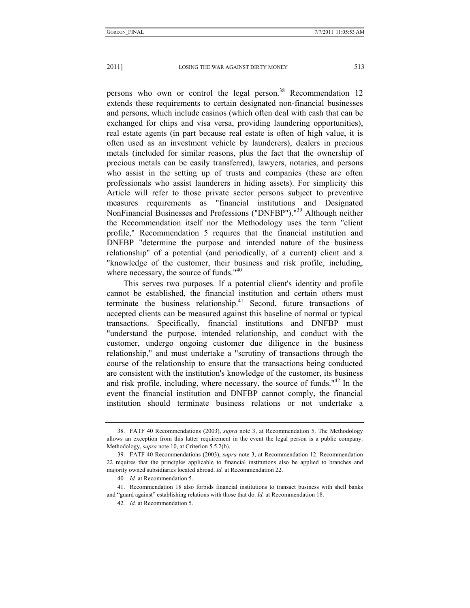persons who own or control the legal person.<sup>38</sup> Recommendation 12 extends these requirements to certain designated non-financial businesses and persons, which include casinos (which often deal with cash that can be exchanged for chips and visa versa, providing laundering opportunities), real estate agents (in part because real estate is often of high value, it is often used as an investment vehicle by launderers), dealers in precious metals (included for similar reasons, plus the fact that the ownership of precious metals can be easily transferred), lawyers, notaries, and persons who assist in the setting up of trusts and companies (these are often professionals who assist launderers in hiding assets). For simplicity this Article will refer to those private sector persons subject to preventive measures requirements as "financial institutions and Designated NonFinancial Businesses and Professions ("DNFBP")."39 Although neither the Recommendation itself nor the Methodology uses the term "client profile," Recommendation 5 requires that the financial institution and DNFBP "determine the purpose and intended nature of the business relationship" of a potential (and periodically, of a current) client and a "knowledge of the customer, their business and risk profile, including, where necessary, the source of funds."<sup>40</sup>

This serves two purposes. If a potential client's identity and profile cannot be established, the financial institution and certain others must terminate the business relationship. $41$  Second, future transactions of accepted clients can be measured against this baseline of normal or typical transactions. Specifically, financial institutions and DNFBP must "understand the purpose, intended relationship, and conduct with the customer, undergo ongoing customer due diligence in the business relationship," and must undertake a "scrutiny of transactions through the course of the relationship to ensure that the transactions being conducted are consistent with the institution's knowledge of the customer, its business and risk profile, including, where necessary, the source of funds."42 In the event the financial institution and DNFBP cannot comply, the financial institution should terminate business relations or not undertake a

 <sup>38.</sup> FATF 40 Recommendations (2003), *supra* note 3, at Recommendation 5. The Methodology allows an exception from this latter requirement in the event the legal person is a public company. Methodology, *supra* note 10, at Criterion 5.5.2(b).

 <sup>39.</sup> FATF 40 Recommendations (2003), *supra* note 3, at Recommendation 12. Recommendation 22 requires that the principles applicable to financial institutions also be applied to branches and majority owned subsidiaries located abroad. *Id.* at Recommendation 22.

<sup>40</sup>*. Id.* at Recommendation 5.

 <sup>41.</sup> Recommendation 18 also forbids financial institutions to transact business with shell banks and "guard against" establishing relations with those that do. *Id.* at Recommendation 18.

<sup>42</sup>*. Id.* at Recommendation 5.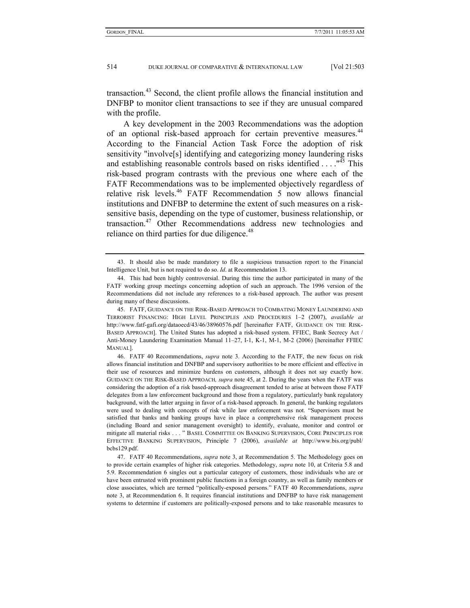transaction.<sup>43</sup> Second, the client profile allows the financial institution and DNFBP to monitor client transactions to see if they are unusual compared with the profile.

A key development in the 2003 Recommendations was the adoption of an optional risk-based approach for certain preventive measures.<sup>44</sup> According to the Financial Action Task Force the adoption of risk sensitivity "involve[s] identifying and categorizing money laundering risks and establishing reasonable controls based on risks identified  $\dots$ .  $145$  This risk-based program contrasts with the previous one where each of the FATF Recommendations was to be implemented objectively regardless of relative risk levels.<sup>46</sup> FATF Recommendation 5 now allows financial institutions and DNFBP to determine the extent of such measures on a risksensitive basis, depending on the type of customer, business relationship, or transaction.<sup>47</sup> Other Recommendations address new technologies and reliance on third parties for due diligence.<sup>48</sup>

 45. FATF, GUIDANCE ON THE RISK-BASED APPROACH TO COMBATING MONEY LAUNDERING AND TERRORIST FINANCING: HIGH LEVEL PRINCIPLES AND PROCEDURES 1–2 (2007), *available at* http://www.fatf-gafi.org/dataoecd/43/46/38960576.pdf [hereinafter FATF, GUIDANCE ON THE RISK-BASED APPROACH]. The United States has adopted a risk-based system. FFIEC, Bank Secrecy Act / Anti-Money Laundering Examination Manual 11–27, I-1, K-1, M-1, M-2 (2006) [hereinafter FFIEC MANUAL].

 46. FATF 40 Recommendations, *supra* note 3. According to the FATF, the new focus on risk allows financial institution and DNFBP and supervisory authorities to be more efficient and effective in their use of resources and minimize burdens on customers, although it does not say exactly how. GUIDANCE ON THE RISK-BASED APPROACH*, supra* note 45, at 2. During the years when the FATF was considering the adoption of a risk based-approach disagreement tended to arise at between those FATF delegates from a law enforcement background and those from a regulatory, particularly bank regulatory background, with the latter arguing in favor of a risk-based approach. In general, the banking regulators were used to dealing with concepts of risk while law enforcement was not. "Supervisors must be satisfied that banks and banking groups have in place a comprehensive risk management process (including Board and senior management oversight) to identify, evaluate, monitor and control or mitigate all material risks . . . " BASEL COMMITTEE ON BANKING SUPERVISION, CORE PRINCIPLES FOR EFFECTIVE BANKING SUPERVISION, Principle 7 (2006), *available at* http://www.bis.org/publ/ bcbs129.pdf.

 47. FATF 40 Recommendations, *supra* note 3, at Recommendation 5. The Methodology goes on to provide certain examples of higher risk categories. Methodology, *supra* note 10, at Criteria 5.8 and 5.9. Recommendation 6 singles out a particular category of customers, those individuals who are or have been entrusted with prominent public functions in a foreign country, as well as family members or close associates, which are termed "politically-exposed persons." FATF 40 Recommendations, *supra*  note 3, at Recommendation 6. It requires financial institutions and DNFBP to have risk management systems to determine if customers are politically-exposed persons and to take reasonable measures to

 <sup>43.</sup> It should also be made mandatory to file a suspicious transaction report to the Financial Intelligence Unit, but is not required to do so. *Id*. at Recommendation 13.

 <sup>44.</sup> This had been highly controversial. During this time the author participated in many of the FATF working group meetings concerning adoption of such an approach. The 1996 version of the Recommendations did not include any references to a risk-based approach. The author was present during many of these discussions.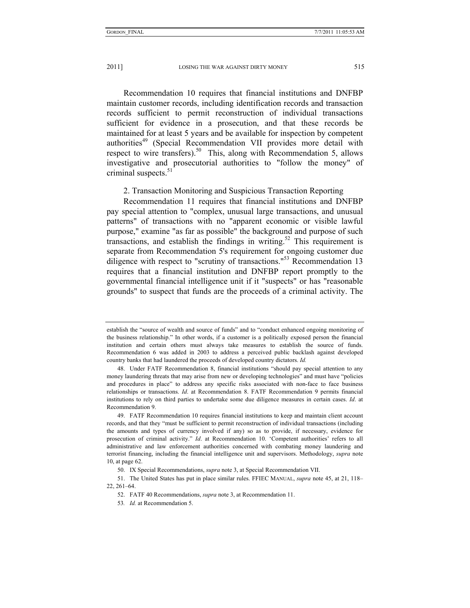Recommendation 10 requires that financial institutions and DNFBP maintain customer records, including identification records and transaction records sufficient to permit reconstruction of individual transactions sufficient for evidence in a prosecution, and that these records be maintained for at least 5 years and be available for inspection by competent authorities<sup>49</sup> (Special Recommendation VII provides more detail with respect to wire transfers).<sup>50</sup> This, along with Recommendation 5, allows investigative and prosecutorial authorities to "follow the money" of criminal suspects. $51$ 

2. Transaction Monitoring and Suspicious Transaction Reporting

Recommendation 11 requires that financial institutions and DNFBP pay special attention to "complex, unusual large transactions, and unusual patterns" of transactions with no "apparent economic or visible lawful purpose," examine "as far as possible" the background and purpose of such transactions, and establish the findings in writing.<sup>52</sup> This requirement is separate from Recommendation 5's requirement for ongoing customer due diligence with respect to "scrutiny of transactions."<sup>53</sup> Recommendation 13 requires that a financial institution and DNFBP report promptly to the governmental financial intelligence unit if it "suspects" or has "reasonable grounds" to suspect that funds are the proceeds of a criminal activity. The

establish the "source of wealth and source of funds" and to "conduct enhanced ongoing monitoring of the business relationship." In other words, if a customer is a politically exposed person the financial institution and certain others must always take measures to establish the source of funds. Recommendation 6 was added in 2003 to address a perceived public backlash against developed country banks that had laundered the proceeds of developed country dictators. *Id.*

 <sup>48.</sup> Under FATF Recommendation 8, financial institutions "should pay special attention to any money laundering threats that may arise from new or developing technologies" and must have "policies and procedures in place" to address any specific risks associated with non-face to face business relationships or transactions. *Id*. at Recommendation 8. FATF Recommendation 9 permits financial institutions to rely on third parties to undertake some due diligence measures in certain cases. *Id*. at Recommendation 9.

 <sup>49.</sup> FATF Recommendation 10 requires financial institutions to keep and maintain client account records, and that they "must be sufficient to permit reconstruction of individual transactions (including the amounts and types of currency involved if any) so as to provide, if necessary, evidence for prosecution of criminal activity." *Id*. at Recommendation 10. 'Competent authorities' refers to all administrative and law enforcement authorities concerned with combating money laundering and terrorist financing, including the financial intelligence unit and supervisors. Methodology, *supra* note 10, at page 62.

 <sup>50.</sup> IX Special Recommendations, *supra* note 3, at Special Recommendation VII.

 <sup>51.</sup> The United States has put in place similar rules. FFIEC MANUAL, *supra* note 45, at 21, 118– 22, 261–64.

 <sup>52.</sup> FATF 40 Recommendations, *supra* note 3, at Recommendation 11.

<sup>53</sup>*. Id.* at Recommendation 5.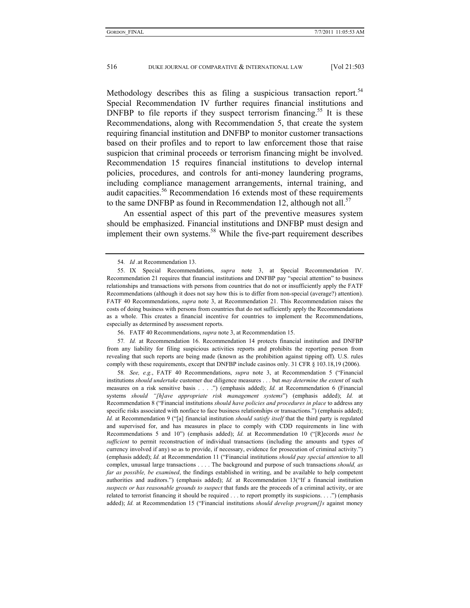Methodology describes this as filing a suspicious transaction report.<sup>54</sup> Special Recommendation IV further requires financial institutions and DNFBP to file reports if they suspect terrorism financing.<sup>55</sup> It is these Recommendations, along with Recommendation 5, that create the system requiring financial institution and DNFBP to monitor customer transactions based on their profiles and to report to law enforcement those that raise suspicion that criminal proceeds or terrorism financing might be involved. Recommendation 15 requires financial institutions to develop internal policies, procedures, and controls for anti-money laundering programs, including compliance management arrangements, internal training, and audit capacities.<sup>56</sup> Recommendation 16 extends most of these requirements to the same DNFBP as found in Recommendation 12, although not all. $57$ 

An essential aspect of this part of the preventive measures system should be emphasized. Financial institutions and DNFBP must design and implement their own systems.<sup>58</sup> While the five-part requirement describes

57*. Id.* at Recommendation 16. Recommendation 14 protects financial institution and DNFBP from any liability for filing suspicious activities reports and prohibits the reporting person from revealing that such reports are being made (known as the prohibition against tipping off). U.S. rules comply with these requirements, except that DNFBP include casinos only. 31 CFR § 103.18,19 (2006).

58*. See, e.g.*, FATF 40 Recommendations, *supra* note 3, at Recommendation 5 ("Financial institutions *should undertake* customer due diligence measures . . . but *may determine the extent* of such measures on a risk sensitive basis . . . .") (emphasis added); *Id.* at Recommendation 6 (Financial systems *should "[h]ave appropriate risk management systems*") (emphasis added); *Id.* at Recommendation 8 ("Financial institutions *should have policies and procedures in place* to address any specific risks associated with nonface to face business relationships or transactions.") (emphasis added); *Id.* at Recommendation 9 ("[a] financial institution *should satisfy itself* that the third party is regulated and supervised for, and has measures in place to comply with CDD requirements in line with Recommendations 5 and 10") (emphasis added); *Id.* at Recommendation 10 ("[R]ecords *must be sufficient* to permit reconstruction of individual transactions (including the amounts and types of currency involved if any) so as to provide, if necessary, evidence for prosecution of criminal activity.") (emphasis added); *Id.* at Recommendation 11 ("Financial institutions *should pay special attention* to all complex, unusual large transactions . . . . The background and purpose of such transactions *should, as far as possible, be examined*, the findings established in writing, and be available to help competent authorities and auditors.") (emphasis added); *Id.* at Recommendation 13("If a financial institution *suspects or has reasonable grounds to suspect* that funds are the proceeds of a criminal activity, or are related to terrorist financing it should be required . . . to report promptly its suspicions. . . .") (emphasis added); *Id.* at Recommendation 15 ("Financial institutions *should develop program[]s* against money

<sup>54</sup>*. Id .*at Recommendation 13.

 <sup>55.</sup> IX Special Recommendations, *supra* note 3, at Special Recommendation IV. Recommendation 21 requires that financial institutions and DNFBP pay "special attention" to business relationships and transactions with persons from countries that do not or insufficiently apply the FATF Recommendations (although it does not say how this is to differ from non-special (average?) attention). FATF 40 Recommendations, *supra* note 3, at Recommendation 21. This Recommendation raises the costs of doing business with persons from countries that do not sufficiently apply the Recommendations as a whole. This creates a financial incentive for countries to implement the Recommendations, especially as determined by assessment reports.

 <sup>56.</sup> FATF 40 Recommendations, *supra* note 3, at Recommendation 15.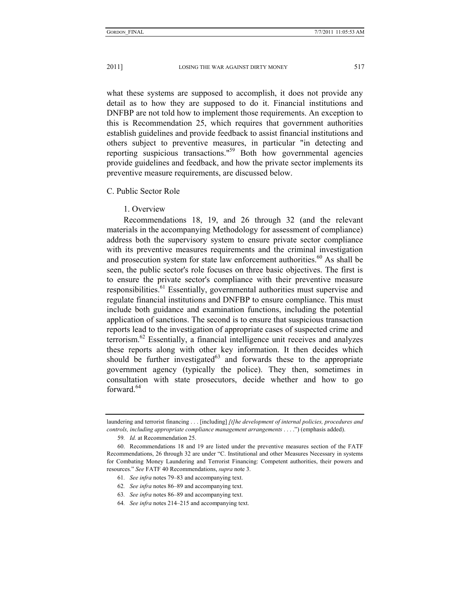what these systems are supposed to accomplish, it does not provide any detail as to how they are supposed to do it. Financial institutions and DNFBP are not told how to implement those requirements. An exception to this is Recommendation 25, which requires that government authorities establish guidelines and provide feedback to assist financial institutions and others subject to preventive measures, in particular "in detecting and reporting suspicious transactions."59 Both how governmental agencies provide guidelines and feedback, and how the private sector implements its preventive measure requirements, are discussed below.

# C. Public Sector Role

# 1. Overview

Recommendations 18, 19, and 26 through 32 (and the relevant materials in the accompanying Methodology for assessment of compliance) address both the supervisory system to ensure private sector compliance with its preventive measures requirements and the criminal investigation and prosecution system for state law enforcement authorities.<sup>60</sup> As shall be seen, the public sector's role focuses on three basic objectives. The first is to ensure the private sector's compliance with their preventive measure responsibilities.61 Essentially, governmental authorities must supervise and regulate financial institutions and DNFBP to ensure compliance. This must include both guidance and examination functions, including the potential application of sanctions. The second is to ensure that suspicious transaction reports lead to the investigation of appropriate cases of suspected crime and terrorism.62 Essentially, a financial intelligence unit receives and analyzes these reports along with other key information. It then decides which should be further investigated $63$  and forwards these to the appropriate government agency (typically the police). They then, sometimes in consultation with state prosecutors, decide whether and how to go forward $64$ 

61*. See infra* notes 79–83 and accompanying text.

- 63*. See infra* notes 86–89 and accompanying text.
- 64*. See infra* notes 214–215 and accompanying text.

laundering and terrorist financing . . . [including] *[t]he development of internal policies, procedures and controls, including appropriate compliance management arrangements* . . . .") (emphasis added).

<sup>59</sup>*. Id.* at Recommendation 25.

 <sup>60.</sup> Recommendations 18 and 19 are listed under the preventive measures section of the FATF Recommendations, 26 through 32 are under "C. Institutional and other Measures Necessary in systems for Combating Money Laundering and Terrorist Financing: Competent authorities, their powers and resources." *See* FATF 40 Recommendations, *supra* note 3.

<sup>62</sup>*. See infra* notes 86–89 and accompanying text.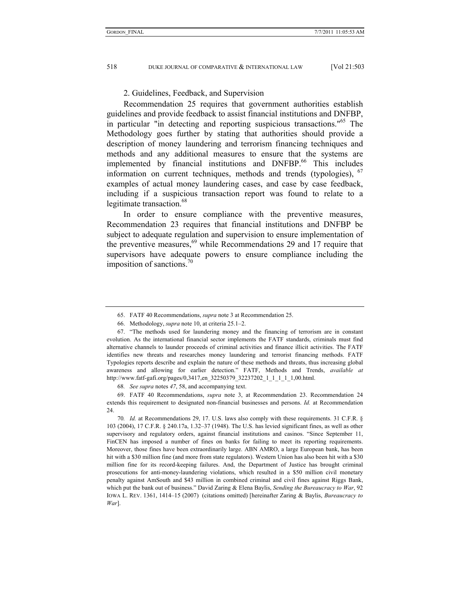## 2. Guidelines, Feedback, and Supervision

Recommendation 25 requires that government authorities establish guidelines and provide feedback to assist financial institutions and DNFBP, in particular "in detecting and reporting suspicious transactions."65 The Methodology goes further by stating that authorities should provide a description of money laundering and terrorism financing techniques and methods and any additional measures to ensure that the systems are implemented by financial institutions and DNFBP.<sup>66</sup> This includes information on current techniques, methods and trends (typologies),  $67$ examples of actual money laundering cases, and case by case feedback, including if a suspicious transaction report was found to relate to a legitimate transaction.<sup>68</sup>

In order to ensure compliance with the preventive measures, Recommendation 23 requires that financial institutions and DNFBP be subject to adequate regulation and supervision to ensure implementation of the preventive measures,<sup>69</sup> while Recommendations 29 and 17 require that supervisors have adequate powers to ensure compliance including the imposition of sanctions. $\frac{70}{6}$ 

68*. See supra* notes *47*, 58, and accompanying text.

 69. FATF 40 Recommendations, *supra* note 3, at Recommendation 23. Recommendation 24 extends this requirement to designated non-financial businesses and persons. *Id.* at Recommendation 24.

70*. Id.* at Recommendations 29, 17. U.S. laws also comply with these requirements. 31 C.F.R. § 103 (2004), 17 C.F.R. § 240.17a, 1.32–37 (1948). The U.S. has levied significant fines, as well as other supervisory and regulatory orders, against financial institutions and casinos. "Since September 11, FinCEN has imposed a number of fines on banks for failing to meet its reporting requirements. Moreover, those fines have been extraordinarily large. ABN AMRO, a large European bank, has been hit with a \$30 million fine (and more from state regulators). Western Union has also been hit with a \$30 million fine for its record-keeping failures. And, the Department of Justice has brought criminal prosecutions for anti-money-laundering violations, which resulted in a \$50 million civil monetary penalty against AmSouth and \$43 million in combined criminal and civil fines against Riggs Bank, which put the bank out of business." David Zaring & Elena Baylis, *Sending the Bureaucracy to War*, 92 IOWA L. REV. 1361, 1414–15 (2007) (citations omitted) [hereinafter Zaring & Baylis, *Bureaucracy to War*].

 <sup>65.</sup> FATF 40 Recommendations, *supra* note 3 at Recommendation 25.

 <sup>66.</sup> Methodology, *supra* note 10, at criteria 25.1–2.

 <sup>67. &</sup>quot;The methods used for laundering money and the financing of terrorism are in constant evolution. As the international financial sector implements the FATF standards, criminals must find alternative channels to launder proceeds of criminal activities and finance illicit activities. The FATF identifies new threats and researches money laundering and terrorist financing methods. FATF Typologies reports describe and explain the nature of these methods and threats, thus increasing global awareness and allowing for earlier detection." FATF, Methods and Trends, *available at*  http://www.fatf-gafi.org/pages/0,3417,en\_32250379\_32237202\_1\_1\_1\_1\_1,00.html.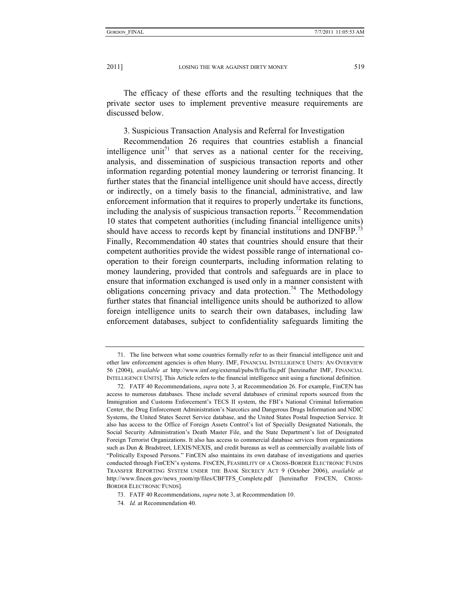The efficacy of these efforts and the resulting techniques that the private sector uses to implement preventive measure requirements are discussed below.

3. Suspicious Transaction Analysis and Referral for Investigation

Recommendation 26 requires that countries establish a financial intelligence unit<sup>71</sup> that serves as a national center for the receiving, analysis, and dissemination of suspicious transaction reports and other information regarding potential money laundering or terrorist financing. It further states that the financial intelligence unit should have access, directly or indirectly, on a timely basis to the financial, administrative, and law enforcement information that it requires to properly undertake its functions, including the analysis of suspicious transaction reports.<sup>72</sup> Recommendation 10 states that competent authorities (including financial intelligence units) should have access to records kept by financial institutions and DNFBP.<sup>73</sup> Finally, Recommendation 40 states that countries should ensure that their competent authorities provide the widest possible range of international cooperation to their foreign counterparts, including information relating to money laundering, provided that controls and safeguards are in place to ensure that information exchanged is used only in a manner consistent with obligations concerning privacy and data protection.<sup>74</sup> The Methodology further states that financial intelligence units should be authorized to allow foreign intelligence units to search their own databases, including law enforcement databases, subject to confidentiality safeguards limiting the

 <sup>71.</sup> The line between what some countries formally refer to as their financial intelligence unit and other law enforcement agencies is often blurry. IMF, FINANCIAL INTELLIGENCE UNITS: AN OVERVIEW 56 (2004), *available at* http://www.imf.org/external/pubs/ft/fiu/fiu.pdf [hereinafter IMF, FINANCIAL INTELLIGENCE UNITS]. This Article refers to the financial intelligence unit using a functional definition.

 <sup>72.</sup> FATF 40 Recommendations, *supra* note 3, at Recommendation 26. For example, FinCEN has access to numerous databases. These include several databases of criminal reports sourced from the Immigration and Customs Enforcement's TECS II system, the FBI's National Criminal Information Center, the Drug Enforcement Administration's Narcotics and Dangerous Drugs Information and NDIC Systems, the United States Secret Service database, and the United States Postal Inspection Service. It also has access to the Office of Foreign Assets Control's list of Specially Designated Nationals, the Social Security Administration's Death Master File, and the State Department's list of Designated Foreign Terrorist Organizations. It also has access to commercial database services from organizations such as Dun & Bradstreet, LEXIS/NEXIS, and credit bureaus as well as commercially available lists of "Politically Exposed Persons." FinCEN also maintains its own database of investigations and queries conducted through FinCEN's systems. FINCEN, FEASIBILITY OF A CROSS-BORDER ELECTRONIC FUNDS TRANSFER REPORTING SYSTEM UNDER THE BANK SECRECY ACT 9 (October 2006), *available at* http://www.fincen.gov/news\_room/rp/files/CBFTFS\_Complete.pdf [hereinafter FINCEN, CROSS-BORDER ELECTRONIC FUNDS].

 <sup>73.</sup> FATF 40 Recommendations, *supra* note 3, at Recommendation 10.

<sup>74</sup>*. Id.* at Recommendation 40.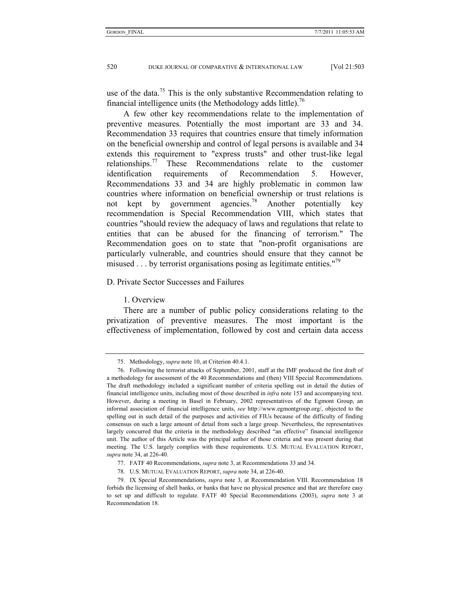use of the data.<sup>75</sup> This is the only substantive Recommendation relating to financial intelligence units (the Methodology adds little).<sup>76</sup>

A few other key recommendations relate to the implementation of preventive measures. Potentially the most important are 33 and 34. Recommendation 33 requires that countries ensure that timely information on the beneficial ownership and control of legal persons is available and 34 extends this requirement to "express trusts" and other trust-like legal relationships.<sup>77</sup> These Recommendations relate to the customer identification requirements of Recommendation 5. However, Recommendations 33 and 34 are highly problematic in common law countries where information on beneficial ownership or trust relations is not kept by government agencies.<sup>78</sup> Another potentially key recommendation is Special Recommendation VIII, which states that countries "should review the adequacy of laws and regulations that relate to entities that can be abused for the financing of terrorism." The Recommendation goes on to state that "non-profit organisations are particularly vulnerable, and countries should ensure that they cannot be misused . . . by terrorist organisations posing as legitimate entities."<sup>79</sup>

# D. Private Sector Successes and Failures

#### 1. Overview

There are a number of public policy considerations relating to the privatization of preventive measures. The most important is the effectiveness of implementation, followed by cost and certain data access

 <sup>75.</sup> Methodology, *supra* note 10, at Criterion 40.4.1.

 <sup>76.</sup> Following the terrorist attacks of September, 2001, staff at the IMF produced the first draft of a methodology for assessment of the 40 Recommendations and (then) VIII Special Recommendations. The draft methodology included a significant number of criteria spelling out in detail the duties of financial intelligence units, including most of those described in *infra* note 153 and accompanying text. However, during a meeting in Basel in February, 2002 representatives of the Egmont Group, an informal association of financial intelligence units, *see* http://www.egmontgroup.org/, objected to the spelling out in such detail of the purposes and activities of FIUs because of the difficulty of finding consensus on such a large amount of detail from such a large group. Nevertheless, the representatives largely concurred that the criteria in the methodology described "an effective" financial intelligence unit. The author of this Article was the principal author of those criteria and was present during that meeting. The U.S. largely complies with these requirements. U.S. MUTUAL EVALUATION REPORT, *supra* note 34, at 226-40.

 <sup>77.</sup> FATF 40 Recommendations, *supra* note 3, at Recommendations 33 and 34.

 <sup>78.</sup> U.S. MUTUAL EVALUATION REPORT, *supra* note 34, at 226-40.

 <sup>79.</sup> IX Special Recommendations, *supra* note 3, at Recommendation VIII. Recommendation 18 forbids the licensing of shell banks, or banks that have no physical presence and that are therefore easy to set up and difficult to regulate. FATF 40 Special Recommendations (2003), *supra* note 3 at Recommendation 18.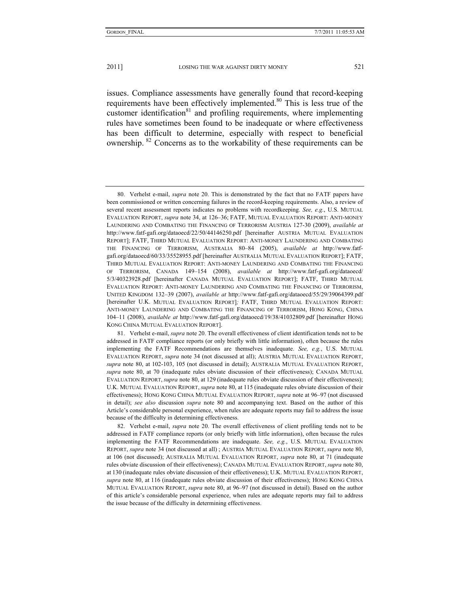issues. Compliance assessments have generally found that record-keeping requirements have been effectively implemented.80 This is less true of the customer identification $81$  and profiling requirements, where implementing rules have sometimes been found to be inadequate or where effectiveness has been difficult to determine, especially with respect to beneficial ownership. <sup>82</sup> Concerns as to the workability of these requirements can be

 <sup>80.</sup> Verhelst e-mail, *supra* note 20. This is demonstrated by the fact that no FATF papers have been commissioned or written concerning failures in the record-keeping requirements. Also, a review of several recent assessment reports indicates no problems with recordkeeping. *See, e.g.*, U.S. MUTUAL EVALUATION REPORT, *supra* note 34, at 126–36; FATF, MUTUAL EVALUATION REPORT: ANTI-MONEY LAUNDERING AND COMBATING THE FINANCING OF TERRORISM AUSTRIA 127-30 (2009), *available at* http://www.fatf-gafi.org/dataoecd/22/50/44146250.pdf [hereinafter AUSTRIA MUTUAL EVALUATION REPORT]; FATF, THIRD MUTUAL EVALUATION REPORT: ANTI-MONEY LAUNDERING AND COMBATING THE FINANCING OF TERRORISM, AUSTRALIA 80–84 (2005), *available at* http://www.fatfgafi.org/dataoecd/60/33/35528955.pdf [hereinafter AUSTRALIA MUTUAL EVALUATION REPORT]; FATF, THIRD MUTUAL EVALUATION REPORT: ANTI-MONEY LAUNDERING AND COMBATING THE FINANCING OF TERRORISM, CANADA 149–154 (2008), *available at* http://www.fatf-gafi.org/dataoecd/ 5/3/40323928.pdf [hereinafter CANADA MUTUAL EVALUATION REPORT]; FATF, THIRD MUTUAL EVALUATION REPORT: ANTI-MONEY LAUNDERING AND COMBATING THE FINANCING OF TERRORISM, UNITED KINGDOM 132–39 (2007), *available at* http://www.fatf-gafi.org/dataoecd/55/29/39064399.pdf [hereinafter U.K. MUTUAL EVALUATION REPORT]*;* FATF, THIRD MUTUAL EVALUATION REPORT: ANTI-MONEY LAUNDERING AND COMBATING THE FINANCING OF TERRORISM, HONG KONG, CHINA 104–11 (2008), *available at* http://www.fatf-gafi.org/dataoecd/19/38/41032809.pdf [hereinafter HONG KONG CHINA MUTUAL EVALUATION REPORT].

 <sup>81.</sup> Verhelst e-mail, *supra* note 20. The overall effectiveness of client identification tends not to be addressed in FATF compliance reports (or only briefly with little information), often because the rules implementing the FATF Recommendations are themselves inadequate. *See, e.g.*, U.S. MUTUAL EVALUATION REPORT, *supra* note 34 (not discussed at all); AUSTRIA MUTUAL EVALUATION REPORT, *supra* note 80, at 102-103, 105 (not discussed in detail); AUSTRALIA MUTUAL EVALUATION REPORT, *supra* note 80, at 70 (inadequate rules obviate discussion of their effectiveness); CANADA MUTUAL EVALUATION REPORT, *supra* note 80, at 129 (inadequate rules obviate discussion of their effectiveness); U.K. MUTUAL EVALUATION REPORT, *supra* note 80, at 115 (inadequate rules obviate discussion of their effectiveness); HONG KONG CHINA MUTUAL EVALUATION REPORT, *supra* note at 96–97 (not discussed in detail); *see also* discussion *supra* note 80 and accompanying text. Based on the author of this Article's considerable personal experience, when rules are adequate reports may fail to address the issue because of the difficulty in determining effectiveness.

 <sup>82.</sup> Verhelst e-mail, *supra* note 20. The overall effectiveness of client profiling tends not to be addressed in FATF compliance reports (or only briefly with little information), often because the rules implementing the FATF Recommendations are inadequate. *See, e.g.*, U.S. MUTUAL EVALUATION REPORT, *supra* note 34 (not discussed at all) ; AUSTRIA MUTUAL EVALUATION REPORT, *supra* note 80, at 106 (not discussed); AUSTRALIA MUTUAL EVALUATION REPORT, *supra* note 80, at 71 (inadequate rules obviate discussion of their effectiveness); CANADA MUTUAL EVALUATION REPORT, *supra* note 80, at 130 (inadequate rules obviate discussion of their effectiveness); U.K. MUTUAL EVALUATION REPORT, *supra* note 80, at 116 (inadequate rules obviate discussion of their effectiveness); HONG KONG CHINA MUTUAL EVALUATION REPORT, *supra* note 80, at 96–97 (not discussed in detail). Based on the author of this article's considerable personal experience, when rules are adequate reports may fail to address the issue because of the difficulty in determining effectiveness.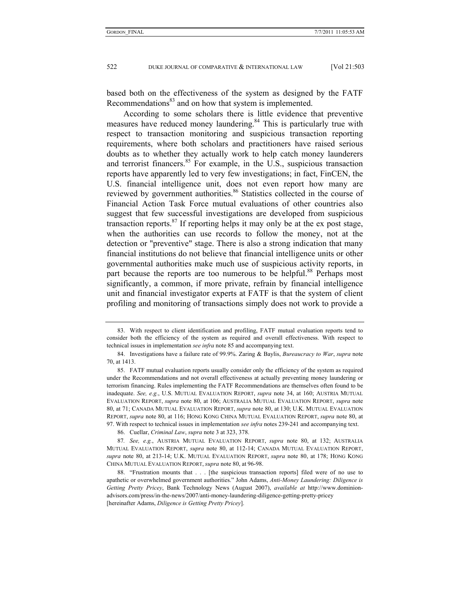based both on the effectiveness of the system as designed by the FATF Recommendations<sup>83</sup> and on how that system is implemented.

According to some scholars there is little evidence that preventive measures have reduced money laundering.<sup>84</sup> This is particularly true with respect to transaction monitoring and suspicious transaction reporting requirements, where both scholars and practitioners have raised serious doubts as to whether they actually work to help catch money launderers and terrorist financers.<sup>85</sup> For example, in the U.S., suspicious transaction reports have apparently led to very few investigations; in fact, FinCEN, the U.S. financial intelligence unit, does not even report how many are reviewed by government authorities.<sup>86</sup> Statistics collected in the course of Financial Action Task Force mutual evaluations of other countries also suggest that few successful investigations are developed from suspicious transaction reports. $87$  If reporting helps it may only be at the ex post stage, when the authorities can use records to follow the money, not at the detection or "preventive" stage. There is also a strong indication that many financial institutions do not believe that financial intelligence units or other governmental authorities make much use of suspicious activity reports, in part because the reports are too numerous to be helpful.<sup>88</sup> Perhaps most significantly, a common, if more private, refrain by financial intelligence unit and financial investigator experts at FATF is that the system of client profiling and monitoring of transactions simply does not work to provide a

86. Cuellar, *Criminal Law*, *supra* note 3 at 323, 378.

87*. See, e.g.*, AUSTRIA MUTUAL EVALUATION REPORT, *supra* note 80, at 132; AUSTRALIA MUTUAL EVALUATION REPORT, *supra* note 80, at 112-14; CANADA MUTUAL EVALUATION REPORT, *supra* note 80, at 213-14; U.K. MUTUAL EVALUATION REPORT, *supra* note 80, at 178; HONG KONG CHINA MUTUAL EVALUATION REPORT, *supra* note 80, at 96-98.

 <sup>83.</sup> With respect to client identification and profiling, FATF mutual evaluation reports tend to consider both the efficiency of the system as required and overall effectiveness. With respect to technical issues in implementation *see infra* note 85 and accompanying text.

 <sup>84.</sup> Investigations have a failure rate of 99.9%. Zaring & Baylis, *Bureaucracy to War*, *supra* note 70, at 1413.

 <sup>85.</sup> FATF mutual evaluation reports usually consider only the efficiency of the system as required under the Recommendations and not overall effectiveness at actually preventing money laundering or terrorism financing. Rules implementing the FATF Recommendations are themselves often found to be inadequate. *See, e.g.*, U.S. MUTUAL EVALUATION REPORT, *supra* note 34, at 160; AUSTRIA MUTUAL EVALUATION REPORT, *supra* note 80, at 106; AUSTRALIA MUTUAL EVALUATION REPORT, *supra* note 80, at 71; CANADA MUTUAL EVALUATION REPORT, *supra* note 80, at 130; U.K. MUTUAL EVALUATION REPORT, *supra* note 80, at 116; HONG KONG CHINA MUTUAL EVALUATION REPORT, *supra* note 80, at 97. With respect to technical issues in implementation *see infra* notes 239-241 and accompanying text.

 <sup>88. &</sup>quot;Frustration mounts that . . . [the suspicious transaction reports] filed were of no use to apathetic or overwhelmed government authorities." John Adams, *Anti-Money Laundering: Diligence is Getting Pretty Pricey*, Bank Technology News (August 2007), *available at* http://www.dominionadvisors.com/press/in-the-news/2007/anti-money-laundering-diligence-getting-pretty-pricey [hereinafter Adams, *Diligence is Getting Pretty Pricey*].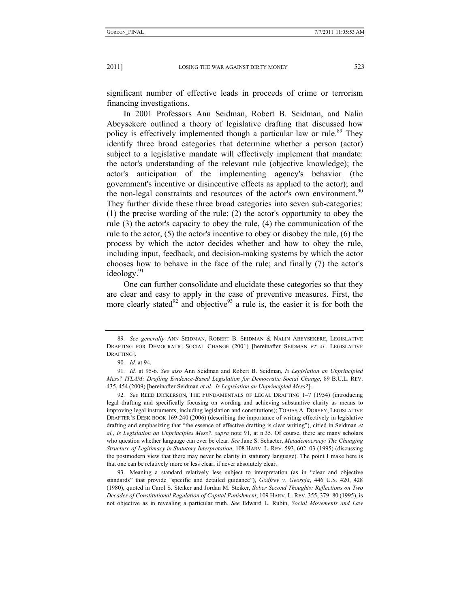significant number of effective leads in proceeds of crime or terrorism financing investigations.

In 2001 Professors Ann Seidman, Robert B. Seidman, and Nalin Abeysekere outlined a theory of legislative drafting that discussed how policy is effectively implemented though a particular law or rule.<sup>89</sup> They identify three broad categories that determine whether a person (actor) subject to a legislative mandate will effectively implement that mandate: the actor's understanding of the relevant rule (objective knowledge); the actor's anticipation of the implementing agency's behavior (the government's incentive or disincentive effects as applied to the actor); and the non-legal constraints and resources of the actor's own environment.<sup>90</sup> They further divide these three broad categories into seven sub-categories: (1) the precise wording of the rule; (2) the actor's opportunity to obey the rule (3) the actor's capacity to obey the rule, (4) the communication of the rule to the actor, (5) the actor's incentive to obey or disobey the rule, (6) the process by which the actor decides whether and how to obey the rule, including input, feedback, and decision-making systems by which the actor chooses how to behave in the face of the rule; and finally (7) the actor's ideology.<sup>91</sup>

One can further consolidate and elucidate these categories so that they are clear and easy to apply in the case of preventive measures. First, the more clearly stated<sup>92</sup> and objective<sup>93</sup> a rule is, the easier it is for both the

<sup>89</sup>*. See generally* ANN SEIDMAN, ROBERT B. SEIDMAN & NALIN ABEYSEKERE, LEGISLATIVE DRAFTING FOR DEMOCRATIC SOCIAL CHANGE (2001) [hereinafter SEIDMAN *ET AL.* LEGISLATIVE DRAFTING].

<sup>90</sup>*. Id.* at 94.

<sup>91</sup>*. Id.* at 95-6. *See also* Ann Seidman and Robert B. Seidman, *Is Legislation an Unprincipled Mess? ITLAM: Drafting Evidence-Based Legislation for Democratic Social Change*, 89 B.U.L. REV. 435, 454 (2009) [hereinafter Seidman *et al., Is Legislation an Unprincipled Mess?*].

<sup>92</sup>*. See* REED DICKERSON, THE FUNDAMENTALS OF LEGAL DRAFTING 1–7 (1954) (introducing legal drafting and specifically focusing on wording and achieving substantive clarity as means to improving legal instruments, including legislation and constitutions); TOBIAS A. DORSEY, LEGISLATIVE DRAFTER'S DESK BOOK 169-240 (2006) (describing the importance of writing effectively in legislative drafting and emphasizing that "the essence of effective drafting is clear writing"), citied in Seidman *et al.*, *Is Legislation an Unprinciples Mess?*, *supra* note 91, at n.35. Of course, there are many scholars who question whether language can ever be clear. *See* Jane S. Schacter, *Metademocracy: The Changing Structure of Legitimacy in Statutory Interpretation*, 108 HARV. L. REV. 593, 602–03 (1995) (discussing the postmodern view that there may never be clarity in statutory language). The point I make here is that one can be relatively more or less clear, if never absolutely clear.

 <sup>93.</sup> Meaning a standard relatively less subject to interpretation (as in "clear and objective standards" that provide "specific and detailed guidance"), *Godfrey v. Georgia*, 446 U.S. 420, 428 (1980), quoted in Carol S. Steiker and Jordan M. Steiker, *Sober Second Thoughts: Reflections on Two Decades of Constitutional Regulation of Capital Punishment*, 109 HARV. L. REV. 355, 379–80 (1995), is not objective as in revealing a particular truth. *See* Edward L. Rubin, *Social Movements and Law*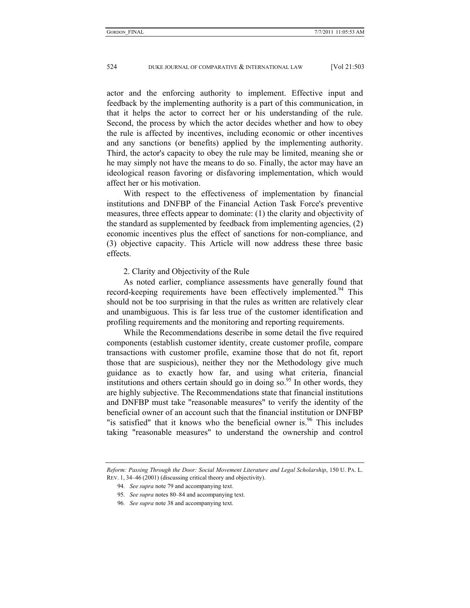actor and the enforcing authority to implement. Effective input and feedback by the implementing authority is a part of this communication, in that it helps the actor to correct her or his understanding of the rule. Second, the process by which the actor decides whether and how to obey the rule is affected by incentives, including economic or other incentives and any sanctions (or benefits) applied by the implementing authority. Third, the actor's capacity to obey the rule may be limited, meaning she or he may simply not have the means to do so. Finally, the actor may have an ideological reason favoring or disfavoring implementation, which would affect her or his motivation.

With respect to the effectiveness of implementation by financial institutions and DNFBP of the Financial Action Task Force's preventive measures, three effects appear to dominate: (1) the clarity and objectivity of the standard as supplemented by feedback from implementing agencies, (2) economic incentives plus the effect of sanctions for non-compliance, and (3) objective capacity. This Article will now address these three basic effects.

# 2. Clarity and Objectivity of the Rule

As noted earlier, compliance assessments have generally found that record-keeping requirements have been effectively implemented.<sup>94</sup> This should not be too surprising in that the rules as written are relatively clear and unambiguous. This is far less true of the customer identification and profiling requirements and the monitoring and reporting requirements.

While the Recommendations describe in some detail the five required components (establish customer identity, create customer profile, compare transactions with customer profile, examine those that do not fit, report those that are suspicious), neither they nor the Methodology give much guidance as to exactly how far, and using what criteria, financial institutions and others certain should go in doing so.<sup>95</sup> In other words, they are highly subjective. The Recommendations state that financial institutions and DNFBP must take "reasonable measures" to verify the identity of the beneficial owner of an account such that the financial institution or DNFBP "is satisfied" that it knows who the beneficial owner is.<sup>96</sup> This includes taking "reasonable measures" to understand the ownership and control

*Reform: Passing Through the Door: Social Movement Literature and Legal Scholarship*, 150 U. PA. L. REV. 1, 34–46 (2001) (discussing critical theory and objectivity).

<sup>94</sup>*. See supra* note 79 and accompanying text.

<sup>95</sup>*. See supra* notes 80–84 and accompanying text.

<sup>96</sup>*. See supra* note 38 and accompanying text.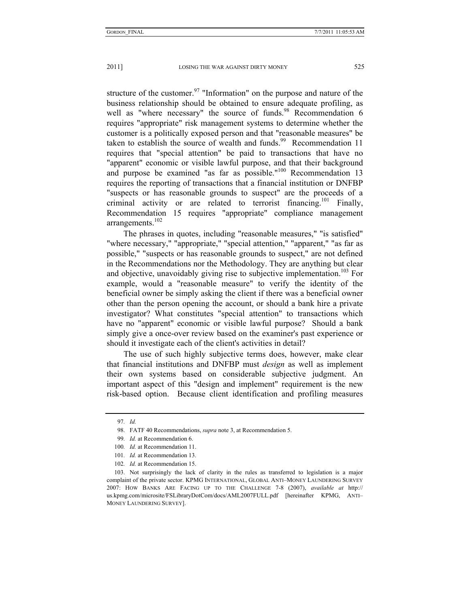structure of the customer.<sup>97</sup> "Information" on the purpose and nature of the business relationship should be obtained to ensure adequate profiling, as well as "where necessary" the source of funds.<sup>98</sup> Recommendation 6 requires "appropriate" risk management systems to determine whether the customer is a politically exposed person and that "reasonable measures" be taken to establish the source of wealth and funds.<sup>99</sup> Recommendation 11 requires that "special attention" be paid to transactions that have no "apparent" economic or visible lawful purpose, and that their background and purpose be examined "as far as possible." $100$  Recommendation 13 requires the reporting of transactions that a financial institution or DNFBP "suspects or has reasonable grounds to suspect" are the proceeds of a criminal activity or are related to terrorist financing.<sup>101</sup> Finally, Recommendation 15 requires "appropriate" compliance management arrangements.<sup>102</sup>

The phrases in quotes, including "reasonable measures," "is satisfied" "where necessary," "appropriate," "special attention," "apparent," "as far as possible," "suspects or has reasonable grounds to suspect," are not defined in the Recommendations nor the Methodology. They are anything but clear and objective, unavoidably giving rise to subjective implementation.<sup>103</sup> For example, would a "reasonable measure" to verify the identity of the beneficial owner be simply asking the client if there was a beneficial owner other than the person opening the account, or should a bank hire a private investigator? What constitutes "special attention" to transactions which have no "apparent" economic or visible lawful purpose? Should a bank simply give a once-over review based on the examiner's past experience or should it investigate each of the client's activities in detail?

The use of such highly subjective terms does, however, make clear that financial institutions and DNFBP must *design* as well as implement their own systems based on considerable subjective judgment. An important aspect of this "design and implement" requirement is the new risk-based option. Because client identification and profiling measures

<sup>97</sup>*. Id.*

 <sup>98.</sup> FATF 40 Recommendations, *supra* note 3, at Recommendation 5.

<sup>99</sup>*. Id.* at Recommendation 6.

<sup>100</sup>*. Id.* at Recommendation 11.

<sup>101</sup>*. Id.* at Recommendation 13.

<sup>102</sup>*. Id.* at Recommendation 15.

 <sup>103.</sup> Not surprisingly the lack of clarity in the rules as transferred to legislation is a major complaint of the private sector. KPMG INTERNATIONAL, GLOBAL ANTI–MONEY LAUNDERING SURVEY 2007: HOW BANKS ARE FACING UP TO THE CHALLENGE 7-8 (2007), *available at* http:// us.kpmg.com/microsite/FSLibraryDotCom/docs/AML2007FULL.pdf [hereinafter KPMG, ANTI– MONEY LAUNDERING SURVEY].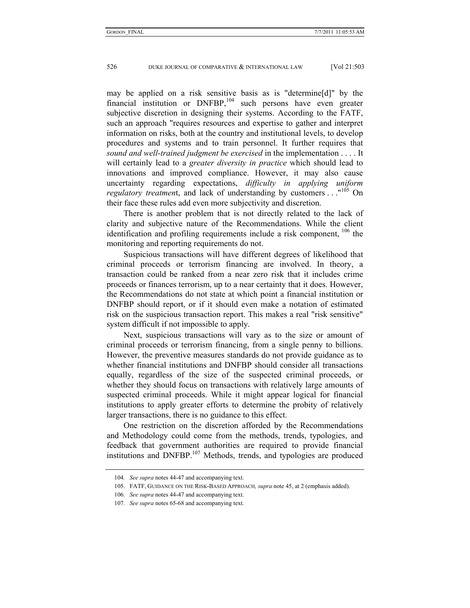may be applied on a risk sensitive basis as is "determine[d]" by the financial institution or DNFBP,<sup>104</sup> such persons have even greater subjective discretion in designing their systems. According to the FATF, such an approach "requires resources and expertise to gather and interpret information on risks, both at the country and institutional levels, to develop procedures and systems and to train personnel. It further requires that *sound and well-trained judgment be exercised* in the implementation . . . . It will certainly lead to a *greater diversity in practice* which should lead to innovations and improved compliance. However, it may also cause uncertainty regarding expectations, *difficulty in applying uniform regulatory treatment*, and lack of understanding by customers . . . "<sup>105</sup> On their face these rules add even more subjectivity and discretion.

There is another problem that is not directly related to the lack of clarity and subjective nature of the Recommendations. While the client identification and profiling requirements include a risk component,  $^{106}$  the monitoring and reporting requirements do not.

Suspicious transactions will have different degrees of likelihood that criminal proceeds or terrorism financing are involved. In theory, a transaction could be ranked from a near zero risk that it includes crime proceeds or finances terrorism, up to a near certainty that it does. However, the Recommendations do not state at which point a financial institution or DNFBP should report, or if it should even make a notation of estimated risk on the suspicious transaction report. This makes a real "risk sensitive" system difficult if not impossible to apply.

Next, suspicious transactions will vary as to the size or amount of criminal proceeds or terrorism financing, from a single penny to billions. However, the preventive measures standards do not provide guidance as to whether financial institutions and DNFBP should consider all transactions equally, regardless of the size of the suspected criminal proceeds, or whether they should focus on transactions with relatively large amounts of suspected criminal proceeds. While it might appear logical for financial institutions to apply greater efforts to determine the probity of relatively larger transactions, there is no guidance to this effect.

One restriction on the discretion afforded by the Recommendations and Methodology could come from the methods, trends, typologies, and feedback that government authorities are required to provide financial institutions and DNFBP.<sup>107</sup> Methods, trends, and typologies are produced

<sup>104</sup>*. See supra* notes 44-47 and accompanying text.

 <sup>105.</sup> FATF, GUIDANCE ON THE RISK-BASED APPROACH*, supra* note 45, at 2 (emphasis added).

<sup>106</sup>*. See supra* notes 44-47 and accompanying text.

<sup>107</sup>*. See supra* notes 65-68 and accompanying text.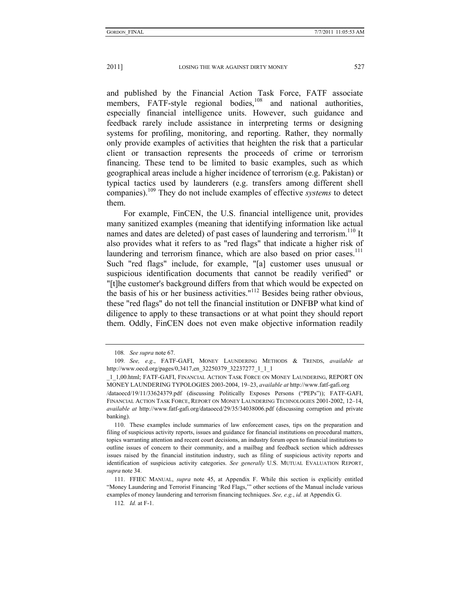and published by the Financial Action Task Force, FATF associate members, FATF-style regional bodies,<sup>108</sup> and national authorities, especially financial intelligence units. However, such guidance and feedback rarely include assistance in interpreting terms or designing systems for profiling, monitoring, and reporting. Rather, they normally only provide examples of activities that heighten the risk that a particular client or transaction represents the proceeds of crime or terrorism financing. These tend to be limited to basic examples, such as which geographical areas include a higher incidence of terrorism (e.g. Pakistan) or typical tactics used by launderers (e.g. transfers among different shell companies).109 They do not include examples of effective *systems* to detect them.

For example, FinCEN, the U.S. financial intelligence unit, provides many sanitized examples (meaning that identifying information like actual names and dates are deleted) of past cases of laundering and terrorism.<sup>110</sup> It also provides what it refers to as "red flags" that indicate a higher risk of laundering and terrorism finance, which are also based on prior cases.<sup>111</sup> Such "red flags" include, for example, "[a] customer uses unusual or suspicious identification documents that cannot be readily verified" or "[t]he customer's background differs from that which would be expected on the basis of his or her business activities."112 Besides being rather obvious, these "red flags" do not tell the financial institution or DNFBP what kind of diligence to apply to these transactions or at what point they should report them. Oddly, FinCEN does not even make objective information readily

<sup>108</sup>*. See supra* note 67.

<sup>109</sup>*. See, e.g*., FATF-GAFI, MONEY LAUNDERING METHODS & TRENDS, *available at*  http://www.oecd.org/pages/0,3417,en\_32250379\_32237277\_1\_1\_1

\_1\_1,00.html; FATF-GAFI, FINANCIAL ACTION TASK FORCE ON MONEY LAUNDERING, REPORT ON MONEY LAUNDERING TYPOLOGIES 2003-2004, 19–23, *available at* http://www.fatf-gafi.org /dataoecd/19/11/33624379.pdf (discussing Politically Exposes Persons ("PEPs")); FATF-GAFI, FINANCIAL ACTION TASK FORCE, REPORT ON MONEY LAUNDERING TECHNOLOGIES 2001-2002, 12–14, *available at* http://www.fatf-gafi.org/dataoecd/29/35/34038006.pdf (discussing corruption and private banking).

 <sup>110.</sup> These examples include summaries of law enforcement cases, tips on the preparation and filing of suspicious activity reports, issues and guidance for financial institutions on procedural matters, topics warranting attention and recent court decisions, an industry forum open to financial institutions to outline issues of concern to their community, and a mailbag and feedback section which addresses issues raised by the financial institution industry, such as filing of suspicious activity reports and identification of suspicious activity categories. *See generally* U.S. MUTUAL EVALUATION REPORT, *supra* note 34.

 <sup>111.</sup> FFIEC MANUAL, *supra* note 45, at Appendix F. While this section is explicitly entitled "Money Laundering and Terrorist Financing 'Red Flags,'" other sections of the Manual include various examples of money laundering and terrorism financing techniques. *See, e.g.*, *id.* at Appendix G.

<sup>112</sup>*. Id.* at F-1.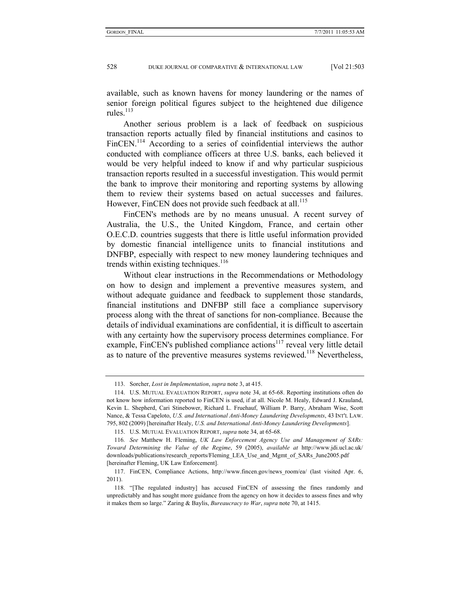available, such as known havens for money laundering or the names of senior foreign political figures subject to the heightened due diligence rules. $^{113}$ 

Another serious problem is a lack of feedback on suspicious transaction reports actually filed by financial institutions and casinos to FinCEN.<sup>114</sup> According to a series of coinfidential interviews the author conducted with compliance officers at three U.S. banks, each believed it would be very helpful indeed to know if and why particular suspicious transaction reports resulted in a successful investigation. This would permit the bank to improve their monitoring and reporting systems by allowing them to review their systems based on actual successes and failures. However, FinCEN does not provide such feedback at all.<sup>115</sup>

FinCEN's methods are by no means unusual. A recent survey of Australia, the U.S., the United Kingdom, France, and certain other O.E.C.D. countries suggests that there is little useful information provided by domestic financial intelligence units to financial institutions and DNFBP, especially with respect to new money laundering techniques and trends within existing techniques. $116$ 

Without clear instructions in the Recommendations or Methodology on how to design and implement a preventive measures system, and without adequate guidance and feedback to supplement those standards, financial institutions and DNFBP still face a compliance supervisory process along with the threat of sanctions for non-compliance. Because the details of individual examinations are confidential, it is difficult to ascertain with any certainty how the supervisory process determines compliance. For example, FinCEN's published compliance actions<sup>117</sup> reveal very little detail as to nature of the preventive measures systems reviewed.<sup>118</sup> Nevertheless,

 <sup>113.</sup> Sorcher, *Lost in Implementation*, *supra* note 3, at 415.

 <sup>114.</sup> U.S. MUTUAL EVALUATION REPORT, *supra* note 34, at 65-68. Reporting institutions often do not know how information reported to FinCEN is used, if at all. Nicole M. Healy, Edward J. Krauland, Kevin L. Shepherd, Cari Stinebower, Richard L. Fruehauf, William P. Barry, Abraham Wise, Scott Nance, & Tessa Capeloto, *U.S. and International Anti-Money Laundering Developments*, 43 INT'L LAW. 795, 802 (2009) [hereinafter Healy, *U.S. and International Anti-Money Laundering Developments*].

 <sup>115.</sup> U.S. MUTUAL EVALUATION REPORT, *supra* note 34, at 65-68.

<sup>116</sup>*. See* Matthew H. Fleming, *UK Law Enforcement Agency Use and Management of SARs: Toward Determining the Value of the Regime*, 59 (2005), *available at* http://www.jdi.ucl.ac.uk/ downloads/publications/research\_reports/Fleming\_LEA\_Use\_and\_Mgmt\_of\_SARs\_June2005.pdf [hereinafter Fleming, UK Law Enforcement].

 <sup>117.</sup> FinCEN, Compliance Actions, http://www.fincen.gov/news\_room/ea/ (last visited Apr. 6, 2011).

 <sup>118. &</sup>quot;[The regulated industry] has accused FinCEN of assessing the fines randomly and unpredictably and has sought more guidance from the agency on how it decides to assess fines and why it makes them so large." Zaring & Baylis, *Bureaucracy to War*, *supra* note 70, at 1415.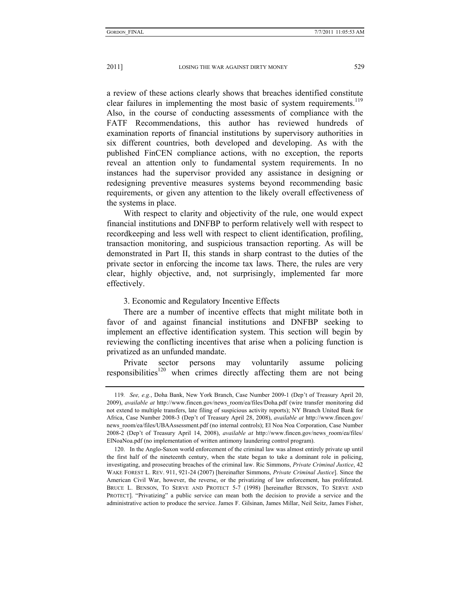a review of these actions clearly shows that breaches identified constitute clear failures in implementing the most basic of system requirements.<sup>119</sup> Also, in the course of conducting assessments of compliance with the FATF Recommendations, this author has reviewed hundreds of examination reports of financial institutions by supervisory authorities in six different countries, both developed and developing. As with the published FinCEN compliance actions, with no exception, the reports reveal an attention only to fundamental system requirements. In no instances had the supervisor provided any assistance in designing or redesigning preventive measures systems beyond recommending basic requirements, or given any attention to the likely overall effectiveness of the systems in place.

With respect to clarity and objectivity of the rule, one would expect financial institutions and DNFBP to perform relatively well with respect to recordkeeping and less well with respect to client identification, profiling, transaction monitoring, and suspicious transaction reporting. As will be demonstrated in Part II, this stands in sharp contrast to the duties of the private sector in enforcing the income tax laws. There, the rules are very clear, highly objective, and, not surprisingly, implemented far more effectively.

#### 3. Economic and Regulatory Incentive Effects

There are a number of incentive effects that might militate both in favor of and against financial institutions and DNFBP seeking to implement an effective identification system. This section will begin by reviewing the conflicting incentives that arise when a policing function is privatized as an unfunded mandate.

Private sector persons may voluntarily assume policing responsibilities<sup>120</sup> when crimes directly affecting them are not being

<sup>119</sup>*. See, e.g.*, Doha Bank, New York Branch, Case Number 2009-1 (Dep't of Treasury April 20, 2009), *available at* http://www.fincen.gov/news\_room/ea/files/Doha.pdf (wire transfer monitoring did not extend to multiple transfers, late filing of suspicious activity reports); NY Branch United Bank for Africa, Case Number 2008-3 (Dep't of Treasury April 28, 2008), *available at* http://www.fincen.gov/ news room/ea/files/UBAAssessment.pdf (no internal controls); El Noa Noa Corporation, Case Number 2008-2 (Dep't of Treasury April 14, 2008), *available at* http://www.fincen.gov/news\_room/ea/files/ ElNoaNoa.pdf (no implementation of written antimony laundering control program).

 <sup>120.</sup> In the Anglo-Saxon world enforcement of the criminal law was almost entirely private up until the first half of the nineteenth century, when the state began to take a dominant role in policing, investigating, and prosecuting breaches of the criminal law. Ric Simmons, *Private Criminal Justice*, 42 WAKE FOREST L. REV. 911, 921-24 (2007) [hereinafter Simmons, *Private Criminal Justice*]. Since the American Civil War, however, the reverse, or the privatizing of law enforcement, has proliferated. BRUCE L. BENSON, TO SERVE AND PROTECT 5-7 (1998) [hereinafter BENSON, TO SERVE AND PROTECT]. "Privatizing" a public service can mean both the decision to provide a service and the administrative action to produce the service. James F. Gilsinan, James Millar, Neil Seitz, James Fisher,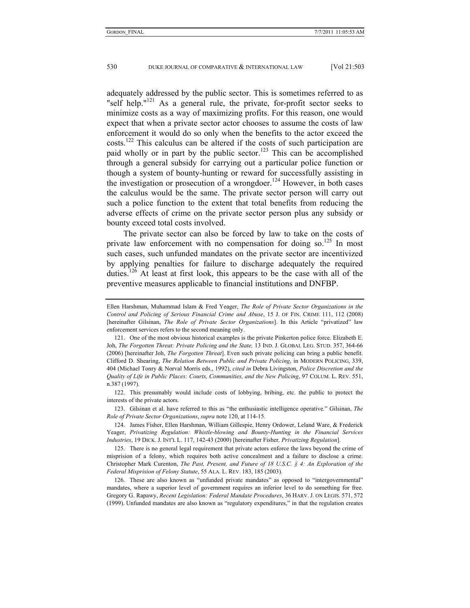adequately addressed by the public sector. This is sometimes referred to as "self help." $^{121}$  As a general rule, the private, for-profit sector seeks to minimize costs as a way of maximizing profits. For this reason, one would expect that when a private sector actor chooses to assume the costs of law enforcement it would do so only when the benefits to the actor exceed the costs.122 This calculus can be altered if the costs of such participation are paid wholly or in part by the public sector.<sup>123</sup> This can be accomplished through a general subsidy for carrying out a particular police function or though a system of bounty-hunting or reward for successfully assisting in the investigation or prosecution of a wrongdoer.<sup>124</sup> However, in both cases the calculus would be the same. The private sector person will carry out such a police function to the extent that total benefits from reducing the adverse effects of crime on the private sector person plus any subsidy or bounty exceed total costs involved.

The private sector can also be forced by law to take on the costs of private law enforcement with no compensation for doing so.<sup>125</sup> In most such cases, such unfunded mandates on the private sector are incentivized by applying penalties for failure to discharge adequately the required duties.126 At least at first look, this appears to be the case with all of the preventive measures applicable to financial institutions and DNFBP.

Ellen Harshman, Muhammad Islam & Fred Yeager, *The Role of Private Sector Organizations in the Control and Policing of Serious Financial Crime and Abuse*, 15 J. OF FIN. CRIME 111, 112 (2008) [hereinafter Gilsinan, *The Role of Private Sector Organizations*]. In this Article "privatized" law enforcement services refers to the second meaning only.

 <sup>121.</sup> One of the most obvious historical examples is the private Pinkerton police force. Elizabeth E. Joh, *The Forgotten Threat: Private Policing and the State,* 13 IND. J. GLOBAL LEG. STUD. 357, 364-66 (2006) [hereinafter Joh, *The Forgotten Threat*]. Even such private policing can bring a public benefit. Clifford D. Shearing, *The Relation Between Public and Private Policing*, in MODERN POLICING, 339, 404 (Michael Tonry & Norval Morris eds., 1992), *cited in* Debra Livingston, *Police Discretion and the Quality of Life in Public Places: Courts, Communities, and the New Policing*, 97 COLUM. L. REV. 551, n.387 (1997).

 <sup>122.</sup> This presumably would include costs of lobbying, bribing, etc. the public to protect the interests of the private actors.

 <sup>123.</sup> Gilsinan et al. have referred to this as "the enthusiastic intelligence operative." Gilsinan, *The Role of Private Sector Organizations*, *supra* note 120, at 114-15.

 <sup>124.</sup> James Fisher, Ellen Harshman, William Gillespie, Henry Ordower, Leland Ware, & Frederick Yeager, *Privatizing Regulation: Whistle-blowing and Bounty-Hunting in the Financial Services Industries*, 19 DICK. J. INT'L L. 117, 142-43 (2000) [hereinafter Fisher*, Privatizing Regulation*].

 <sup>125.</sup> There is no general legal requirement that private actors enforce the laws beyond the crime of misprision of a felony, which requires both active concealment and a failure to disclose a crime. Christopher Mark Curenton, *The Past, Present, and Future of 18 U.S.C. § 4: An Exploration of the Federal Misprision of Felony Statute*, 55 ALA. L. REV. 183, 185 (2003).

 <sup>126.</sup> These are also known as "unfunded private mandates" as opposed to "intergovernmental" mandates, where a superior level of government requires an inferior level to do something for free. Gregory G. Rapawy, *Recent Legislation: Federal Mandate Procedures*, 36 HARV. J. ON LEGIS. 571, 572 (1999). Unfunded mandates are also known as "regulatory expenditures," in that the regulation creates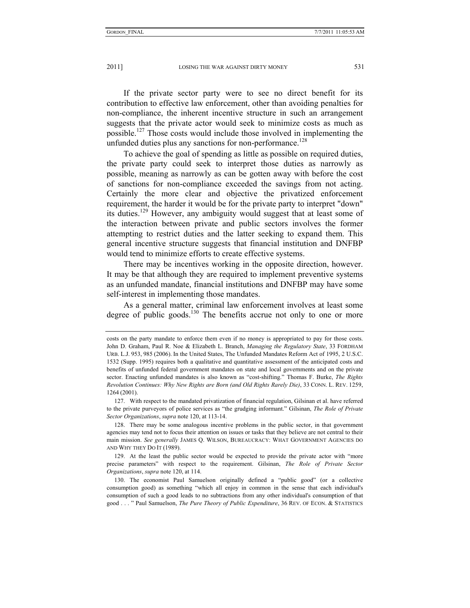If the private sector party were to see no direct benefit for its contribution to effective law enforcement, other than avoiding penalties for non-compliance, the inherent incentive structure in such an arrangement suggests that the private actor would seek to minimize costs as much as possible.127 Those costs would include those involved in implementing the unfunded duties plus any sanctions for non-performance.<sup>128</sup>

To achieve the goal of spending as little as possible on required duties, the private party could seek to interpret those duties as narrowly as possible, meaning as narrowly as can be gotten away with before the cost of sanctions for non-compliance exceeded the savings from not acting. Certainly the more clear and objective the privatized enforcement requirement, the harder it would be for the private party to interpret "down" its duties.129 However, any ambiguity would suggest that at least some of the interaction between private and public sectors involves the former attempting to restrict duties and the latter seeking to expand them. This general incentive structure suggests that financial institution and DNFBP would tend to minimize efforts to create effective systems.

There may be incentives working in the opposite direction, however. It may be that although they are required to implement preventive systems as an unfunded mandate, financial institutions and DNFBP may have some self-interest in implementing those mandates.

As a general matter, criminal law enforcement involves at least some degree of public goods.<sup>130</sup> The benefits accrue not only to one or more

costs on the party mandate to enforce them even if no money is appropriated to pay for those costs. John D. Graham, Paul R. Noe & Elizabeth L. Branch, *Managing the Regulatory State*, 33 FORDHAM URB. L.J. 953, 985 (2006). In the United States, The Unfunded Mandates Reform Act of 1995, 2 U.S.C. 1532 (Supp. 1995) requires both a qualitative and quantitative assessment of the anticipated costs and benefits of unfunded federal government mandates on state and local governments and on the private sector. Enacting unfunded mandates is also known as "cost-shifting." Thomas F. Burke, *The Rights Revolution Continues: Why New Rights are Born (and Old Rights Rarely Die)*, 33 CONN. L. REV. 1259, 1264 (2001).

 <sup>127.</sup> With respect to the mandated privatization of financial regulation, Gilsinan et al. have referred to the private purveyors of police services as "the grudging informant." Gilsinan, *The Role of Private Sector Organizations*, *supra* note 120, at 113-14.

 <sup>128.</sup> There may be some analogous incentive problems in the public sector, in that government agencies may tend not to focus their attention on issues or tasks that they believe are not central to their main mission. *See generally* JAMES Q. WILSON, BUREAUCRACY: WHAT GOVERNMENT AGENCIES DO AND WHY THEY DO IT (1989).

 <sup>129.</sup> At the least the public sector would be expected to provide the private actor with "more precise parameters" with respect to the requirement. Gilsinan, *The Role of Private Sector Organizations*, *supra* note 120, at 114.

 <sup>130.</sup> The economist Paul Samuelson originally defined a "public good" (or a collective consumption good) as something "which all enjoy in common in the sense that each individual's consumption of such a good leads to no subtractions from any other individual's consumption of that good . . . " Paul Samuelson, *The Pure Theory of Public Expenditure*, 36 REV. OF ECON. & STATISTICS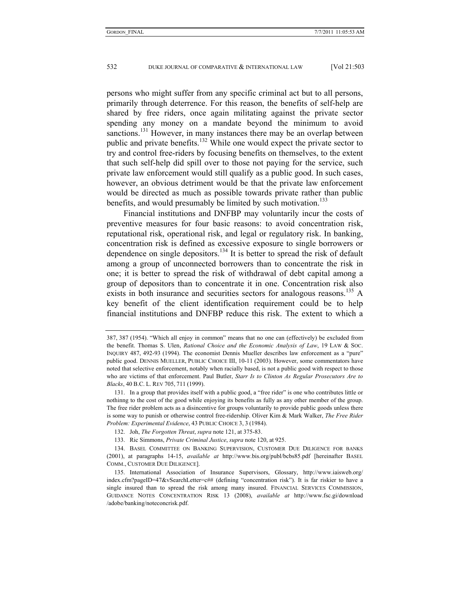persons who might suffer from any specific criminal act but to all persons, primarily through deterrence. For this reason, the benefits of self-help are shared by free riders, once again militating against the private sector spending any money on a mandate beyond the minimum to avoid sanctions.<sup>131</sup> However, in many instances there may be an overlap between public and private benefits.<sup>132</sup> While one would expect the private sector to try and control free-riders by focusing benefits on themselves, to the extent that such self-help did spill over to those not paying for the service, such private law enforcement would still qualify as a public good. In such cases, however, an obvious detriment would be that the private law enforcement would be directed as much as possible towards private rather than public benefits, and would presumably be limited by such motivation.<sup>133</sup>

Financial institutions and DNFBP may voluntarily incur the costs of preventive measures for four basic reasons: to avoid concentration risk, reputational risk, operational risk, and legal or regulatory risk. In banking, concentration risk is defined as excessive exposure to single borrowers or dependence on single depositors.<sup>134</sup> It is better to spread the risk of default among a group of unconnected borrowers than to concentrate the risk in one; it is better to spread the risk of withdrawal of debt capital among a group of depositors than to concentrate it in one. Concentration risk also exists in both insurance and securities sectors for analogous reasons.<sup>135</sup> A key benefit of the client identification requirement could be to help financial institutions and DNFBP reduce this risk. The extent to which a

<sup>387,</sup> 387 (1954). "Which all enjoy in common" means that no one can (effectively) be excluded from the benefit. Thomas S. Ulen, *Rational Choice and the Economic Analysis of Law*, 19 LAW & SOC. INQUIRY 487, 492-93 (1994). The economist Dennis Mueller describes law enforcement as a "pure" public good. DENNIS MUELLER, PUBLIC CHOICE III, 10-11 (2003). However, some commentators have noted that selective enforcement, notably when racially based, is not a public good with respect to those who are victims of that enforcement. Paul Butler, *Starr Is to Clinton As Regular Prosecutors Are to Blacks*, 40 B.C. L. REV 705, 711 (1999).

 <sup>131.</sup> In a group that provides itself with a public good, a "free rider" is one who contributes little or nothinng to the cost of the good while enjoying its benefits as fully as any other member of the group. The free rider problem acts as a disincentive for groups voluntarily to provide public goods unless there is some way to punish or otherwise control free-ridership. Oliver Kim & Mark Walker, *The Free Rider Problem: Experimental Evidence*, 43 PUBLIC CHOICE 3, 3 (1984).

 <sup>132.</sup> Joh, *The Forgotten Threat*, *supra* note 121, at 375-83.

 <sup>133.</sup> Ric Simmons, *Private Criminal Justice*, *supra* note 120, at 925.

 <sup>134.</sup> BASEL COMMITTEE ON BANKING SUPERVISION, CUSTOMER DUE DILIGENCE FOR BANKS (2001), at paragraphs 14-15, *available at* http://www.bis.org/publ/bcbs85.pdf [hereinafter BASEL COMM., CUSTOMER DUE DILIGENCE].

 <sup>135.</sup> International Association of Insurance Supervisors, Glossary, http://www.iaisweb.org/ index.cfm?pageID=47&vSearchLetter=c## (defining "concentration risk"). It is far riskier to have a single insured than to spread the risk among many insured. FINANCIAL SERVICES COMMISSION, GUIDANCE NOTES CONCENTRATION RISK 13 (2008), *available at* http://www.fsc.gi/download /adobe/banking/noteconcrisk.pdf.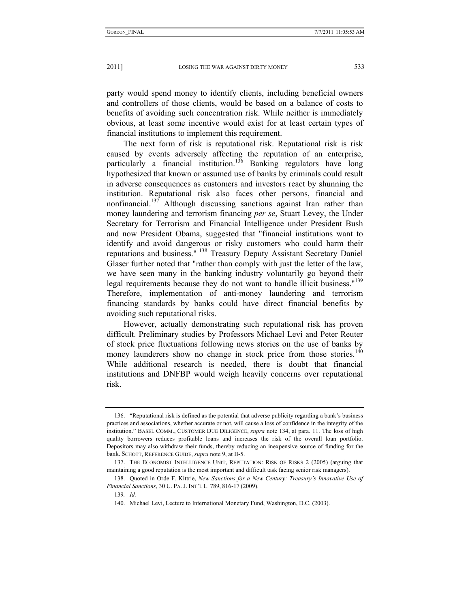party would spend money to identify clients, including beneficial owners and controllers of those clients, would be based on a balance of costs to benefits of avoiding such concentration risk. While neither is immediately obvious, at least some incentive would exist for at least certain types of financial institutions to implement this requirement.

The next form of risk is reputational risk. Reputational risk is risk caused by events adversely affecting the reputation of an enterprise, particularly a financial institution.<sup>136</sup> Banking regulators have long hypothesized that known or assumed use of banks by criminals could result in adverse consequences as customers and investors react by shunning the institution. Reputational risk also faces other persons, financial and nonfinancial.<sup>137</sup> Although discussing sanctions against Iran rather than money laundering and terrorism financing *per se*, Stuart Levey, the Under Secretary for Terrorism and Financial Intelligence under President Bush and now President Obama, suggested that "financial institutions want to identify and avoid dangerous or risky customers who could harm their reputations and business." 138 Treasury Deputy Assistant Secretary Daniel Glaser further noted that "rather than comply with just the letter of the law, we have seen many in the banking industry voluntarily go beyond their legal requirements because they do not want to handle illicit business."<sup>139</sup> Therefore, implementation of anti-money laundering and terrorism financing standards by banks could have direct financial benefits by avoiding such reputational risks.

However, actually demonstrating such reputational risk has proven difficult. Preliminary studies by Professors Michael Levi and Peter Reuter of stock price fluctuations following news stories on the use of banks by money launderers show no change in stock price from those stories.<sup>140</sup> While additional research is needed, there is doubt that financial institutions and DNFBP would weigh heavily concerns over reputational risk.

 <sup>136. &</sup>quot;Reputational risk is defined as the potential that adverse publicity regarding a bank's business practices and associations, whether accurate or not, will cause a loss of confidence in the integrity of the institution." BASEL COMM., CUSTOMER DUE DILIGENCE, *supra* note 134, at para. 11. The loss of high quality borrowers reduces profitable loans and increases the risk of the overall loan portfolio. Depositors may also withdraw their funds, thereby reducing an inexpensive source of funding for the bank. SCHOTT, REFERENCE GUIDE, *supra* note 9, at II-5.

 <sup>137.</sup> THE ECONOMIST INTELLIGENCE UNIT, REPUTATION: RISK OF RISKS 2 (2005) (arguing that maintaining a good reputation is the most important and difficult task facing senior risk managers).

 <sup>138.</sup> Quoted in Orde F. Kittrie, *New Sanctions for a New Century: Treasury's Innovative Use of Financial Sanctions*, 30 U. PA. J. INT'L L. 789, 816-17 (2009).

<sup>139</sup>*. Id.*

 <sup>140.</sup> Michael Levi, Lecture to International Monetary Fund, Washington, D.C. (2003).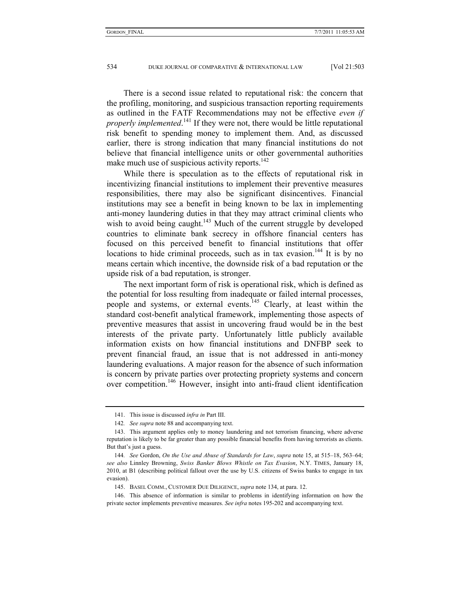There is a second issue related to reputational risk: the concern that the profiling, monitoring, and suspicious transaction reporting requirements as outlined in the FATF Recommendations may not be effective *even if properly implemented*. 141 If they were not, there would be little reputational risk benefit to spending money to implement them. And, as discussed earlier, there is strong indication that many financial institutions do not believe that financial intelligence units or other governmental authorities make much use of suspicious activity reports.<sup>142</sup>

While there is speculation as to the effects of reputational risk in incentivizing financial institutions to implement their preventive measures responsibilities, there may also be significant disincentives. Financial institutions may see a benefit in being known to be lax in implementing anti-money laundering duties in that they may attract criminal clients who wish to avoid being caught.<sup>143</sup> Much of the current struggle by developed countries to eliminate bank secrecy in offshore financial centers has focused on this perceived benefit to financial institutions that offer locations to hide criminal proceeds, such as in tax evasion.<sup>144</sup> It is by no means certain which incentive, the downside risk of a bad reputation or the upside risk of a bad reputation, is stronger.

The next important form of risk is operational risk, which is defined as the potential for loss resulting from inadequate or failed internal processes, people and systems, or external events.<sup>145</sup> Clearly, at least within the standard cost-benefit analytical framework, implementing those aspects of preventive measures that assist in uncovering fraud would be in the best interests of the private party. Unfortunately little publicly available information exists on how financial institutions and DNFBP seek to prevent financial fraud, an issue that is not addressed in anti-money laundering evaluations. A major reason for the absence of such information is concern by private parties over protecting propriety systems and concern over competition.146 However, insight into anti-fraud client identification

 <sup>141.</sup> This issue is discussed *infra in* Part III.

<sup>142</sup>*. See supra* note 88 and accompanying text.

 <sup>143.</sup> This argument applies only to money laundering and not terrorism financing, where adverse reputation is likely to be far greater than any possible financial benefits from having terrorists as clients. But that's just a guess.

<sup>144</sup>*. See* Gordon, *On the Use and Abuse of Standards for Law*, *supra* note 15, at 515–18, 563–64; *see also* Linnley Browning, *Swiss Banker Blows Whistle on Tax Evasion*, N.Y. TIMES, January 18, 2010, at B1 (describing political fallout over the use by U.S. citizens of Swiss banks to engage in tax evasion).

 <sup>145.</sup> BASEL COMM., CUSTOMER DUE DILIGENCE, *supra* note 134, at para. 12.

 <sup>146.</sup> This absence of information is similar to problems in identifying information on how the private sector implements preventive measures. *See infra* notes 195-202 and accompanying text.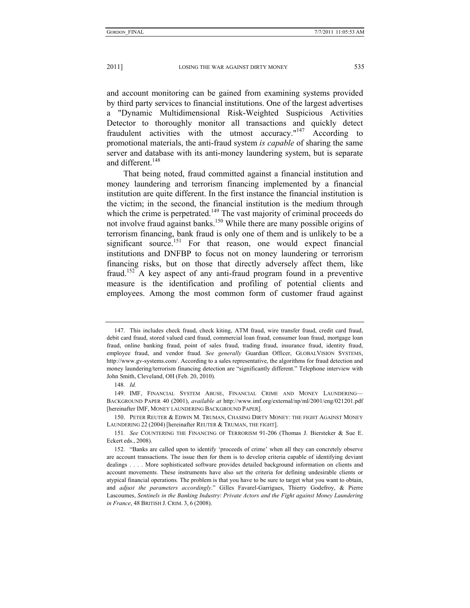and account monitoring can be gained from examining systems provided by third party services to financial institutions. One of the largest advertises a "Dynamic Multidimensional Risk-Weighted Suspicious Activities Detector to thoroughly monitor all transactions and quickly detect fraudulent activities with the utmost accuracy."<sup>147</sup> According to promotional materials, the anti-fraud system *is capable* of sharing the same server and database with its anti-money laundering system, but is separate and different.<sup>148</sup>

That being noted, fraud committed against a financial institution and money laundering and terrorism financing implemented by a financial institution are quite different. In the first instance the financial institution is the victim; in the second, the financial institution is the medium through which the crime is perpetrated.<sup>149</sup> The vast majority of criminal proceeds do not involve fraud against banks.150 While there are many possible origins of terrorism financing, bank fraud is only one of them and is unlikely to be a significant source.<sup>151</sup> For that reason, one would expect financial institutions and DNFBP to focus not on money laundering or terrorism financing risks, but on those that directly adversely affect them, like fraud.152 A key aspect of any anti-fraud program found in a preventive measure is the identification and profiling of potential clients and employees. Among the most common form of customer fraud against

 <sup>147.</sup> This includes check fraud, check kiting, ATM fraud, wire transfer fraud, credit card fraud, debit card fraud, stored valued card fraud, commercial loan fraud, consumer loan fraud, mortgage loan fraud, online banking fraud, point of sales fraud, trading fraud, insurance fraud, identity fraud, employee fraud, and vendor fraud. *See generally* Guardian Officer, GLOBALVISION SYSTEMS, http://www.gv-systems.com/. According to a sales representative, the algorithms for fraud detection and money laundering/terrorism financing detection are "significantly different." Telephone interview with John Smith, Cleveland, OH (Feb. 20, 2010).

<sup>148</sup>*. Id.*

 <sup>149.</sup> IMF, FINANCIAL SYSTEM ABUSE, FINANCIAL CRIME AND MONEY LAUNDERING— BACKGROUND PAPER 40 (2001), *available at* http://www.imf.org/external/np/ml/2001/eng/021201.pdf [hereinafter IMF, MONEY LAUNDERING BACKGROUND PAPER].

 <sup>150.</sup> PETER REUTER & EDWIN M. TRUMAN, CHASING DIRTY MONEY: THE FIGHT AGAINST MONEY LAUNDERING 22 (2004) [hereinafter REUTER & TRUMAN, THE FIGHT].

<sup>151</sup>*. See* COUNTERING THE FINANCING OF TERRORISM 91-206 (Thomas J. Biersteker & Sue E. Eckert eds., 2008).

 <sup>152. &</sup>quot;Banks are called upon to identify 'proceeds of crime' when all they can concretely observe are account transactions. The issue then for them is to develop criteria capable of identifying deviant dealings . . . . More sophisticated software provides detailed background information on clients and account movements. These instruments have also set the criteria for defining undesirable clients or atypical financial operations. The problem is that you have to be sure to target what you want to obtain, and *adjust the parameters accordingly*." Gilles Favarel-Garrigues, Thierry Godefroy, & Pierre Lascoumes, *Sentinels in the Banking Industry*: *Private Actors and the Fight against Money Laundering in France*, 48 BRITISH J. CRIM. 3, 6 (2008).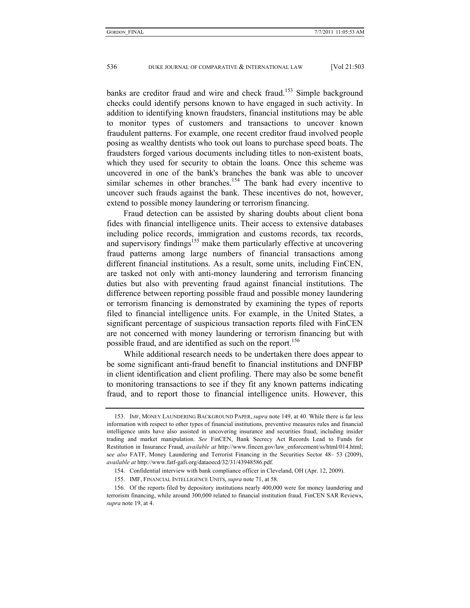banks are creditor fraud and wire and check fraud.<sup>153</sup> Simple background checks could identify persons known to have engaged in such activity. In addition to identifying known fraudsters, financial institutions may be able to monitor types of customers and transactions to uncover known fraudulent patterns. For example, one recent creditor fraud involved people posing as wealthy dentists who took out loans to purchase speed boats. The fraudsters forged various documents including titles to non-existent boats, which they used for security to obtain the loans. Once this scheme was uncovered in one of the bank's branches the bank was able to uncover similar schemes in other branches.<sup>154</sup> The bank had every incentive to uncover such frauds against the bank. These incentives do not, however, extend to possible money laundering or terrorism financing.

Fraud detection can be assisted by sharing doubts about client bona fides with financial intelligence units. Their access to extensive databases including police records, immigration and customs records, tax records, and supervisory findings<sup>155</sup> make them particularly effective at uncovering fraud patterns among large numbers of financial transactions among different financial institutions. As a result, some units, including FinCEN, are tasked not only with anti-money laundering and terrorism financing duties but also with preventing fraud against financial institutions. The difference between reporting possible fraud and possible money laundering or terrorism financing is demonstrated by examining the types of reports filed to financial intelligence units. For example, in the United States, a significant percentage of suspicious transaction reports filed with FinCEN are not concerned with money laundering or terrorism financing but with possible fraud, and are identified as such on the report.<sup>156</sup>

While additional research needs to be undertaken there does appear to be some significant anti-fraud benefit to financial institutions and DNFBP in client identification and client profiling. There may also be some benefit to monitoring transactions to see if they fit any known patterns indicating fraud, and to report those to financial intelligence units. However, this

 <sup>153.</sup> IMF, MONEY LAUNDERING BACKGROUND PAPER, *supra* note 149, at 40. While there is far less information with respect to other types of financial institutions, preventive measures rules and financial intelligence units have also assisted in uncovering insurance and securities fraud, including insider trading and market manipulation. *See* FinCEN, Bank Secrecy Act Records Lead to Funds for Restitution in Insurance Fraud, *available at* http://www.fincen.gov/law\_enforcement/ss/html/014.html; s*ee also* FATF, Money Laundering and Terrorist Financing in the Securities Sector 48– 53 (2009), *available at* http://www.fatf-gafi.org/dataoecd/32/31/43948586.pdf.

 <sup>154.</sup> Confidential interview with bank compliance officer in Cleveland, OH (Apr. 12, 2009).

 <sup>155.</sup> IMF, FINANCIAL INTELLIGENCE UNITS, *supra* note 71, at 58.

 <sup>156.</sup> Of the reports filed by depository institutions nearly 400,000 were for money laundering and terrorism financing, while around 300,000 related to financial institution fraud. FinCEN SAR Reviews, *supra* note 19, at 4.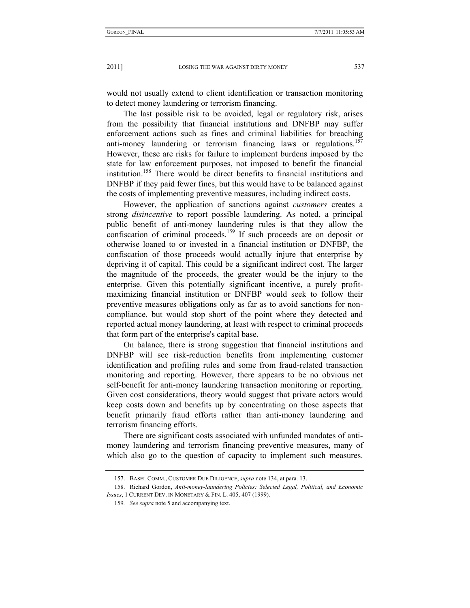would not usually extend to client identification or transaction monitoring to detect money laundering or terrorism financing.

The last possible risk to be avoided, legal or regulatory risk, arises from the possibility that financial institutions and DNFBP may suffer enforcement actions such as fines and criminal liabilities for breaching anti-money laundering or terrorism financing laws or regulations.<sup>157</sup> However, these are risks for failure to implement burdens imposed by the state for law enforcement purposes, not imposed to benefit the financial institution.158 There would be direct benefits to financial institutions and DNFBP if they paid fewer fines, but this would have to be balanced against the costs of implementing preventive measures, including indirect costs.

However, the application of sanctions against *customers* creates a strong *disincentive* to report possible laundering. As noted, a principal public benefit of anti-money laundering rules is that they allow the confiscation of criminal proceeds.<sup>159</sup> If such proceeds are on deposit or otherwise loaned to or invested in a financial institution or DNFBP, the confiscation of those proceeds would actually injure that enterprise by depriving it of capital. This could be a significant indirect cost. The larger the magnitude of the proceeds, the greater would be the injury to the enterprise. Given this potentially significant incentive, a purely profitmaximizing financial institution or DNFBP would seek to follow their preventive measures obligations only as far as to avoid sanctions for noncompliance, but would stop short of the point where they detected and reported actual money laundering, at least with respect to criminal proceeds that form part of the enterprise's capital base.

On balance, there is strong suggestion that financial institutions and DNFBP will see risk-reduction benefits from implementing customer identification and profiling rules and some from fraud-related transaction monitoring and reporting. However, there appears to be no obvious net self-benefit for anti-money laundering transaction monitoring or reporting. Given cost considerations, theory would suggest that private actors would keep costs down and benefits up by concentrating on those aspects that benefit primarily fraud efforts rather than anti-money laundering and terrorism financing efforts.

There are significant costs associated with unfunded mandates of antimoney laundering and terrorism financing preventive measures, many of which also go to the question of capacity to implement such measures.

 <sup>157.</sup> BASEL COMM., CUSTOMER DUE DILIGENCE, *supra* note 134, at para. 13.

 <sup>158.</sup> Richard Gordon, *Anti-money-laundering Policies: Selected Legal, Political, and Economic Issues*, 1 CURRENT DEV. IN MONETARY & FIN. L. 405, 407 (1999).

<sup>159</sup>*. See supra* note 5 and accompanying text.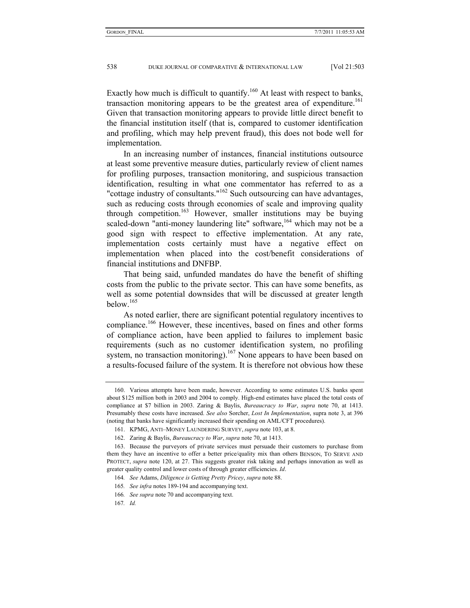Exactly how much is difficult to quantify.<sup>160</sup> At least with respect to banks, transaction monitoring appears to be the greatest area of expenditure.<sup>161</sup> Given that transaction monitoring appears to provide little direct benefit to the financial institution itself (that is, compared to customer identification and profiling, which may help prevent fraud), this does not bode well for implementation.

In an increasing number of instances, financial institutions outsource at least some preventive measure duties, particularly review of client names for profiling purposes, transaction monitoring, and suspicious transaction identification, resulting in what one commentator has referred to as a "cottage industry of consultants."<sup>162</sup> Such outsourcing can have advantages, such as reducing costs through economies of scale and improving quality through competition.163 However, smaller institutions may be buying scaled-down "anti-money laundering lite" software,<sup>164</sup> which may not be a good sign with respect to effective implementation. At any rate, implementation costs certainly must have a negative effect on implementation when placed into the cost/benefit considerations of financial institutions and DNFBP.

That being said, unfunded mandates do have the benefit of shifting costs from the public to the private sector. This can have some benefits, as well as some potential downsides that will be discussed at greater length below  $165$ 

As noted earlier, there are significant potential regulatory incentives to compliance.166 However, these incentives, based on fines and other forms of compliance action, have been applied to failures to implement basic requirements (such as no customer identification system, no profiling system, no transaction monitoring).<sup>167</sup> None appears to have been based on a results-focused failure of the system. It is therefore not obvious how these

167*. Id.*

 <sup>160.</sup> Various attempts have been made, however. According to some estimates U.S. banks spent about \$125 million both in 2003 and 2004 to comply. High-end estimates have placed the total costs of compliance at \$7 billion in 2003. Zaring & Baylis, *Bureaucracy to War*, *supra* note 70, at 1413. Presumably these costs have increased. *See also* Sorcher, *Lost In Implementation*, supra note 3, at 396 (noting that banks have significantly increased their spending on AML/CFT procedures).

 <sup>161.</sup> KPMG, ANTI–MONEY LAUNDERING SURVEY, *supra* note 103, at 8.

 <sup>162.</sup> Zaring & Baylis, *Bureaucracy to War*, *supra* note 70, at 1413.

 <sup>163.</sup> Because the purveyors of private services must persuade their customers to purchase from them they have an incentive to offer a better price/quality mix than others BENSON, TO SERVE AND PROTECT, *supra* note 120, at 27. This suggests greater risk taking and perhaps innovation as well as greater quality control and lower costs of through greater efficiencies. *Id*.

<sup>164</sup>*. See* Adams, *Diligence is Getting Pretty Pricey*, *supra* note 88.

<sup>165</sup>*. See infra* notes 189-194 and accompanying text.

<sup>166</sup>*. See supra* note 70 and accompanying text.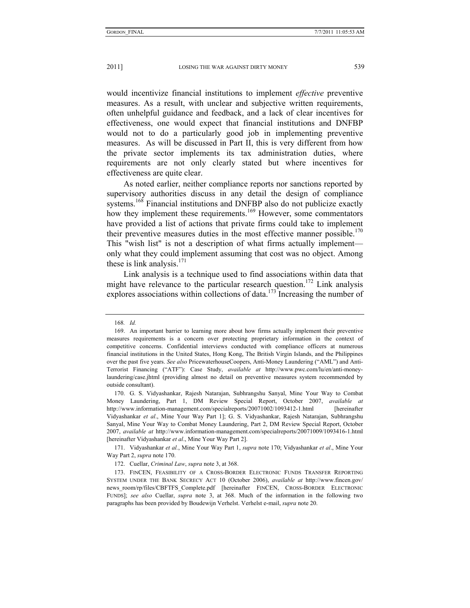would incentivize financial institutions to implement *effective* preventive

measures. As a result, with unclear and subjective written requirements, often unhelpful guidance and feedback, and a lack of clear incentives for effectiveness, one would expect that financial institutions and DNFBP would not to do a particularly good job in implementing preventive measures. As will be discussed in Part II, this is very different from how the private sector implements its tax administration duties, where requirements are not only clearly stated but where incentives for effectiveness are quite clear.

As noted earlier, neither compliance reports nor sanctions reported by supervisory authorities discuss in any detail the design of compliance systems.<sup>168</sup> Financial institutions and DNFBP also do not publicize exactly how they implement these requirements.<sup>169</sup> However, some commentators have provided a list of actions that private firms could take to implement their preventive measures duties in the most effective manner possible.<sup>170</sup> This "wish list" is not a description of what firms actually implement only what they could implement assuming that cost was no object. Among these is link analysis. $171$ 

Link analysis is a technique used to find associations within data that might have relevance to the particular research question.<sup>172</sup> Link analysis explores associations within collections of data.<sup>173</sup> Increasing the number of

<sup>168</sup>*. Id.*

 <sup>169.</sup> An important barrier to learning more about how firms actually implement their preventive measures requirements is a concern over protecting proprietary information in the context of competitive concerns. Confidential interviews conducted with compliance officers at numerous financial institutions in the United States, Hong Kong, The British Virgin Islands, and the Philippines over the past five years. *See also* PricewaterhouseCoopers, Anti-Money Laundering ("AML") and Anti-Terrorist Financing ("ATF"): Case Study, *available at* http://www.pwc.com/lu/en/anti-moneylaundering/case.jhtml (providing almost no detail on preventive measures system recommended by outside consultant).

 <sup>170.</sup> G. S. Vidyashankar, Rajesh Natarajan, Subhrangshu Sanyal, Mine Your Way to Combat Money Laundering, Part 1, DM Review Special Report, October 2007, *available at* http://www.information-management.com/specialreports/20071002/1093412-1.html [hereinafter] Vidyashankar *et al*., Mine Your Way Part 1]; G. S. Vidyashankar, Rajesh Natarajan, Subhrangshu Sanyal, Mine Your Way to Combat Money Laundering, Part 2, DM Review Special Report, October 2007, *available at* http://www.information-management.com/specialreports/20071009/1093416-1.html [hereinafter Vidyashankar *et al*., Mine Your Way Part 2].

 <sup>171.</sup> Vidyashankar *et al.*, Mine Your Way Part 1, *supra* note 170; Vidyashankar *et al*., Mine Your Way Part 2, *supra* note 170.

 <sup>172.</sup> Cuellar, *Criminal Law*, *supra* note 3, at 368.

 <sup>173.</sup> FINCEN, FEASIBILITY OF A CROSS-BORDER ELECTRONIC FUNDS TRANSFER REPORTING SYSTEM UNDER THE BANK SECRECY ACT 10 (October 2006), *available at* http://www.fincen.gov/ news room/rp/files/CBFTFS\_Complete.pdf [hereinafter FINCEN, CROSS-BORDER ELECTRONIC FUNDS]; *see also* Cuellar, *supra* note 3, at 368. Much of the information in the following two paragraphs has been provided by Boudewijn Verhelst. Verhelst e-mail, *supra* note 20.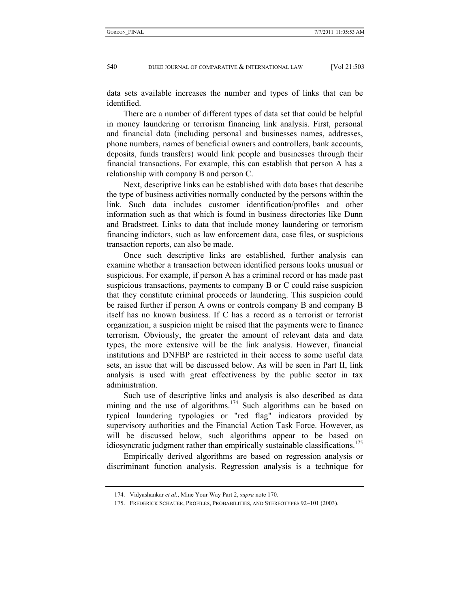data sets available increases the number and types of links that can be identified.

There are a number of different types of data set that could be helpful in money laundering or terrorism financing link analysis. First, personal and financial data (including personal and businesses names, addresses, phone numbers, names of beneficial owners and controllers, bank accounts, deposits, funds transfers) would link people and businesses through their financial transactions. For example, this can establish that person A has a relationship with company B and person C.

Next, descriptive links can be established with data bases that describe the type of business activities normally conducted by the persons within the link. Such data includes customer identification/profiles and other information such as that which is found in business directories like Dunn and Bradstreet. Links to data that include money laundering or terrorism financing indictors, such as law enforcement data, case files, or suspicious transaction reports, can also be made.

Once such descriptive links are established, further analysis can examine whether a transaction between identified persons looks unusual or suspicious. For example, if person A has a criminal record or has made past suspicious transactions, payments to company B or C could raise suspicion that they constitute criminal proceeds or laundering. This suspicion could be raised further if person A owns or controls company B and company B itself has no known business. If C has a record as a terrorist or terrorist organization, a suspicion might be raised that the payments were to finance terrorism. Obviously, the greater the amount of relevant data and data types, the more extensive will be the link analysis. However, financial institutions and DNFBP are restricted in their access to some useful data sets, an issue that will be discussed below. As will be seen in Part II, link analysis is used with great effectiveness by the public sector in tax administration.

Such use of descriptive links and analysis is also described as data mining and the use of algorithms.<sup>174</sup> Such algorithms can be based on typical laundering typologies or "red flag" indicators provided by supervisory authorities and the Financial Action Task Force. However, as will be discussed below, such algorithms appear to be based on idiosyncratic judgment rather than empirically sustainable classifications.<sup>175</sup>

Empirically derived algorithms are based on regression analysis or discriminant function analysis. Regression analysis is a technique for

 <sup>174.</sup> Vidyashankar *et al.*, Mine Your Way Part 2, *supra* note 170.

 <sup>175.</sup> FREDERICK SCHAUER, PROFILES, PROBABILITIES, AND STEREOTYPES 92–101 (2003).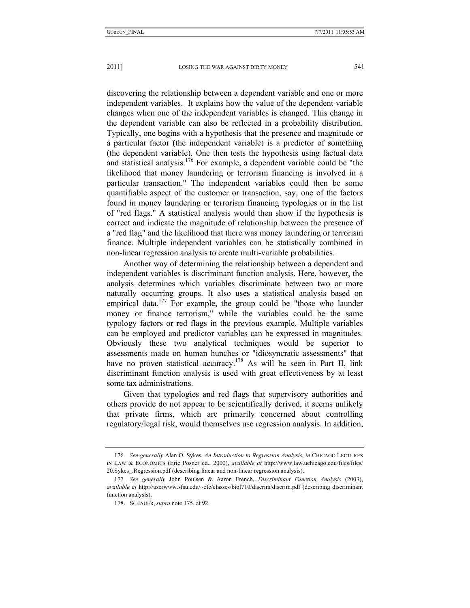discovering the relationship between a dependent variable and one or more independent variables. It explains how the value of the dependent variable changes when one of the independent variables is changed. This change in the dependent variable can also be reflected in a probability distribution. Typically, one begins with a hypothesis that the presence and magnitude or a particular factor (the independent variable) is a predictor of something (the dependent variable). One then tests the hypothesis using factual data and statistical analysis.<sup>176</sup> For example, a dependent variable could be "the likelihood that money laundering or terrorism financing is involved in a particular transaction." The independent variables could then be some quantifiable aspect of the customer or transaction, say, one of the factors found in money laundering or terrorism financing typologies or in the list of "red flags." A statistical analysis would then show if the hypothesis is correct and indicate the magnitude of relationship between the presence of a "red flag" and the likelihood that there was money laundering or terrorism finance. Multiple independent variables can be statistically combined in non-linear regression analysis to create multi-variable probabilities.

Another way of determining the relationship between a dependent and independent variables is discriminant function analysis. Here, however, the analysis determines which variables discriminate between two or more naturally occurring groups. It also uses a statistical analysis based on empirical data.<sup>177</sup> For example, the group could be "those who launder money or finance terrorism," while the variables could be the same typology factors or red flags in the previous example. Multiple variables can be employed and predictor variables can be expressed in magnitudes. Obviously these two analytical techniques would be superior to assessments made on human hunches or "idiosyncratic assessments" that have no proven statistical accuracy.<sup>178</sup> As will be seen in Part II, link discriminant function analysis is used with great effectiveness by at least some tax administrations.

Given that typologies and red flags that supervisory authorities and others provide do not appear to be scientifically derived, it seems unlikely that private firms, which are primarily concerned about controlling regulatory/legal risk, would themselves use regression analysis. In addition,

<sup>176</sup>*. See generally* Alan O. Sykes, *An Introduction to Regression Analysis*, *in* CHICAGO LECTURES IN LAW & ECONOMICS (Eric Posner ed., 2000), *available at* http://www.law.uchicago.edu/files/files/ 20.Sykes\_.Regression.pdf (describing linear and non-linear regression analysis).

<sup>177</sup>*. See generally* John Poulsen & Aaron French, *Discriminant Function Analysis* (2003), *available at* http://userwww.sfsu.edu/~efc/classes/biol710/discrim/discrim.pdf (describing discriminant function analysis).

 <sup>178.</sup> SCHAUER, *supra* note 175, at 92.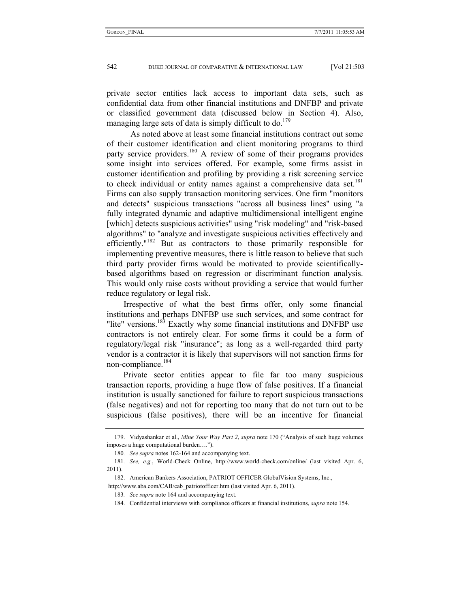private sector entities lack access to important data sets, such as confidential data from other financial institutions and DNFBP and private or classified government data (discussed below in Section 4). Also, managing large sets of data is simply difficult to do.<sup>179</sup>

 As noted above at least some financial institutions contract out some of their customer identification and client monitoring programs to third party service providers.<sup>180</sup> A review of some of their programs provides some insight into services offered. For example, some firms assist in customer identification and profiling by providing a risk screening service to check individual or entity names against a comprehensive data set.<sup>181</sup> Firms can also supply transaction monitoring services. One firm "monitors and detects" suspicious transactions "across all business lines" using "a fully integrated dynamic and adaptive multidimensional intelligent engine [which] detects suspicious activities" using "risk modeling" and "risk-based algorithms" to "analyze and investigate suspicious activities effectively and efficiently."182 But as contractors to those primarily responsible for implementing preventive measures, there is little reason to believe that such third party provider firms would be motivated to provide scientificallybased algorithms based on regression or discriminant function analysis. This would only raise costs without providing a service that would further reduce regulatory or legal risk.

Irrespective of what the best firms offer, only some financial institutions and perhaps DNFBP use such services, and some contract for "lite" versions.<sup>183</sup> Exactly why some financial institutions and DNFBP use contractors is not entirely clear. For some firms it could be a form of regulatory/legal risk "insurance"; as long as a well-regarded third party vendor is a contractor it is likely that supervisors will not sanction firms for non-compliance.<sup>184</sup>

Private sector entities appear to file far too many suspicious transaction reports, providing a huge flow of false positives. If a financial institution is usually sanctioned for failure to report suspicious transactions (false negatives) and not for reporting too many that do not turn out to be suspicious (false positives), there will be an incentive for financial

 <sup>179.</sup> Vidyashankar et al., *Mine Your Way Part 2*, *supra* note 170 ("Analysis of such huge volumes imposes a huge computational burden….").

<sup>180</sup>*. See supra* notes 162-164 and accompanying text.

<sup>181</sup>*. See, e.g.*, World-Check Online, http://www.world-check.com/online/ (last visited Apr. 6, 2011).

 <sup>182.</sup> American Bankers Association, PATRIOT OFFICER GlobalVision Systems, Inc.,

http://www.aba.com/CAB/cab\_patriotofficer.htm (last visited Apr. 6, 2011).

<sup>183</sup>*. See supra* note 164 and accompanying text.

 <sup>184.</sup> Confidential interviews with compliance officers at financial institutions, *supra* note 154.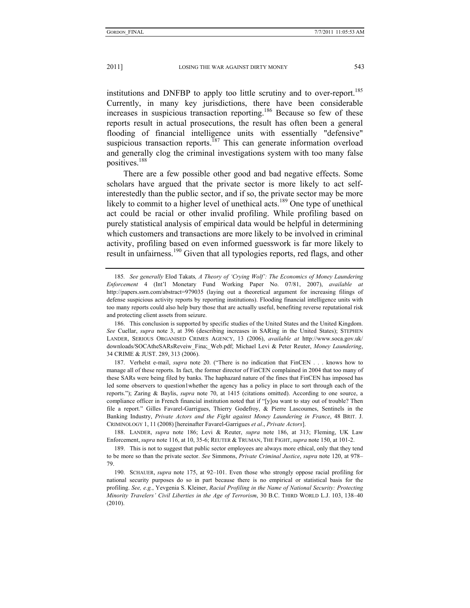institutions and DNFBP to apply too little scrutiny and to over-report.<sup>185</sup> Currently, in many key jurisdictions, there have been considerable increases in suspicious transaction reporting.<sup>186</sup> Because so few of these reports result in actual prosecutions, the result has often been a general flooding of financial intelligence units with essentially "defensive" suspicious transaction reports.<sup>187</sup> This can generate information overload and generally clog the criminal investigations system with too many false positives.<sup>188</sup>

There are a few possible other good and bad negative effects. Some scholars have argued that the private sector is more likely to act selfinterestedly than the public sector, and if so, the private sector may be more likely to commit to a higher level of unethical acts.<sup>189</sup> One type of unethical act could be racial or other invalid profiling. While profiling based on purely statistical analysis of empirical data would be helpful in determining which customers and transactions are more likely to be involved in criminal activity, profiling based on even informed guesswork is far more likely to result in unfairness.<sup>190</sup> Given that all typologies reports, red flags, and other

 188. LANDER, *supra* note 186; Levi & Reuter, *supra* note 186, at 313; Fleming, UK Law Enforcement, *supra* note 116, at 10, 35-6; REUTER & TRUMAN, THE FIGHT, *supra* note 150, at 101-2.

<sup>185</sup>*. See generally* Elod Takats*, A Theory of 'Crying Wolf': The Economics of Money Laundering Enforcement* 4 (Int'l Monetary Fund Working Paper No. 07/81, 2007), *available at*  http://papers.ssrn.com/abstract=979035 (laying out a theoretical argument for increasing filings of defense suspicious activity reports by reporting institutions). Flooding financial intelligence units with too many reports could also help bury those that are actually useful, benefiting reverse reputational risk and protecting client assets from seizure.

 <sup>186.</sup> This conclusion is supported by specific studies of the United States and the United Kingdom. *See* Cuellar, *supra* note 3, at 396 (describing increases in SARing in the United States); STEPHEN LANDER, SERIOUS ORGANISED CRIMES AGENCY, 13 (2006), *available at* http://www.soca.gov.uk/ downloads/SOCAtheSARsReveiw\_Fina;\_Web.pdf; Michael Levi & Peter Reuter, *Money Laundering*, 34 CRIME & JUST. 289, 313 (2006).

 <sup>187.</sup> Verhelst e-mail, *supra* note 20. ("There is no indication that FinCEN . . . knows how to manage all of these reports. In fact, the former director of FinCEN complained in 2004 that too many of these SARs were being filed by banks. The haphazard nature of the fines that FinCEN has imposed has led some observers to question1whether the agency has a policy in place to sort through each of the reports."); Zaring & Baylis, *supra* note 70, at 1415 (citations omitted). According to one source, a compliance officer in French financial institution noted that if "[y]ou want to stay out of trouble? Then file a report." Gilles Favarel-Garrigues, Thierry Godefroy, & Pierre Lascoumes, Sentinels in the Banking Industry, *Private Actors and the Fight against Money Laundering in France*, 48 BRIT. J. CRIMINOLOGY 1, 11 (2008) [hereinafter Favarel-Garrigues *et al*., *Private Actors*].

 <sup>189.</sup> This is not to suggest that public sector employees are always more ethical, only that they tend to be more so than the private sector. *See* Simmons, *Private Criminal Justice*, *supra* note 120, at 978– 79.

 <sup>190.</sup> SCHAUER, *supra* note 175, at 92–101. Even those who strongly oppose racial profiling for national security purposes do so in part because there is no empirical or statistical basis for the profiling. *See, e.g.*, Yevgenia S. Kleiner, *Racial Profiling in the Name of National Security: Protecting Minority Travelers' Civil Liberties in the Age of Terrorism*, 30 B.C. THIRD WORLD L.J. 103, 138–40 (2010).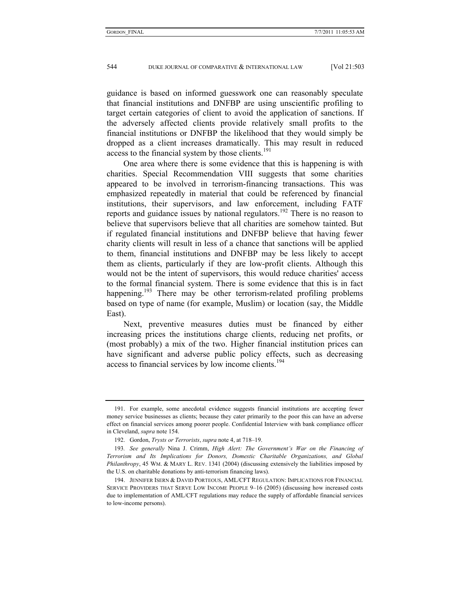guidance is based on informed guesswork one can reasonably speculate that financial institutions and DNFBP are using unscientific profiling to target certain categories of client to avoid the application of sanctions. If the adversely affected clients provide relatively small profits to the financial institutions or DNFBP the likelihood that they would simply be dropped as a client increases dramatically. This may result in reduced access to the financial system by those clients.<sup>191</sup>

One area where there is some evidence that this is happening is with charities. Special Recommendation VIII suggests that some charities appeared to be involved in terrorism-financing transactions. This was emphasized repeatedly in material that could be referenced by financial institutions, their supervisors, and law enforcement, including FATF reports and guidance issues by national regulators.<sup>192</sup> There is no reason to believe that supervisors believe that all charities are somehow tainted. But if regulated financial institutions and DNFBP believe that having fewer charity clients will result in less of a chance that sanctions will be applied to them, financial institutions and DNFBP may be less likely to accept them as clients, particularly if they are low-profit clients. Although this would not be the intent of supervisors, this would reduce charities' access to the formal financial system. There is some evidence that this is in fact happening.<sup>193</sup> There may be other terrorism-related profiling problems based on type of name (for example, Muslim) or location (say, the Middle East).

Next, preventive measures duties must be financed by either increasing prices the institutions charge clients, reducing net profits, or (most probably) a mix of the two. Higher financial institution prices can have significant and adverse public policy effects, such as decreasing access to financial services by low income clients.<sup>194</sup>

 <sup>191.</sup> For example, some anecdotal evidence suggests financial institutions are accepting fewer money service businesses as clients; because they cater primarily to the poor this can have an adverse effect on financial services among poorer people. Confidential Interview with bank compliance officer in Cleveland, *supra* note 154.

 <sup>192.</sup> Gordon, *Trysts or Terrorists*, *supra* note 4, at 718–19.

<sup>193</sup>*. See generally* Nina J. Crimm, *High Alert: The Government's War on the Financing of Terrorism and Its Implications for Donors, Domestic Charitable Organizations, and Global Philanthropy*, 45 WM. & MARY L. REV. 1341 (2004) (discussing extensively the liabilities imposed by the U.S. on charitable donations by anti-terrorism financing laws).

 <sup>194.</sup> JENNIFER ISERN & DAVID PORTEOUS, AML/CFT REGULATION: IMPLICATIONS FOR FINANCIAL SERVICE PROVIDERS THAT SERVE LOW INCOME PEOPLE 9–16 (2005) (discussing how increased costs due to implementation of AML/CFT regulations may reduce the supply of affordable financial services to low-income persons).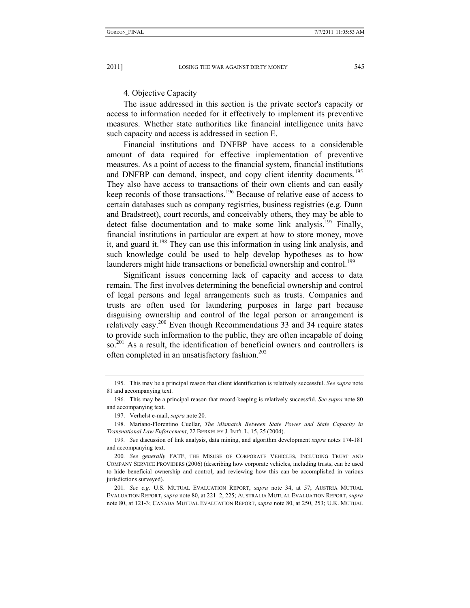#### 4. Objective Capacity

The issue addressed in this section is the private sector's capacity or access to information needed for it effectively to implement its preventive measures. Whether state authorities like financial intelligence units have such capacity and access is addressed in section E.

Financial institutions and DNFBP have access to a considerable amount of data required for effective implementation of preventive measures. As a point of access to the financial system, financial institutions and DNFBP can demand, inspect, and copy client identity documents.<sup>195</sup> They also have access to transactions of their own clients and can easily keep records of those transactions.196 Because of relative ease of access to certain databases such as company registries, business registries (e.g. Dunn and Bradstreet), court records, and conceivably others, they may be able to detect false documentation and to make some link analysis.<sup>197</sup> Finally, financial institutions in particular are expert at how to store money, move it, and guard it.<sup>198</sup> They can use this information in using link analysis, and such knowledge could be used to help develop hypotheses as to how launderers might hide transactions or beneficial ownership and control.<sup>199</sup>

Significant issues concerning lack of capacity and access to data remain. The first involves determining the beneficial ownership and control of legal persons and legal arrangements such as trusts. Companies and trusts are often used for laundering purposes in large part because disguising ownership and control of the legal person or arrangement is relatively easy.200 Even though Recommendations 33 and 34 require states to provide such information to the public, they are often incapable of doing so.<sup>201</sup> As a result, the identification of beneficial owners and controllers is often completed in an unsatisfactory fashion.<sup>202</sup>

 <sup>195.</sup> This may be a principal reason that client identification is relatively successful. *See supra* note 81 and accompanying text.

 <sup>196.</sup> This may be a principal reason that record-keeping is relatively successful. *See supra* note 80 and accompanying text.

 <sup>197.</sup> Verhelst e-mail, *supra* note 20.

 <sup>198.</sup> Mariano-Florentino Cuellar, *The Mismatch Between State Power and State Capacity in Transnational Law Enforcement*, 22 BERKELEY J. INT'L L. 15, 25 (2004).

<sup>199</sup>*. See* discussion of link analysis, data mining, and algorithm development *supra* notes 174-181 and accompanying text.

<sup>200</sup>*. See generally* FATF, THE MISUSE OF CORPORATE VEHICLES, INCLUDING TRUST AND COMPANY SERVICE PROVIDERS (2006) (describing how corporate vehicles, including trusts, can be used to hide beneficial ownership and control, and reviewing how this can be accomplished in various jurisdictions surveyed).

<sup>201</sup>*. See e.g.* U.S. MUTUAL EVALUATION REPORT, *supra* note 34, at 57; AUSTRIA MUTUAL EVALUATION REPORT, *supra* note 80, at 221–2, 225; AUSTRALIA MUTUAL EVALUATION REPORT, *supra* note 80, at 121-3; CANADA MUTUAL EVALUATION REPORT, *supra* note 80, at 250, 253; U.K. MUTUAL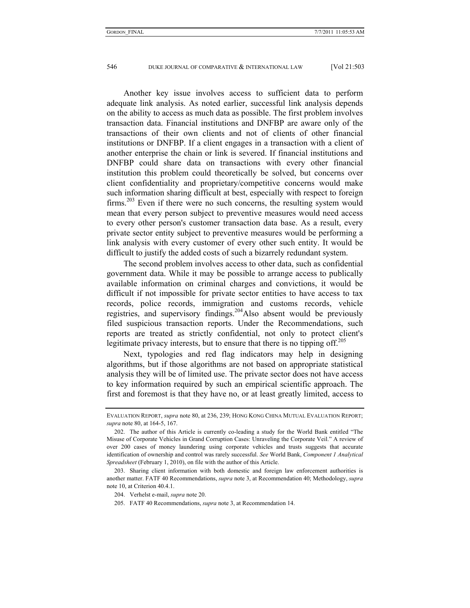Another key issue involves access to sufficient data to perform adequate link analysis. As noted earlier, successful link analysis depends on the ability to access as much data as possible. The first problem involves transaction data. Financial institutions and DNFBP are aware only of the transactions of their own clients and not of clients of other financial institutions or DNFBP. If a client engages in a transaction with a client of another enterprise the chain or link is severed. If financial institutions and DNFBP could share data on transactions with every other financial institution this problem could theoretically be solved, but concerns over client confidentiality and proprietary/competitive concerns would make such information sharing difficult at best, especially with respect to foreign firms.203 Even if there were no such concerns, the resulting system would mean that every person subject to preventive measures would need access to every other person's customer transaction data base. As a result, every private sector entity subject to preventive measures would be performing a link analysis with every customer of every other such entity. It would be difficult to justify the added costs of such a bizarrely redundant system.

The second problem involves access to other data, such as confidential government data. While it may be possible to arrange access to publically available information on criminal charges and convictions, it would be difficult if not impossible for private sector entities to have access to tax records, police records, immigration and customs records, vehicle registries, and supervisory findings.<sup>204</sup>Also absent would be previously filed suspicious transaction reports. Under the Recommendations, such reports are treated as strictly confidential, not only to protect client's legitimate privacy interests, but to ensure that there is no tipping off.<sup>205</sup>

Next, typologies and red flag indicators may help in designing algorithms, but if those algorithms are not based on appropriate statistical analysis they will be of limited use. The private sector does not have access to key information required by such an empirical scientific approach. The first and foremost is that they have no, or at least greatly limited, access to

EVALUATION REPORT, *supra* note 80, at 236, 239; HONG KONG CHINA MUTUAL EVALUATION REPORT; *supra* note 80, at 164-5, 167.

 <sup>202.</sup> The author of this Article is currently co-leading a study for the World Bank entitled "The Misuse of Corporate Vehicles in Grand Corruption Cases: Unraveling the Corporate Veil." A review of over 200 cases of money laundering using corporate vehicles and trusts suggests that accurate identification of ownership and control was rarely successful. *See* World Bank, *Component 1 Analytical Spreadsheet* (February 1, 2010), on file with the author of this Article.

 <sup>203.</sup> Sharing client information with both domestic and foreign law enforcement authorities is another matter. FATF 40 Recommendations, *supra* note 3, at Recommendation 40; Methodology, *supra* note 10, at Criterion 40.4.1.

 <sup>204.</sup> Verhelst e-mail, *supra* note 20.

 <sup>205.</sup> FATF 40 Recommendations, *supra* note 3, at Recommendation 14.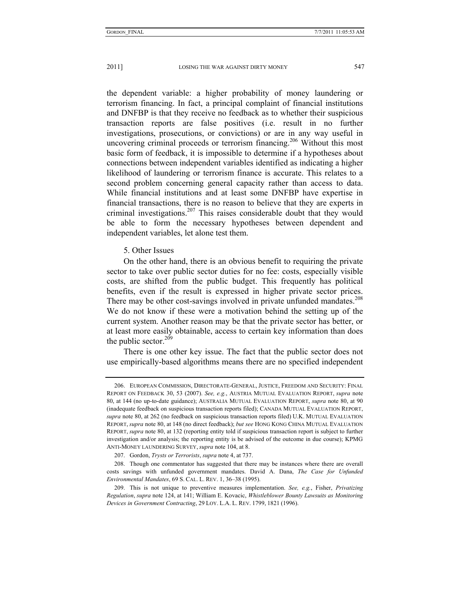the dependent variable: a higher probability of money laundering or terrorism financing. In fact, a principal complaint of financial institutions and DNFBP is that they receive no feedback as to whether their suspicious transaction reports are false positives (i.e. result in no further investigations, prosecutions, or convictions) or are in any way useful in uncovering criminal proceeds or terrorism financing.<sup>206</sup> Without this most basic form of feedback, it is impossible to determine if a hypotheses about connections between independent variables identified as indicating a higher likelihood of laundering or terrorism finance is accurate. This relates to a second problem concerning general capacity rather than access to data. While financial institutions and at least some DNFBP have expertise in financial transactions, there is no reason to believe that they are experts in criminal investigations.<sup>207</sup> This raises considerable doubt that they would be able to form the necessary hypotheses between dependent and independent variables, let alone test them.

# 5. Other Issues

On the other hand, there is an obvious benefit to requiring the private sector to take over public sector duties for no fee: costs, especially visible costs, are shifted from the public budget. This frequently has political benefits, even if the result is expressed in higher private sector prices. There may be other cost-savings involved in private unfunded mandates.<sup>208</sup> We do not know if these were a motivation behind the setting up of the current system. Another reason may be that the private sector has better, or at least more easily obtainable, access to certain key information than does the public sector. $209$ 

There is one other key issue. The fact that the public sector does not use empirically-based algorithms means there are no specified independent

 <sup>206.</sup> EUROPEAN COMMISSION, DIRECTORATE-GENERAL, JUSTICE, FREEDOM AND SECURITY: FINAL REPORT ON FEEDBACK 30, 53 (2007). *See, e.g.*, AUSTRIA MUTUAL EVALUATION REPORT, *supra* note 80, at 144 (no up-to-date guidance); AUSTRALIA MUTUAL EVALUATION REPORT, *supra* note 80, at 90 (inadequate feedback on suspicious transaction reports filed); CANADA MUTUAL EVALUATION REPORT, *supra* note 80, at 262 (no feedback on suspicious transaction reports filed) U.K. MUTUAL EVALUATION REPORT, *supra* note 80, at 148 (no direct feedback); *but see* HONG KONG CHINA MUTUAL EVALUATION REPORT, *supra* note 80, at 132 (reporting entity told if suspicious transaction report is subject to further investigation and/or analysis; the reporting entity is be advised of the outcome in due course); KPMG ANTI-MONEY LAUNDERING SURVEY, *supra* note 104, at 8.

 <sup>207.</sup> Gordon, *Trysts or Terrorists*, *supra* note 4, at 737.

 <sup>208.</sup> Though one commentator has suggested that there may be instances where there are overall costs savings with unfunded government mandates. David A. Dana, *The Case for Unfunded Environmental Mandates*, 69 S. CAL. L. REV. 1, 36–38 (1995).

 <sup>209.</sup> This is not unique to preventive measures implementation. *See, e.g.*, Fisher, *Privatizing Regulation*, *supra* note 124, at 141; William E. Kovacic, *Whistleblower Bounty Lawsuits as Monitoring Devices in Government Contracting*, 29 LOY. L.A. L. REV. 1799, 1821 (1996).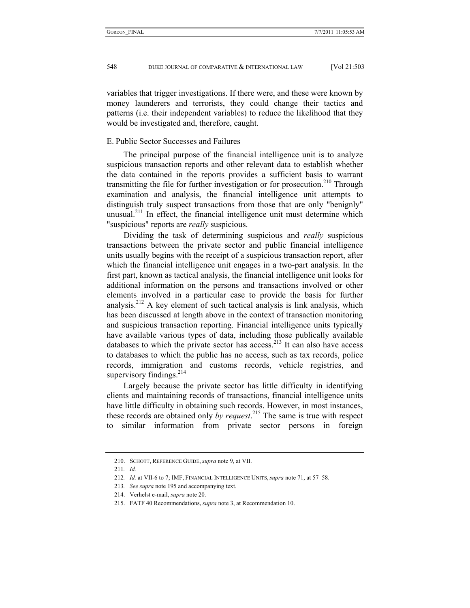variables that trigger investigations. If there were, and these were known by money launderers and terrorists, they could change their tactics and patterns (i.e. their independent variables) to reduce the likelihood that they would be investigated and, therefore, caught.

# E. Public Sector Successes and Failures

The principal purpose of the financial intelligence unit is to analyze suspicious transaction reports and other relevant data to establish whether the data contained in the reports provides a sufficient basis to warrant transmitting the file for further investigation or for prosecution.<sup>210</sup> Through examination and analysis, the financial intelligence unit attempts to distinguish truly suspect transactions from those that are only "benignly" unusual.<sup>211</sup> In effect, the financial intelligence unit must determine which "suspicious" reports are *really* suspicious.

Dividing the task of determining suspicious and *really* suspicious transactions between the private sector and public financial intelligence units usually begins with the receipt of a suspicious transaction report, after which the financial intelligence unit engages in a two-part analysis. In the first part, known as tactical analysis, the financial intelligence unit looks for additional information on the persons and transactions involved or other elements involved in a particular case to provide the basis for further analysis.<sup>212</sup> A key element of such tactical analysis is link analysis, which has been discussed at length above in the context of transaction monitoring and suspicious transaction reporting. Financial intelligence units typically have available various types of data, including those publically available databases to which the private sector has access.<sup>213</sup> It can also have access to databases to which the public has no access, such as tax records, police records, immigration and customs records, vehicle registries, and supervisory findings.<sup>214</sup>

Largely because the private sector has little difficulty in identifying clients and maintaining records of transactions, financial intelligence units have little difficulty in obtaining such records. However, in most instances, these records are obtained only *by request*. 215 The same is true with respect to similar information from private sector persons in foreign

 <sup>210.</sup> SCHOTT, REFERENCE GUIDE, *supra* note 9, at VII.

<sup>211</sup>*. Id.*

<sup>212</sup>*. Id.* at VII-6 to 7; IMF, FINANCIAL INTELLIGENCE UNITS, *supra* note 71, at 57–58.

<sup>213</sup>*. See supra* note 195 and accompanying text.

 <sup>214.</sup> Verhelst e-mail, *supra* note 20.

 <sup>215.</sup> FATF 40 Recommendations, *supra* note 3, at Recommendation 10.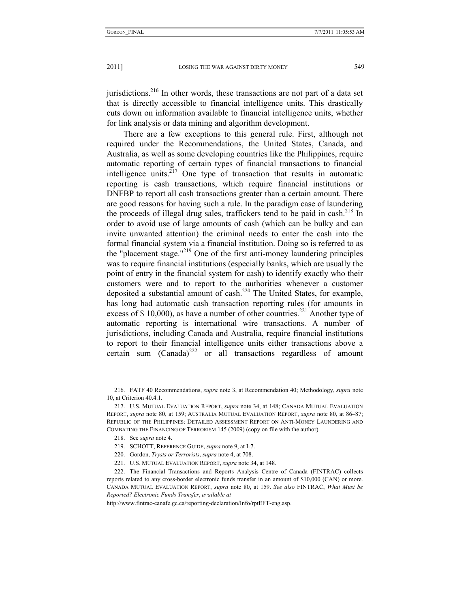jurisdictions.<sup>216</sup> In other words, these transactions are not part of a data set that is directly accessible to financial intelligence units. This drastically cuts down on information available to financial intelligence units, whether for link analysis or data mining and algorithm development.

There are a few exceptions to this general rule. First, although not required under the Recommendations, the United States, Canada, and Australia, as well as some developing countries like the Philippines, require automatic reporting of certain types of financial transactions to financial intelligence units. $^{217}$  One type of transaction that results in automatic reporting is cash transactions, which require financial institutions or DNFBP to report all cash transactions greater than a certain amount. There are good reasons for having such a rule. In the paradigm case of laundering the proceeds of illegal drug sales, traffickers tend to be paid in cash.<sup>218</sup> In order to avoid use of large amounts of cash (which can be bulky and can invite unwanted attention) the criminal needs to enter the cash into the formal financial system via a financial institution. Doing so is referred to as the "placement stage."<sup>219</sup> One of the first anti-money laundering principles was to require financial institutions (especially banks, which are usually the point of entry in the financial system for cash) to identify exactly who their customers were and to report to the authorities whenever a customer deposited a substantial amount of cash.<sup>220</sup> The United States, for example, has long had automatic cash transaction reporting rules (for amounts in excess of \$ 10,000), as have a number of other countries.<sup>221</sup> Another type of automatic reporting is international wire transactions. A number of jurisdictions, including Canada and Australia, require financial institutions to report to their financial intelligence units either transactions above a certain sum  $(Canada)^{222}$  or all transactions regardless of amount

 <sup>216.</sup> FATF 40 Recommendations, *supra* note 3, at Recommendation 40; Methodology, *supra* note 10, at Criterion 40.4.1.

 <sup>217.</sup> U.S. MUTUAL EVALUATION REPORT, *supra* note 34, at 148; CANADA MUTUAL EVALUATION REPORT, *supra* note 80, at 159; AUSTRALIA MUTUAL EVALUATION REPORT, *supra* note 80, at 86–87; REPUBLIC OF THE PHILIPPINES: DETAILED ASSESSMENT REPORT ON ANTI-MONEY LAUNDERING AND COMBATING THE FINANCING OF TERRORISM 145 (2009) (copy on file with the author).

 <sup>218.</sup> See *supra* note 4.

 <sup>219.</sup> SCHOTT, REFERENCE GUIDE, *supra* note 9, at I-7.

 <sup>220.</sup> Gordon, *Trysts or Terrorists*, *supra* note 4, at 708.

 <sup>221.</sup> U.S. MUTUAL EVALUATION REPORT, *supra* note 34, at 148.

 <sup>222.</sup> The Financial Transactions and Reports Analysis Centre of Canada (FINTRAC) collects reports related to any cross-border electronic funds transfer in an amount of \$10,000 (CAN) or more. CANADA MUTUAL EVALUATION REPORT, *supra* note 80, at 159. *See also* FINTRAC, *What Must be Reported? Electronic Funds Transfer*, *available at* 

http://www.fintrac-canafe.gc.ca/reporting-declaration/Info/rptEFT-eng.asp.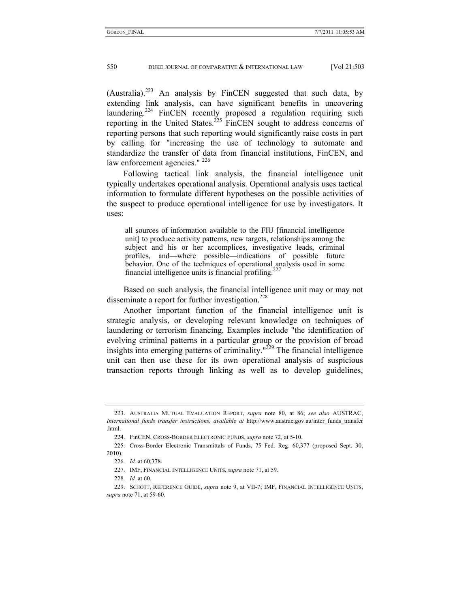(Australia).<sup>223</sup> An analysis by FinCEN suggested that such data, by extending link analysis, can have significant benefits in uncovering laundering.<sup>224</sup> FinCEN recently proposed a regulation requiring such reporting in the United States.<sup>225</sup> FinCEN sought to address concerns of reporting persons that such reporting would significantly raise costs in part by calling for "increasing the use of technology to automate and standardize the transfer of data from financial institutions, FinCEN, and law enforcement agencies." <sup>226</sup>

Following tactical link analysis, the financial intelligence unit typically undertakes operational analysis. Operational analysis uses tactical information to formulate different hypotheses on the possible activities of the suspect to produce operational intelligence for use by investigators. It uses:

all sources of information available to the FIU [financial intelligence unit] to produce activity patterns, new targets, relationships among the subject and his or her accomplices, investigative leads, criminal profiles, and—where possible—indications of possible future behavior. One of the techniques of operational analysis used in some financial intelligence units is financial profiling.<sup>27</sup>

Based on such analysis, the financial intelligence unit may or may not disseminate a report for further investigation.<sup>228</sup>

Another important function of the financial intelligence unit is strategic analysis, or developing relevant knowledge on techniques of laundering or terrorism financing. Examples include "the identification of evolving criminal patterns in a particular group or the provision of broad insights into emerging patterns of criminality. $1229$  The financial intelligence unit can then use these for its own operational analysis of suspicious transaction reports through linking as well as to develop guidelines,

 <sup>223.</sup> AUSTRALIA MUTUAL EVALUATION REPORT, *supra* note 80, at 86; *see also* AUSTRAC, *International funds transfer instructions*, *available at* http://www.austrac.gov.au/inter\_funds\_transfer .html.

 <sup>224.</sup> FinCEN, CROSS-BORDER ELECTRONIC FUNDS, *supra* note 72, at 5-10.

 <sup>225.</sup> Cross-Border Electronic Transmittals of Funds, 75 Fed. Reg. 60,377 (proposed Sept. 30, 2010).

<sup>226</sup>*. Id.* at 60,378.

 <sup>227.</sup> IMF, FINANCIAL INTELLIGENCE UNITS, *supra* note 71, at 59.

<sup>228</sup>*. Id.* at 60.

 <sup>229.</sup> SCHOTT, REFERENCE GUIDE, *supra* note 9, at VII-7; IMF, FINANCIAL INTELLIGENCE UNITS, *supra* note 71, at 59-60.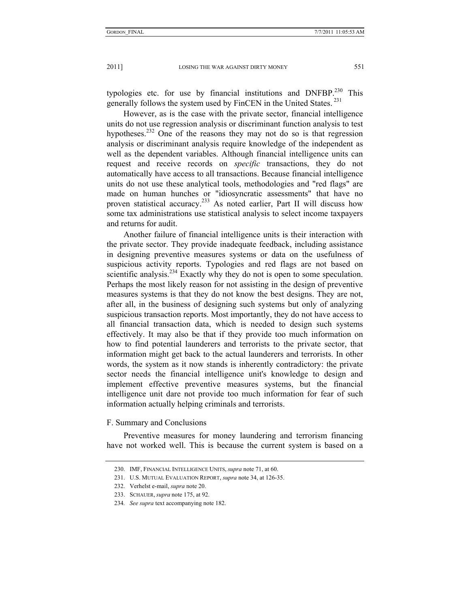typologies etc. for use by financial institutions and  $DNFBP<sup>230</sup>$  This generally follows the system used by FinCEN in the United States. 231

However, as is the case with the private sector, financial intelligence units do not use regression analysis or discriminant function analysis to test hypotheses.<sup>232</sup> One of the reasons they may not do so is that regression analysis or discriminant analysis require knowledge of the independent as well as the dependent variables. Although financial intelligence units can request and receive records on *specific* transactions, they do not automatically have access to all transactions. Because financial intelligence units do not use these analytical tools, methodologies and "red flags" are made on human hunches or "idiosyncratic assessments" that have no proven statistical accuracy.<sup>233</sup> As noted earlier, Part II will discuss how some tax administrations use statistical analysis to select income taxpayers and returns for audit.

Another failure of financial intelligence units is their interaction with the private sector. They provide inadequate feedback, including assistance in designing preventive measures systems or data on the usefulness of suspicious activity reports. Typologies and red flags are not based on scientific analysis.<sup>234</sup> Exactly why they do not is open to some speculation. Perhaps the most likely reason for not assisting in the design of preventive measures systems is that they do not know the best designs. They are not, after all, in the business of designing such systems but only of analyzing suspicious transaction reports. Most importantly, they do not have access to all financial transaction data, which is needed to design such systems effectively. It may also be that if they provide too much information on how to find potential launderers and terrorists to the private sector, that information might get back to the actual launderers and terrorists. In other words, the system as it now stands is inherently contradictory: the private sector needs the financial intelligence unit's knowledge to design and implement effective preventive measures systems, but the financial intelligence unit dare not provide too much information for fear of such information actually helping criminals and terrorists.

F. Summary and Conclusions

Preventive measures for money laundering and terrorism financing have not worked well. This is because the current system is based on a

 <sup>230.</sup> IMF, FINANCIAL INTELLIGENCE UNITS, *supra* note 71, at 60.

 <sup>231.</sup> U.S. MUTUAL EVALUATION REPORT, *supra* note 34, at 126-35.

 <sup>232.</sup> Verhelst e-mail, *supra* note 20.

 <sup>233.</sup> SCHAUER, *supra* note 175, at 92.

<sup>234</sup>*. See supra* text accompanying note 182.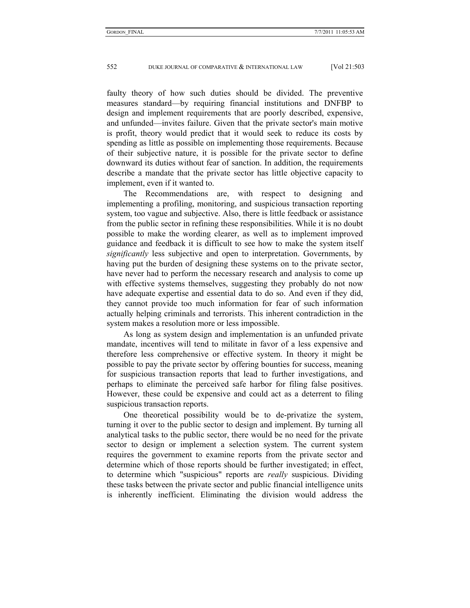faulty theory of how such duties should be divided. The preventive measures standard—by requiring financial institutions and DNFBP to design and implement requirements that are poorly described, expensive, and unfunded—invites failure. Given that the private sector's main motive is profit, theory would predict that it would seek to reduce its costs by spending as little as possible on implementing those requirements. Because of their subjective nature, it is possible for the private sector to define downward its duties without fear of sanction. In addition, the requirements describe a mandate that the private sector has little objective capacity to implement, even if it wanted to.

The Recommendations are, with respect to designing and implementing a profiling, monitoring, and suspicious transaction reporting system, too vague and subjective. Also, there is little feedback or assistance from the public sector in refining these responsibilities. While it is no doubt possible to make the wording clearer, as well as to implement improved guidance and feedback it is difficult to see how to make the system itself *significantly* less subjective and open to interpretation. Governments, by having put the burden of designing these systems on to the private sector, have never had to perform the necessary research and analysis to come up with effective systems themselves, suggesting they probably do not now have adequate expertise and essential data to do so. And even if they did, they cannot provide too much information for fear of such information actually helping criminals and terrorists. This inherent contradiction in the system makes a resolution more or less impossible.

As long as system design and implementation is an unfunded private mandate, incentives will tend to militate in favor of a less expensive and therefore less comprehensive or effective system. In theory it might be possible to pay the private sector by offering bounties for success, meaning for suspicious transaction reports that lead to further investigations, and perhaps to eliminate the perceived safe harbor for filing false positives. However, these could be expensive and could act as a deterrent to filing suspicious transaction reports.

One theoretical possibility would be to de-privatize the system, turning it over to the public sector to design and implement. By turning all analytical tasks to the public sector, there would be no need for the private sector to design or implement a selection system. The current system requires the government to examine reports from the private sector and determine which of those reports should be further investigated; in effect, to determine which "suspicious" reports are *really* suspicious. Dividing these tasks between the private sector and public financial intelligence units is inherently inefficient. Eliminating the division would address the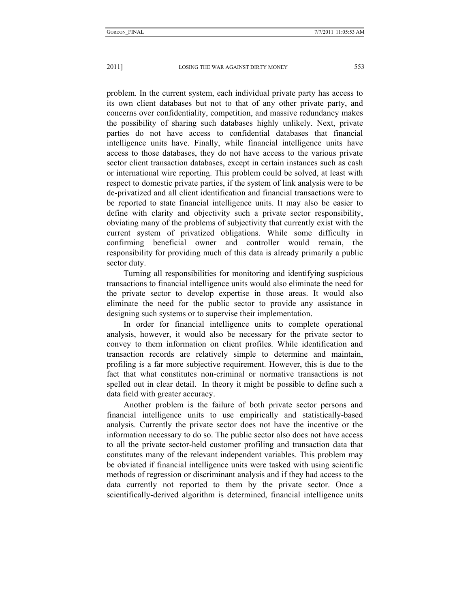problem. In the current system, each individual private party has access to its own client databases but not to that of any other private party, and concerns over confidentiality, competition, and massive redundancy makes the possibility of sharing such databases highly unlikely. Next, private parties do not have access to confidential databases that financial intelligence units have. Finally, while financial intelligence units have access to those databases, they do not have access to the various private sector client transaction databases, except in certain instances such as cash or international wire reporting. This problem could be solved, at least with respect to domestic private parties, if the system of link analysis were to be de-privatized and all client identification and financial transactions were to be reported to state financial intelligence units. It may also be easier to define with clarity and objectivity such a private sector responsibility, obviating many of the problems of subjectivity that currently exist with the current system of privatized obligations. While some difficulty in confirming beneficial owner and controller would remain, the responsibility for providing much of this data is already primarily a public sector duty.

Turning all responsibilities for monitoring and identifying suspicious transactions to financial intelligence units would also eliminate the need for the private sector to develop expertise in those areas. It would also eliminate the need for the public sector to provide any assistance in designing such systems or to supervise their implementation.

In order for financial intelligence units to complete operational analysis, however, it would also be necessary for the private sector to convey to them information on client profiles. While identification and transaction records are relatively simple to determine and maintain, profiling is a far more subjective requirement. However, this is due to the fact that what constitutes non-criminal or normative transactions is not spelled out in clear detail. In theory it might be possible to define such a data field with greater accuracy.

Another problem is the failure of both private sector persons and financial intelligence units to use empirically and statistically-based analysis. Currently the private sector does not have the incentive or the information necessary to do so. The public sector also does not have access to all the private sector-held customer profiling and transaction data that constitutes many of the relevant independent variables. This problem may be obviated if financial intelligence units were tasked with using scientific methods of regression or discriminant analysis and if they had access to the data currently not reported to them by the private sector. Once a scientifically-derived algorithm is determined, financial intelligence units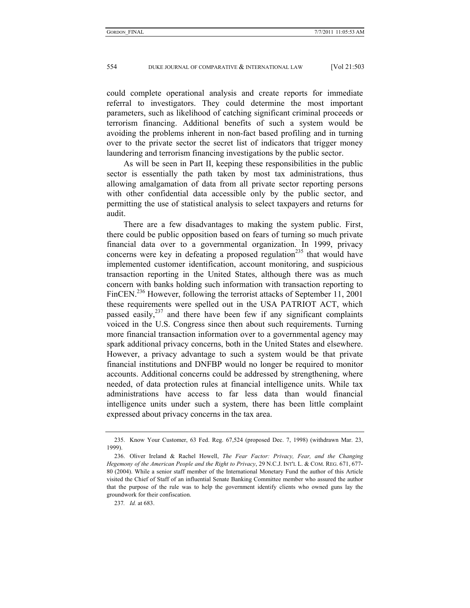could complete operational analysis and create reports for immediate referral to investigators. They could determine the most important parameters, such as likelihood of catching significant criminal proceeds or terrorism financing. Additional benefits of such a system would be avoiding the problems inherent in non-fact based profiling and in turning over to the private sector the secret list of indicators that trigger money laundering and terrorism financing investigations by the public sector.

As will be seen in Part II, keeping these responsibilities in the public sector is essentially the path taken by most tax administrations, thus allowing amalgamation of data from all private sector reporting persons with other confidential data accessible only by the public sector, and permitting the use of statistical analysis to select taxpayers and returns for audit.

There are a few disadvantages to making the system public. First, there could be public opposition based on fears of turning so much private financial data over to a governmental organization. In 1999, privacy concerns were key in defeating a proposed regulation<sup>235</sup> that would have implemented customer identification, account monitoring, and suspicious transaction reporting in the United States, although there was as much concern with banks holding such information with transaction reporting to FinCEN.<sup>236</sup> However, following the terrorist attacks of September 11, 2001 these requirements were spelled out in the USA PATRIOT ACT, which passed easily, $237$  and there have been few if any significant complaints voiced in the U.S. Congress since then about such requirements. Turning more financial transaction information over to a governmental agency may spark additional privacy concerns, both in the United States and elsewhere. However, a privacy advantage to such a system would be that private financial institutions and DNFBP would no longer be required to monitor accounts. Additional concerns could be addressed by strengthening, where needed, of data protection rules at financial intelligence units. While tax administrations have access to far less data than would financial intelligence units under such a system, there has been little complaint expressed about privacy concerns in the tax area.

237*. Id.* at 683.

 <sup>235.</sup> Know Your Customer, 63 Fed. Reg. 67,524 (proposed Dec. 7, 1998) (withdrawn Mar. 23, 1999).

 <sup>236.</sup> Oliver Ireland & Rachel Howell, *The Fear Factor: Privacy, Fear, and the Changing Hegemony of the American People and the Right to Privacy*, 29 N.C.J. INT'L L. & COM. REG. 671, 677- 80 (2004). While a senior staff member of the International Monetary Fund the author of this Article visited the Chief of Staff of an influential Senate Banking Committee member who assured the author that the purpose of the rule was to help the government identify clients who owned guns lay the groundwork for their confiscation.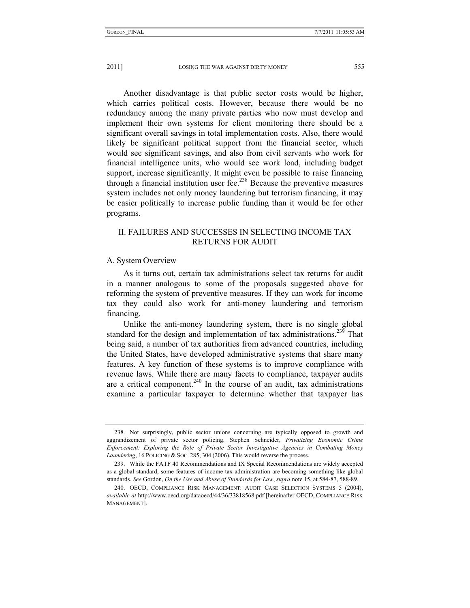Another disadvantage is that public sector costs would be higher, which carries political costs. However, because there would be no redundancy among the many private parties who now must develop and implement their own systems for client monitoring there should be a significant overall savings in total implementation costs. Also, there would likely be significant political support from the financial sector, which would see significant savings, and also from civil servants who work for financial intelligence units, who would see work load, including budget support, increase significantly. It might even be possible to raise financing through a financial institution user fee.<sup>238</sup> Because the preventive measures system includes not only money laundering but terrorism financing, it may be easier politically to increase public funding than it would be for other programs.

# II. FAILURES AND SUCCESSES IN SELECTING INCOME TAX RETURNS FOR AUDIT

#### A. System Overview

As it turns out, certain tax administrations select tax returns for audit in a manner analogous to some of the proposals suggested above for reforming the system of preventive measures. If they can work for income tax they could also work for anti-money laundering and terrorism financing.

Unlike the anti-money laundering system, there is no single global standard for the design and implementation of tax administrations.<sup>239</sup> That being said, a number of tax authorities from advanced countries, including the United States, have developed administrative systems that share many features. A key function of these systems is to improve compliance with revenue laws. While there are many facets to compliance, taxpayer audits are a critical component.<sup>240</sup> In the course of an audit, tax administrations examine a particular taxpayer to determine whether that taxpayer has

 <sup>238.</sup> Not surprisingly, public sector unions concerning are typically opposed to growth and aggrandizement of private sector policing. Stephen Schneider, *Privatizing Economic Crime Enforcement: Exploring the Role of Private Sector Investigative Agencies in Combating Money Laundering*, 16 POLICING & SOC. 285, 304 (2006). This would reverse the process.

 <sup>239.</sup> While the FATF 40 Recommendations and IX Special Recommendations are widely accepted as a global standard, some features of income tax administration are becoming something like global standards. *See* Gordon, *On the Use and Abuse of Standards for Law*, *supra* note 15, at 584-87, 588-89.

 <sup>240.</sup> OECD, COMPLIANCE RISK MANAGEMENT: AUDIT CASE SELECTION SYSTEMS 5 (2004), *available at* http://www.oecd.org/dataoecd/44/36/33818568.pdf [hereinafter OECD, COMPLIANCE RISK MANAGEMENT].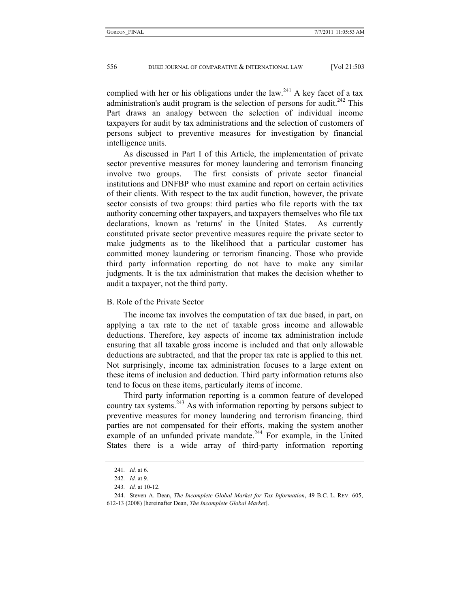complied with her or his obligations under the law.<sup>241</sup> A key facet of a tax administration's audit program is the selection of persons for audit.<sup>242</sup> This Part draws an analogy between the selection of individual income taxpayers for audit by tax administrations and the selection of customers of persons subject to preventive measures for investigation by financial intelligence units.

As discussed in Part I of this Article, the implementation of private sector preventive measures for money laundering and terrorism financing involve two groups. The first consists of private sector financial institutions and DNFBP who must examine and report on certain activities of their clients. With respect to the tax audit function, however, the private sector consists of two groups: third parties who file reports with the tax authority concerning other taxpayers, and taxpayers themselves who file tax declarations, known as 'returns' in the United States. As currently constituted private sector preventive measures require the private sector to make judgments as to the likelihood that a particular customer has committed money laundering or terrorism financing. Those who provide third party information reporting do not have to make any similar judgments. It is the tax administration that makes the decision whether to audit a taxpayer, not the third party.

## B. Role of the Private Sector

The income tax involves the computation of tax due based, in part, on applying a tax rate to the net of taxable gross income and allowable deductions. Therefore, key aspects of income tax administration include ensuring that all taxable gross income is included and that only allowable deductions are subtracted, and that the proper tax rate is applied to this net. Not surprisingly, income tax administration focuses to a large extent on these items of inclusion and deduction. Third party information returns also tend to focus on these items, particularly items of income.

Third party information reporting is a common feature of developed country tax systems.<sup>243</sup> As with information reporting by persons subject to preventive measures for money laundering and terrorism financing, third parties are not compensated for their efforts, making the system another example of an unfunded private mandate.<sup>244</sup> For example, in the United States there is a wide array of third-party information reporting

<sup>241</sup>*. Id.* at 6.

<sup>242</sup>*. Id.* at 9.

<sup>243</sup>*. Id.* at 10-12.

 <sup>244.</sup> Steven A. Dean, *The Incomplete Global Market for Tax Information*, 49 B.C. L. REV. 605, 612-13 (2008) [hereinafter Dean, *The Incomplete Global Market*].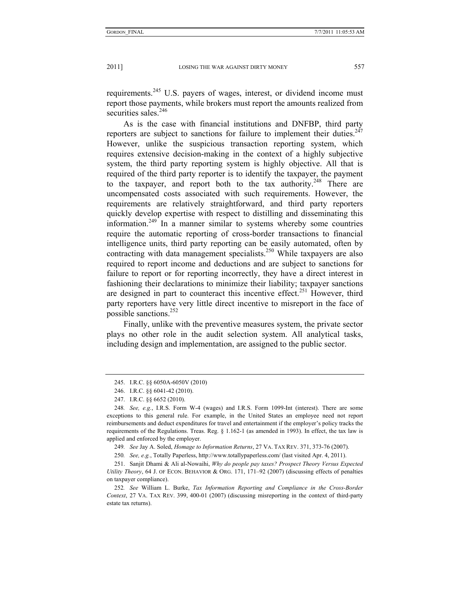requirements.245 U.S. payers of wages, interest, or dividend income must report those payments, while brokers must report the amounts realized from securities sales. $246$ 

As is the case with financial institutions and DNFBP, third party reporters are subject to sanctions for failure to implement their duties. $247$ However, unlike the suspicious transaction reporting system, which requires extensive decision-making in the context of a highly subjective system, the third party reporting system is highly objective. All that is required of the third party reporter is to identify the taxpayer, the payment to the taxpayer, and report both to the tax authority.<sup>248</sup> There are uncompensated costs associated with such requirements. However, the requirements are relatively straightforward, and third party reporters quickly develop expertise with respect to distilling and disseminating this information.<sup>249</sup> In a manner similar to systems whereby some countries require the automatic reporting of cross-border transactions to financial intelligence units, third party reporting can be easily automated, often by contracting with data management specialists.<sup>250</sup> While taxpayers are also required to report income and deductions and are subject to sanctions for failure to report or for reporting incorrectly, they have a direct interest in fashioning their declarations to minimize their liability; taxpayer sanctions are designed in part to counteract this incentive effect.<sup>251</sup> However, third party reporters have very little direct incentive to misreport in the face of possible sanctions.252

Finally, unlike with the preventive measures system, the private sector plays no other role in the audit selection system. All analytical tasks, including design and implementation, are assigned to the public sector.

249*. See* Jay A. Soled, *Homage to Information Returns*, 27 VA. TAX REV. 371, 373-76 (2007).

250*. See, e.g.*, Totally Paperless, http://www.totallypaperless.com/ (last visited Apr. 4, 2011).

 251. Sanjit Dhami & Ali al-Nowaihi, *Why do people pay taxes? Prospect Theory Versus Expected Utility Theory*, 64 J. OF ECON. BEHAVIOR & ORG. 171, 171–92 (2007) (discussing effects of penalties on taxpayer compliance).

252*. See* William L. Burke, *Tax Information Reporting and Compliance in the Cross-Border Context*, 27 VA. TAX REV. 399, 400-01 (2007) (discussing misreporting in the context of third-party estate tax returns).

 <sup>245.</sup> I.R.C. §§ 6050A-6050V (2010)

 <sup>246.</sup> I.R.C. §§ 6041-42 (2010).

 <sup>247.</sup> I.R.C. §§ 6652 (2010).

<sup>248</sup>*. See, e.g.*, I.R.S. Form W-4 (wages) and I.R.S. Form 1099-Int (interest). There are some exceptions to this general rule. For example, in the United States an employee need not report reimbursements and deduct expenditures for travel and entertainment if the employer's policy tracks the requirements of the Regulations. Treas. Reg. § 1.162-1 (as amended in 1993). In effect, the tax law is applied and enforced by the employer.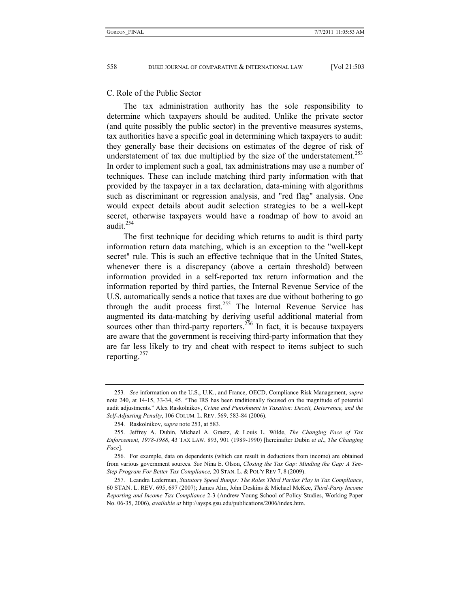#### C. Role of the Public Sector

The tax administration authority has the sole responsibility to determine which taxpayers should be audited. Unlike the private sector (and quite possibly the public sector) in the preventive measures systems, tax authorities have a specific goal in determining which taxpayers to audit: they generally base their decisions on estimates of the degree of risk of understatement of tax due multiplied by the size of the understatement.<sup>253</sup> In order to implement such a goal, tax administrations may use a number of techniques. These can include matching third party information with that provided by the taxpayer in a tax declaration, data-mining with algorithms such as discriminant or regression analysis, and "red flag" analysis. One would expect details about audit selection strategies to be a well-kept secret, otherwise taxpayers would have a roadmap of how to avoid an audit. $254$ 

The first technique for deciding which returns to audit is third party information return data matching, which is an exception to the "well-kept secret" rule. This is such an effective technique that in the United States, whenever there is a discrepancy (above a certain threshold) between information provided in a self-reported tax return information and the information reported by third parties, the Internal Revenue Service of the U.S. automatically sends a notice that taxes are due without bothering to go through the audit process first.<sup>255</sup> The Internal Revenue Service has augmented its data-matching by deriving useful additional material from sources other than third-party reporters.<sup>256</sup> In fact, it is because taxpayers are aware that the government is receiving third-party information that they are far less likely to try and cheat with respect to items subject to such reporting.257

<sup>253</sup>*. See* information on the U.S., U.K., and France, OECD, Compliance Risk Management, *supra* note 240, at 14-15, 33-34, 45. "The IRS has been traditionally focused on the magnitude of potential audit adjustments." Alex Raskolnikov, *Crime and Punishment in Taxation: Deceit, Deterrence, and the Self-Adjusting Penalty*, 106 COLUM. L. REV. 569, 583-84 (2006).

 <sup>254.</sup> Raskolnikov, *supra* note 253, at 583.

 <sup>255.</sup> Jeffrey A. Dubin, Michael A. Graetz, & Louis L. Wilde, *The Changing Face of Tax Enforcement, 1978-1988*, 43 TAX LAW. 893, 901 (1989-1990) [hereinafter Dubin *et al*., *The Changing Face*].

 <sup>256.</sup> For example, data on dependents (which can result in deductions from income) are obtained from various government sources. *See* Nina E. Olson, *Closing the Tax Gap: Minding the Gap: A Ten-Step Program For Better Tax Compliance,* 20 STAN. L. & POL'Y REV 7, 8 (2009).

 <sup>257.</sup> Leandra Lederman, *Statutory Speed Bumps: The Roles Third Parties Play in Tax Compliance*, 60 STAN. L. REV. 695, 697 (2007); James Alm, John Deskins & Michael McKee, *Third-Party Income Reporting and Income Tax Compliance* 2-3 (Andrew Young School of Policy Studies, Working Paper No. 06-35, 2006), *available at* http://aysps.gsu.edu/publications/2006/index.htm.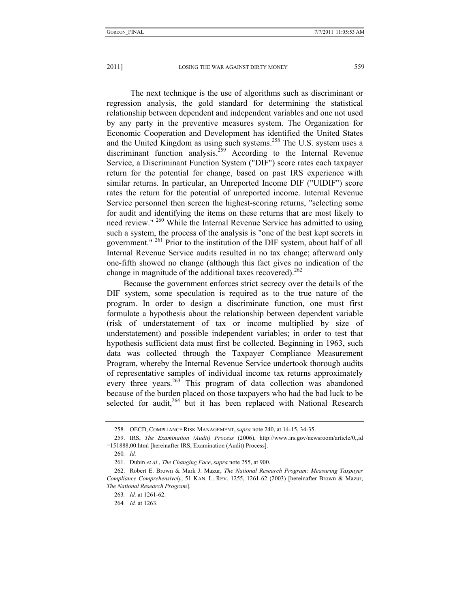The next technique is the use of algorithms such as discriminant or regression analysis, the gold standard for determining the statistical relationship between dependent and independent variables and one not used by any party in the preventive measures system. The Organization for Economic Cooperation and Development has identified the United States and the United Kingdom as using such systems.258 The U.S. system uses a discriminant function analysis.<sup>259</sup> According to the Internal Revenue Service, a Discriminant Function System ("DIF") score rates each taxpayer return for the potential for change, based on past IRS experience with similar returns. In particular, an Unreported Income DIF ("UIDIF") score rates the return for the potential of unreported income. Internal Revenue Service personnel then screen the highest-scoring returns, "selecting some for audit and identifying the items on these returns that are most likely to need review." <sup>260</sup> While the Internal Revenue Service has admitted to using such a system, the process of the analysis is "one of the best kept secrets in government." 261 Prior to the institution of the DIF system, about half of all Internal Revenue Service audits resulted in no tax change; afterward only one-fifth showed no change (although this fact gives no indication of the change in magnitude of the additional taxes recovered).<sup>262</sup>

Because the government enforces strict secrecy over the details of the DIF system, some speculation is required as to the true nature of the program. In order to design a discriminate function, one must first formulate a hypothesis about the relationship between dependent variable (risk of understatement of tax or income multiplied by size of understatement) and possible independent variables; in order to test that hypothesis sufficient data must first be collected. Beginning in 1963, such data was collected through the Taxpayer Compliance Measurement Program, whereby the Internal Revenue Service undertook thorough audits of representative samples of individual income tax returns approximately every three years.<sup>263</sup> This program of data collection was abandoned because of the burden placed on those taxpayers who had the bad luck to be selected for audit, $264$  but it has been replaced with National Research

 <sup>258.</sup> OECD, COMPLIANCE RISK MANAGEMENT, *supra* note 240, at 14-15, 34-35.

 <sup>259.</sup> IRS, *The Examination (Audit) Process* (2006), http://www.irs.gov/newsroom/article/0,,id =151888,00.html [hereinafter IRS, Examination (Audit) Process].

<sup>260</sup>*. Id.*

 <sup>261.</sup> Dubin *et al.*, *The Changing Face*, *supra* note 255, at 900.

 <sup>262.</sup> Robert E. Brown & Mark J. Mazur, *The National Research Program: Measuring Taxpayer Compliance Comprehensively*, 51 KAN. L. REV. 1255, 1261-62 (2003) [hereinafter Brown & Mazur, *The National Research Program*].

<sup>263</sup>*. Id.* at 1261-62.

<sup>264</sup>*. Id.* at 1263.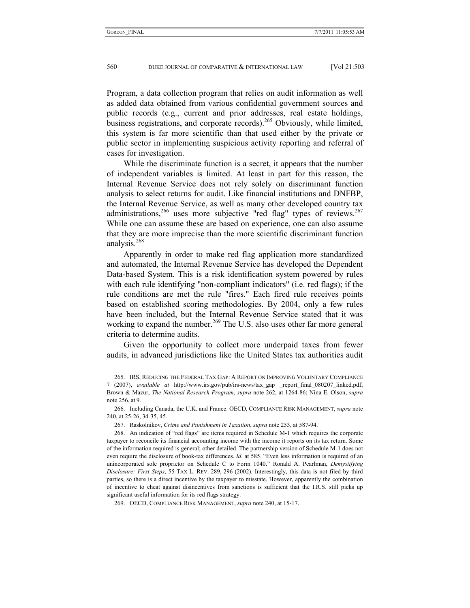Program, a data collection program that relies on audit information as well as added data obtained from various confidential government sources and public records (e.g., current and prior addresses, real estate holdings, business registrations, and corporate records).<sup>265</sup> Obviously, while limited, this system is far more scientific than that used either by the private or public sector in implementing suspicious activity reporting and referral of cases for investigation.

While the discriminate function is a secret, it appears that the number of independent variables is limited. At least in part for this reason, the Internal Revenue Service does not rely solely on discriminant function analysis to select returns for audit. Like financial institutions and DNFBP, the Internal Revenue Service, as well as many other developed country tax administrations,  $266$  uses more subjective "red flag" types of reviews.  $267$ While one can assume these are based on experience, one can also assume that they are more imprecise than the more scientific discriminant function analysis.268

Apparently in order to make red flag application more standardized and automated, the Internal Revenue Service has developed the Dependent Data-based System. This is a risk identification system powered by rules with each rule identifying "non-compliant indicators" (i.e. red flags); if the rule conditions are met the rule "fires." Each fired rule receives points based on established scoring methodologies. By 2004, only a few rules have been included, but the Internal Revenue Service stated that it was working to expand the number.<sup>269</sup> The U.S. also uses other far more general criteria to determine audits.

Given the opportunity to collect more underpaid taxes from fewer audits, in advanced jurisdictions like the United States tax authorities audit

 <sup>265.</sup> IRS, REDUCING THE FEDERAL TAX GAP: A REPORT ON IMPROVING VOLUNTARY COMPLIANCE 7 (2007), *available at* http://www.irs.gov/pub/irs-news/tax\_gap \_report\_final\_080207\_linked.pdf; Brown & Mazur, *The National Research Program*, *supra* note 262, at 1264-86; Nina E. Olson, *supra*  note 256, at 9.

 <sup>266.</sup> Including Canada, the U.K. and France. OECD, COMPLIANCE RISK MANAGEMENT, *supra* note 240, at 25-26, 34-35, 45.

 <sup>267.</sup> Raskolnikov, *Crime and Punishment in Taxation*, *supra* note 253, at 587-94.

 <sup>268.</sup> An indication of "red flags" are items required in Schedule M-1 which requires the corporate taxpayer to reconcile its financial accounting income with the income it reports on its tax return. Some of the information required is general; other detailed. The partnership version of Schedule M-1 does not even require the disclosure of book-tax differences. *Id.* at 585. "Even less information is required of an unincorporated sole proprietor on Schedule C to Form 1040." Ronald A. Pearlman, *Demystifying Disclosure: First Steps*, 55 TAX L. REV. 289, 296 (2002). Interestingly, this data is not filed by third parties, so there is a direct incentive by the taxpayer to misstate. However, apparently the combination of incentive to cheat against disincentives from sanctions is sufficient that the I.R.S. still picks up significant useful information for its red flags strategy.

 <sup>269.</sup> OECD, COMPLIANCE RISK MANAGEMENT, *supra* note 240, at 15-17.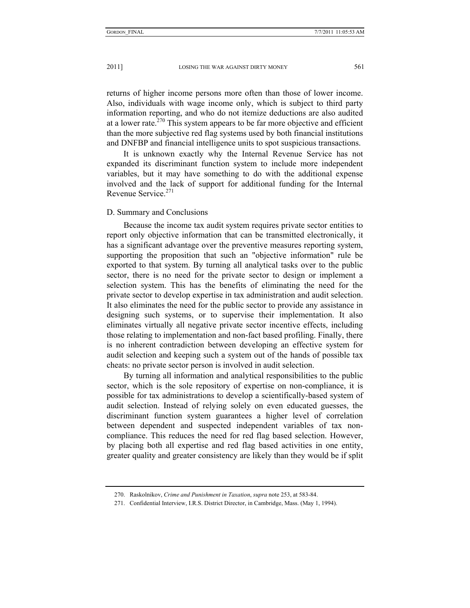returns of higher income persons more often than those of lower income. Also, individuals with wage income only, which is subject to third party information reporting, and who do not itemize deductions are also audited at a lower rate.<sup> $270$ </sup> This system appears to be far more objective and efficient than the more subjective red flag systems used by both financial institutions and DNFBP and financial intelligence units to spot suspicious transactions.

It is unknown exactly why the Internal Revenue Service has not expanded its discriminant function system to include more independent variables, but it may have something to do with the additional expense involved and the lack of support for additional funding for the Internal Revenue Service.<sup>271</sup>

#### D. Summary and Conclusions

Because the income tax audit system requires private sector entities to report only objective information that can be transmitted electronically, it has a significant advantage over the preventive measures reporting system, supporting the proposition that such an "objective information" rule be exported to that system. By turning all analytical tasks over to the public sector, there is no need for the private sector to design or implement a selection system. This has the benefits of eliminating the need for the private sector to develop expertise in tax administration and audit selection. It also eliminates the need for the public sector to provide any assistance in designing such systems, or to supervise their implementation. It also eliminates virtually all negative private sector incentive effects, including those relating to implementation and non-fact based profiling. Finally, there is no inherent contradiction between developing an effective system for audit selection and keeping such a system out of the hands of possible tax cheats: no private sector person is involved in audit selection.

By turning all information and analytical responsibilities to the public sector, which is the sole repository of expertise on non-compliance, it is possible for tax administrations to develop a scientifically-based system of audit selection. Instead of relying solely on even educated guesses, the discriminant function system guarantees a higher level of correlation between dependent and suspected independent variables of tax noncompliance. This reduces the need for red flag based selection. However, by placing both all expertise and red flag based activities in one entity, greater quality and greater consistency are likely than they would be if split

 <sup>270.</sup> Raskolnikov, *Crime and Punishment in Taxation*, *supra* note 253, at 583-84.

 <sup>271.</sup> Confidential Interview, I.R.S. District Director, in Cambridge, Mass. (May 1, 1994).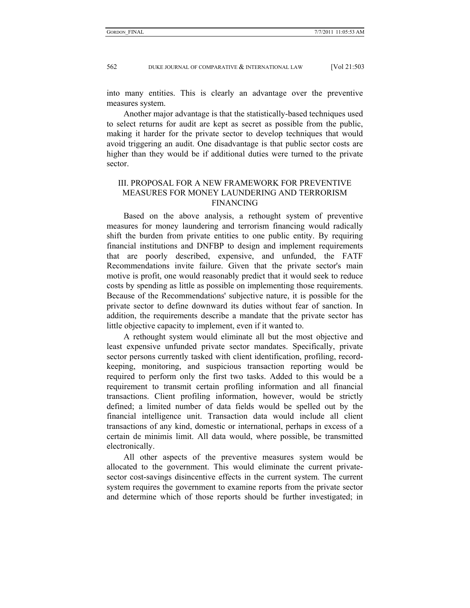into many entities. This is clearly an advantage over the preventive measures system.

Another major advantage is that the statistically-based techniques used to select returns for audit are kept as secret as possible from the public, making it harder for the private sector to develop techniques that would avoid triggering an audit. One disadvantage is that public sector costs are higher than they would be if additional duties were turned to the private sector.

# III. PROPOSAL FOR A NEW FRAMEWORK FOR PREVENTIVE MEASURES FOR MONEY LAUNDERING AND TERRORISM FINANCING

Based on the above analysis, a rethought system of preventive measures for money laundering and terrorism financing would radically shift the burden from private entities to one public entity. By requiring financial institutions and DNFBP to design and implement requirements that are poorly described, expensive, and unfunded, the FATF Recommendations invite failure. Given that the private sector's main motive is profit, one would reasonably predict that it would seek to reduce costs by spending as little as possible on implementing those requirements. Because of the Recommendations' subjective nature, it is possible for the private sector to define downward its duties without fear of sanction. In addition, the requirements describe a mandate that the private sector has little objective capacity to implement, even if it wanted to.

A rethought system would eliminate all but the most objective and least expensive unfunded private sector mandates. Specifically, private sector persons currently tasked with client identification, profiling, recordkeeping, monitoring, and suspicious transaction reporting would be required to perform only the first two tasks. Added to this would be a requirement to transmit certain profiling information and all financial transactions. Client profiling information, however, would be strictly defined; a limited number of data fields would be spelled out by the financial intelligence unit. Transaction data would include all client transactions of any kind, domestic or international, perhaps in excess of a certain de minimis limit. All data would, where possible, be transmitted electronically.

All other aspects of the preventive measures system would be allocated to the government. This would eliminate the current privatesector cost-savings disincentive effects in the current system. The current system requires the government to examine reports from the private sector and determine which of those reports should be further investigated; in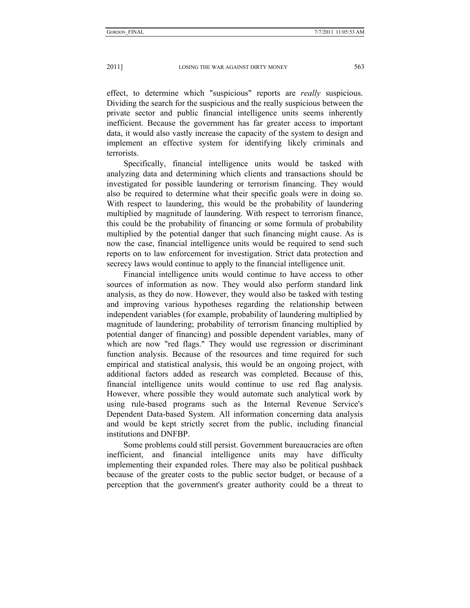effect, to determine which "suspicious" reports are *really* suspicious. Dividing the search for the suspicious and the really suspicious between the private sector and public financial intelligence units seems inherently inefficient. Because the government has far greater access to important data, it would also vastly increase the capacity of the system to design and implement an effective system for identifying likely criminals and terrorists.

Specifically, financial intelligence units would be tasked with analyzing data and determining which clients and transactions should be investigated for possible laundering or terrorism financing. They would also be required to determine what their specific goals were in doing so. With respect to laundering, this would be the probability of laundering multiplied by magnitude of laundering. With respect to terrorism finance, this could be the probability of financing or some formula of probability multiplied by the potential danger that such financing might cause. As is now the case, financial intelligence units would be required to send such reports on to law enforcement for investigation. Strict data protection and secrecy laws would continue to apply to the financial intelligence unit.

Financial intelligence units would continue to have access to other sources of information as now. They would also perform standard link analysis, as they do now. However, they would also be tasked with testing and improving various hypotheses regarding the relationship between independent variables (for example, probability of laundering multiplied by magnitude of laundering; probability of terrorism financing multiplied by potential danger of financing) and possible dependent variables, many of which are now "red flags." They would use regression or discriminant function analysis. Because of the resources and time required for such empirical and statistical analysis, this would be an ongoing project, with additional factors added as research was completed. Because of this, financial intelligence units would continue to use red flag analysis. However, where possible they would automate such analytical work by using rule-based programs such as the Internal Revenue Service's Dependent Data-based System. All information concerning data analysis and would be kept strictly secret from the public, including financial institutions and DNFBP.

Some problems could still persist. Government bureaucracies are often inefficient, and financial intelligence units may have difficulty implementing their expanded roles. There may also be political pushback because of the greater costs to the public sector budget, or because of a perception that the government's greater authority could be a threat to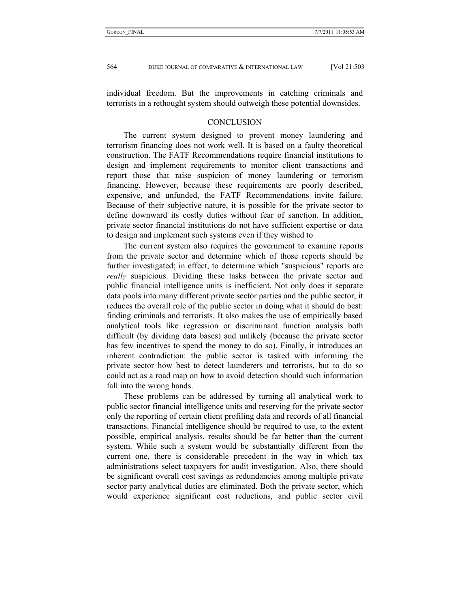individual freedom. But the improvements in catching criminals and terrorists in a rethought system should outweigh these potential downsides.

#### **CONCLUSION**

The current system designed to prevent money laundering and terrorism financing does not work well. It is based on a faulty theoretical construction. The FATF Recommendations require financial institutions to design and implement requirements to monitor client transactions and report those that raise suspicion of money laundering or terrorism financing. However, because these requirements are poorly described, expensive, and unfunded, the FATF Recommendations invite failure. Because of their subjective nature, it is possible for the private sector to define downward its costly duties without fear of sanction. In addition, private sector financial institutions do not have sufficient expertise or data to design and implement such systems even if they wished to

The current system also requires the government to examine reports from the private sector and determine which of those reports should be further investigated; in effect, to determine which "suspicious" reports are *really* suspicious. Dividing these tasks between the private sector and public financial intelligence units is inefficient. Not only does it separate data pools into many different private sector parties and the public sector, it reduces the overall role of the public sector in doing what it should do best: finding criminals and terrorists. It also makes the use of empirically based analytical tools like regression or discriminant function analysis both difficult (by dividing data bases) and unlikely (because the private sector has few incentives to spend the money to do so). Finally, it introduces an inherent contradiction: the public sector is tasked with informing the private sector how best to detect launderers and terrorists, but to do so could act as a road map on how to avoid detection should such information fall into the wrong hands.

These problems can be addressed by turning all analytical work to public sector financial intelligence units and reserving for the private sector only the reporting of certain client profiling data and records of all financial transactions. Financial intelligence should be required to use, to the extent possible, empirical analysis, results should be far better than the current system. While such a system would be substantially different from the current one, there is considerable precedent in the way in which tax administrations select taxpayers for audit investigation. Also, there should be significant overall cost savings as redundancies among multiple private sector party analytical duties are eliminated. Both the private sector, which would experience significant cost reductions, and public sector civil